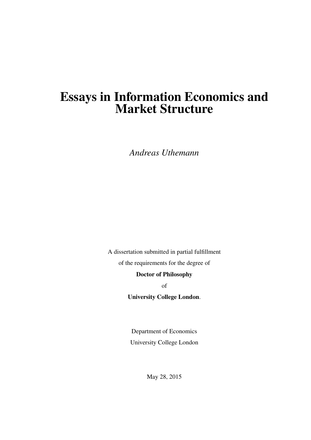# Essays in Information Economics and Market Structure

*Andreas Uthemann*

A dissertation submitted in partial fulfillment of the requirements for the degree of

Doctor of Philosophy

of

University College London.

Department of Economics University College London

May 28, 2015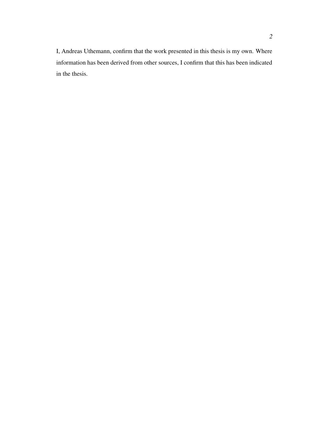I, Andreas Uthemann, confirm that the work presented in this thesis is my own. Where information has been derived from other sources, I confirm that this has been indicated in the thesis.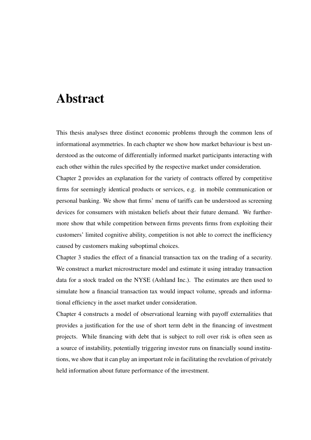# Abstract

This thesis analyses three distinct economic problems through the common lens of informational asymmetries. In each chapter we show how market behaviour is best understood as the outcome of differentially informed market participants interacting with each other within the rules specified by the respective market under consideration.

Chapter 2 provides an explanation for the variety of contracts offered by competitive firms for seemingly identical products or services, e.g. in mobile communication or personal banking. We show that firms' menu of tariffs can be understood as screening devices for consumers with mistaken beliefs about their future demand. We furthermore show that while competition between firms prevents firms from exploiting their customers' limited cognitive ability, competition is not able to correct the inefficiency caused by customers making suboptimal choices.

Chapter 3 studies the effect of a financial transaction tax on the trading of a security. We construct a market microstructure model and estimate it using intraday transaction data for a stock traded on the NYSE (Ashland Inc.). The estimates are then used to simulate how a financial transaction tax would impact volume, spreads and informational efficiency in the asset market under consideration.

Chapter 4 constructs a model of observational learning with payoff externalities that provides a justification for the use of short term debt in the financing of investment projects. While financing with debt that is subject to roll over risk is often seen as a source of instability, potentially triggering investor runs on financially sound institutions, we show that it can play an important role in facilitating the revelation of privately held information about future performance of the investment.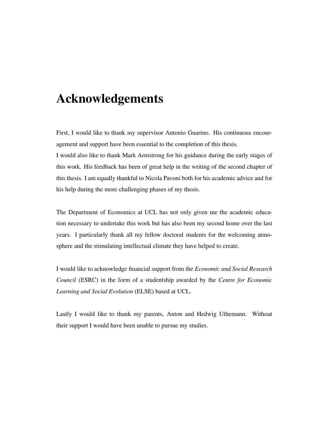# Acknowledgements

First, I would like to thank my supervisor Antonio Guarino. His continuous encouragement and support have been essential to the completion of this thesis.

I would also like to thank Mark Armstrong for his guidance during the early stages of this work. His feedback has been of great help in the writing of the second chapter of this thesis. I am equally thankful to Nicola Pavoni both for his academic advice and for his help during the more challenging phases of my thesis.

The Department of Economics at UCL has not only given me the academic education necessary to undertake this work but has also been my second home over the last years. I particularly thank all my fellow doctoral students for the welcoming atmosphere and the stimulating intellectual climate they have helped to create.

I would like to acknowledge financial support from the *Economic and Social Research Council* (ESRC) in the form of a studentship awarded by the *Centre for Economic Learning and Social Evolution* (ELSE) based at UCL.

Lastly I would like to thank my parents, Anton and Hedwig Uthemann. Without their support I would have been unable to pursue my studies.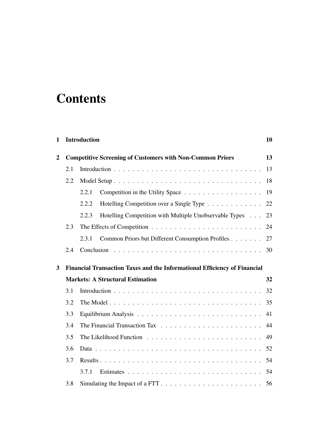# **Contents**

## 1 Introduction 10

| $\overline{2}$ |     | <b>Competitive Screening of Customers with Non-Common Priors</b>                 | 13 |
|----------------|-----|----------------------------------------------------------------------------------|----|
|                | 2.1 |                                                                                  | 13 |
|                | 2.2 |                                                                                  | 18 |
|                |     | 2.2.1                                                                            | 19 |
|                |     | Hotelling Competition over a Single Type<br>2.2.2                                | 22 |
|                |     | Hotelling Competition with Multiple Unobservable Types<br>2.2.3                  | 23 |
|                | 2.3 |                                                                                  | 24 |
|                |     | Common Priors but Different Consumption Profiles<br>2.3.1                        | 27 |
|                | 2.4 |                                                                                  | 30 |
| 3              |     | <b>Financial Transaction Taxes and the Informational Efficiency of Financial</b> |    |
|                |     | <b>Markets: A Structural Estimation</b>                                          | 32 |
|                | 3.1 |                                                                                  | 32 |
|                | 3.2 |                                                                                  | 35 |
|                | 3.3 |                                                                                  | 41 |
|                | 3.4 |                                                                                  | 44 |
|                | 3.5 |                                                                                  | 49 |
|                | 3.6 |                                                                                  | 52 |
|                | 3.7 |                                                                                  | 54 |
|                |     | 3.7.1                                                                            | 54 |
|                | 3.8 |                                                                                  | 56 |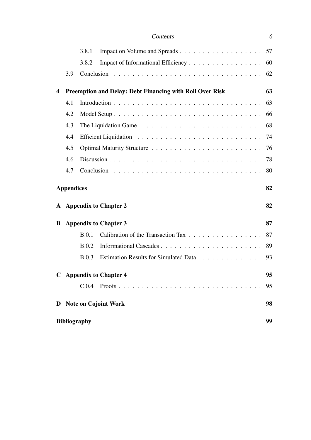|                  |                   | 3.8.1                                                           |    |  |
|------------------|-------------------|-----------------------------------------------------------------|----|--|
|                  |                   | 3.8.2<br>Impact of Informational Efficiency                     | 60 |  |
|                  | 3.9               |                                                                 |    |  |
|                  |                   |                                                                 |    |  |
| $\boldsymbol{4}$ |                   | <b>Preemption and Delay: Debt Financing with Roll Over Risk</b> | 63 |  |
|                  | 4.1               |                                                                 | 63 |  |
|                  | 4.2               |                                                                 | 66 |  |
|                  | 4.3               |                                                                 | 68 |  |
|                  | 4.4               |                                                                 | 74 |  |
|                  | 4.5               |                                                                 | 76 |  |
|                  | 4.6               |                                                                 | 78 |  |
|                  | 4.7               |                                                                 | 80 |  |
|                  |                   |                                                                 |    |  |
|                  |                   |                                                                 |    |  |
|                  | <b>Appendices</b> |                                                                 | 82 |  |
| A                |                   | <b>Appendix to Chapter 2</b>                                    | 82 |  |
| B                |                   | <b>Appendix to Chapter 3</b>                                    | 87 |  |
|                  |                   | Calibration of the Transaction Tax<br>B.0.1                     | 87 |  |
|                  |                   | B.0.2                                                           | 89 |  |
|                  |                   | B.0.3<br>Estimation Results for Simulated Data                  | 93 |  |
|                  |                   | C Appendix to Chapter 4                                         | 95 |  |
|                  |                   |                                                                 | 95 |  |
|                  |                   | D Note on Cojoint Work                                          | 98 |  |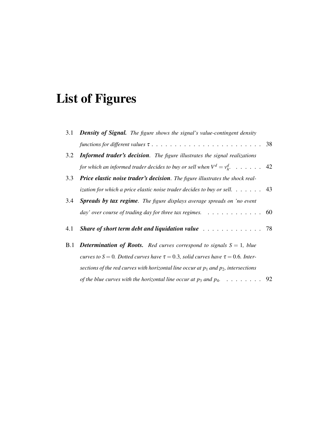# List of Figures

|     | 3.1 <b>Density of Signal.</b> The figure shows the signal's value-contingent density          |  |
|-----|-----------------------------------------------------------------------------------------------|--|
|     |                                                                                               |  |
| 3.2 | <b>Informed trader's decision.</b> The figure illustrates the signal realizations             |  |
|     | for which an informed trader decides to buy or sell when $V^d = v_h^d$ . 42                   |  |
| 3.3 | <b>Price elastic noise trader's decision.</b> The figure illustrates the shock real-          |  |
|     | ization for which a price elastic noise trader decides to buy or sell. $\dots \dots$ . 43     |  |
| 3.4 | <b>Spreads by tax regime.</b> The figure displays average spreads on 'no event                |  |
|     | day' over course of trading day for three tax regimes. $\ldots \ldots \ldots \ldots \ldots$   |  |
| 4.1 | Share of short term debt and liquidation value $\ldots \ldots \ldots \ldots \ldots$           |  |
|     | <b>B.1</b> Determination of Roots. Red curves correspond to signals $S = 1$ , blue            |  |
|     | curves to $S = 0$ . Dotted curves have $\tau = 0.3$ , solid curves have $\tau = 0.6$ . Inter- |  |
|     | sections of the red curves with horizontal line occur at $p_1$ and $p_2$ , intersections      |  |
|     | of the blue curves with the horizontal line occur at $p_3$ and $p_4$ . 92                     |  |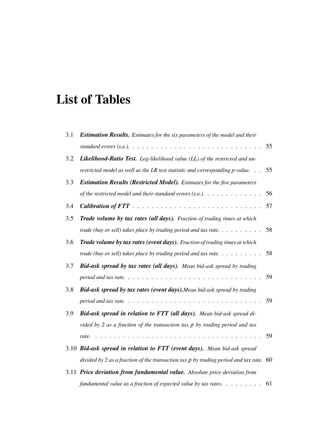# List of Tables

| 3.1 | <b>Estimation Results.</b> Estimates for the six parameters of the model and their          |    |
|-----|---------------------------------------------------------------------------------------------|----|
|     |                                                                                             | 55 |
| 3.2 | <b>Likelihood-Ratio Test.</b> Log-likelihood value (LL) of the restricted and un-           |    |
|     | restricted model as well as the LR test statistic and corresponding $p$ -value. $\ldots$    | 55 |
| 3.3 | <b>Estimation Results (Restricted Model).</b> Estimates for the five parameters             |    |
|     | of the restricted model and their standard errors (s.e.). $\ldots \ldots \ldots \ldots$     | 56 |
| 3.4 |                                                                                             | 57 |
| 3.5 | Trade volume by tax rates (all days). Fraction of trading times at which                    |    |
|     | trade (buy or sell) takes place by trading period and tax rate. $\ldots \ldots \ldots$      | 58 |
| 3.6 | <b>Trade volume by tax rates (event days).</b> Fraction of trading times at which           |    |
|     | trade (buy or sell) takes place by trading period and tax rate. $\dots \dots \dots$         | 58 |
| 3.7 | Bid-ask spread by tax rates (all days). Mean bid-ask spread by trading                      |    |
|     |                                                                                             | 59 |
| 3.8 | <b>Bid-ask spread by tax rates (event days).</b> Mean bid-ask spread by trading             |    |
|     |                                                                                             | 59 |
| 3.9 | Bid-ask spread in relation to FTT (all days). Mean bid-ask spread di-                       |    |
|     | vided by 2 as a fraction of the transaction tax $\rho$ by trading period and tax            |    |
|     | $\cdot$<br>.<br>rate.                                                                       | 59 |
|     | 3.10 Bid-ask spread in relation to FTT (event days). Mean bid-ask spread                    |    |
|     | divided by 2 as a fraction of the transaction tax $\rho$ by trading period and tax rate. 60 |    |
|     | 3.11 Price deviation from fundamental value. Absolute price deviation from                  |    |
|     | fundamental value as a fraction of expected value by tax rates. $\dots \dots$               | 61 |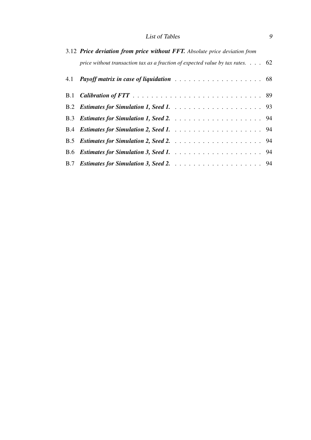### List of Tables 9

| 3.12 Price deviation from price without FFT. Absolute price deviation from              |  |  |  |  |
|-----------------------------------------------------------------------------------------|--|--|--|--|
| price without transaction tax as a fraction of expected value by tax rates. $\ldots$ 62 |  |  |  |  |
|                                                                                         |  |  |  |  |
|                                                                                         |  |  |  |  |
|                                                                                         |  |  |  |  |
|                                                                                         |  |  |  |  |
|                                                                                         |  |  |  |  |
|                                                                                         |  |  |  |  |
|                                                                                         |  |  |  |  |
|                                                                                         |  |  |  |  |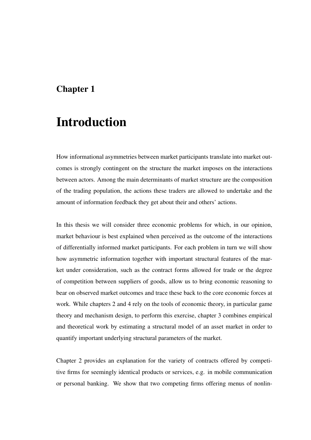## Chapter 1

# Introduction

How informational asymmetries between market participants translate into market outcomes is strongly contingent on the structure the market imposes on the interactions between actors. Among the main determinants of market structure are the composition of the trading population, the actions these traders are allowed to undertake and the amount of information feedback they get about their and others' actions.

In this thesis we will consider three economic problems for which, in our opinion, market behaviour is best explained when perceived as the outcome of the interactions of differentially informed market participants. For each problem in turn we will show how asymmetric information together with important structural features of the market under consideration, such as the contract forms allowed for trade or the degree of competition between suppliers of goods, allow us to bring economic reasoning to bear on observed market outcomes and trace these back to the core economic forces at work. While chapters 2 and 4 rely on the tools of economic theory, in particular game theory and mechanism design, to perform this exercise, chapter 3 combines empirical and theoretical work by estimating a structural model of an asset market in order to quantify important underlying structural parameters of the market.

Chapter 2 provides an explanation for the variety of contracts offered by competitive firms for seemingly identical products or services, e.g. in mobile communication or personal banking. We show that two competing firms offering menus of nonlin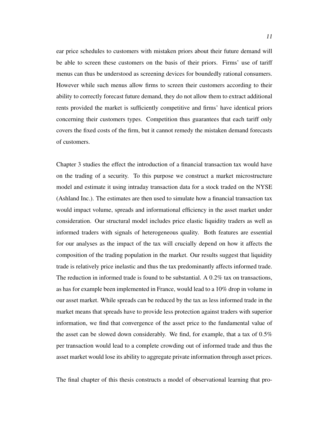ear price schedules to customers with mistaken priors about their future demand will be able to screen these customers on the basis of their priors. Firms' use of tariff menus can thus be understood as screening devices for boundedly rational consumers. However while such menus allow firms to screen their customers according to their ability to correctly forecast future demand, they do not allow them to extract additional rents provided the market is sufficiently competitive and firms' have identical priors concerning their customers types. Competition thus guarantees that each tariff only covers the fixed costs of the firm, but it cannot remedy the mistaken demand forecasts of customers.

Chapter 3 studies the effect the introduction of a financial transaction tax would have on the trading of a security. To this purpose we construct a market microstructure model and estimate it using intraday transaction data for a stock traded on the NYSE (Ashland Inc.). The estimates are then used to simulate how a financial transaction tax would impact volume, spreads and informational efficiency in the asset market under consideration. Our structural model includes price elastic liquidity traders as well as informed traders with signals of heterogeneous quality. Both features are essential for our analyses as the impact of the tax will crucially depend on how it affects the composition of the trading population in the market. Our results suggest that liquidity trade is relatively price inelastic and thus the tax predominantly affects informed trade. The reduction in informed trade is found to be substantial. A  $0.2\%$  tax on transactions, as has for example been implemented in France, would lead to a 10% drop in volume in our asset market. While spreads can be reduced by the tax as less informed trade in the market means that spreads have to provide less protection against traders with superior information, we find that convergence of the asset price to the fundamental value of the asset can be slowed down considerably. We find, for example, that a tax of 0.5% per transaction would lead to a complete crowding out of informed trade and thus the asset market would lose its ability to aggregate private information through asset prices.

The final chapter of this thesis constructs a model of observational learning that pro-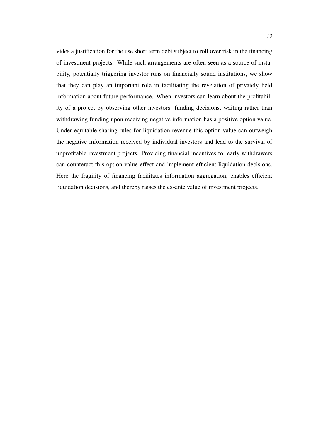vides a justification for the use short term debt subject to roll over risk in the financing of investment projects. While such arrangements are often seen as a source of instability, potentially triggering investor runs on financially sound institutions, we show that they can play an important role in facilitating the revelation of privately held information about future performance. When investors can learn about the profitability of a project by observing other investors' funding decisions, waiting rather than withdrawing funding upon receiving negative information has a positive option value. Under equitable sharing rules for liquidation revenue this option value can outweigh the negative information received by individual investors and lead to the survival of unprofitable investment projects. Providing financial incentives for early withdrawers can counteract this option value effect and implement efficient liquidation decisions. Here the fragility of financing facilitates information aggregation, enables efficient liquidation decisions, and thereby raises the ex-ante value of investment projects.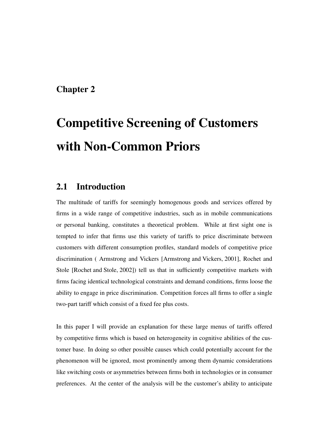## Chapter 2

# Competitive Screening of Customers with Non-Common Priors

## 2.1 Introduction

The multitude of tariffs for seemingly homogenous goods and services offered by firms in a wide range of competitive industries, such as in mobile communications or personal banking, constitutes a theoretical problem. While at first sight one is tempted to infer that firms use this variety of tariffs to price discriminate between customers with different consumption profiles, standard models of competitive price discrimination ( Armstrong and Vickers [Armstrong and Vickers, 2001], Rochet and Stole [Rochet and Stole, 2002]) tell us that in sufficiently competitive markets with firms facing identical technological constraints and demand conditions, firms loose the ability to engage in price discrimination. Competition forces all firms to offer a single two-part tariff which consist of a fixed fee plus costs.

In this paper I will provide an explanation for these large menus of tariffs offered by competitive firms which is based on heterogeneity in cognitive abilities of the customer base. In doing so other possible causes which could potentially account for the phenomenon will be ignored, most prominently among them dynamic considerations like switching costs or asymmetries between firms both in technologies or in consumer preferences. At the center of the analysis will be the customer's ability to anticipate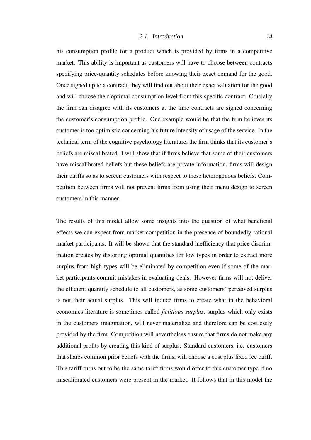#### 2.1. Introduction 14

his consumption profile for a product which is provided by firms in a competitive market. This ability is important as customers will have to choose between contracts specifying price-quantity schedules before knowing their exact demand for the good. Once signed up to a contract, they will find out about their exact valuation for the good and will choose their optimal consumption level from this specific contract. Crucially the firm can disagree with its customers at the time contracts are signed concerning the customer's consumption profile. One example would be that the firm believes its customer is too optimistic concerning his future intensity of usage of the service. In the technical term of the cognitive psychology literature, the firm thinks that its customer's beliefs are miscalibrated. I will show that if firms believe that some of their customers have miscalibrated beliefs but these beliefs are private information, firms will design their tariffs so as to screen customers with respect to these heterogenous beliefs. Competition between firms will not prevent firms from using their menu design to screen customers in this manner.

The results of this model allow some insights into the question of what beneficial effects we can expect from market competition in the presence of boundedly rational market participants. It will be shown that the standard inefficiency that price discrimination creates by distorting optimal quantities for low types in order to extract more surplus from high types will be eliminated by competition even if some of the market participants commit mistakes in evaluating deals. However firms will not deliver the efficient quantity schedule to all customers, as some customers' perceived surplus is not their actual surplus. This will induce firms to create what in the behavioral economics literature is sometimes called *fictitious surplus*, surplus which only exists in the customers imagination, will never materialize and therefore can be costlessly provided by the firm. Competition will nevertheless ensure that firms do not make any additional profits by creating this kind of surplus. Standard customers, i.e. customers that shares common prior beliefs with the firms, will choose a cost plus fixed fee tariff. This tariff turns out to be the same tariff firms would offer to this customer type if no miscalibrated customers were present in the market. It follows that in this model the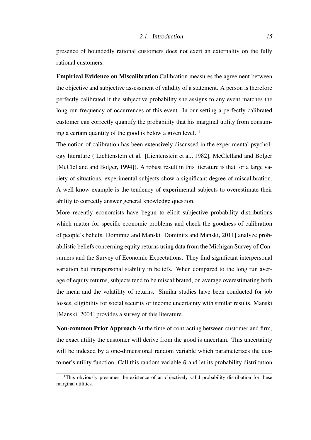#### 2.1. Introduction 15

presence of boundedly rational customers does not exert an externality on the fully rational customers.

Empirical Evidence on Miscalibration Calibration measures the agreement between the objective and subjective assessment of validity of a statement. A person is therefore perfectly calibrated if the subjective probability she assigns to any event matches the long run frequency of occurrences of this event. In our setting a perfectly calibrated customer can correctly quantify the probability that his marginal utility from consuming a certain quantity of the good is below a given level.  $<sup>1</sup>$ </sup>

The notion of calibration has been extensively discussed in the experimental psychology literature ( Lichtenstein et al. [Lichtenstein et al., 1982], McClelland and Bolger [McClelland and Bolger, 1994]). A robust result in this literature is that for a large variety of situations, experimental subjects show a significant degree of miscalibration. A well know example is the tendency of experimental subjects to overestimate their ability to correctly answer general knowledge question.

More recently economists have begun to elicit subjective probability distributions which matter for specific economic problems and check the goodness of calibration of people's beliefs. Dominitz and Manski [Dominitz and Manski, 2011] analyze probabilistic beliefs concerning equity returns using data from the Michigan Survey of Consumers and the Survey of Economic Expectations. They find significant interpersonal variation but intrapersonal stability in beliefs. When compared to the long run average of equity returns, subjects tend to be miscalibrated, on average overestimating both the mean and the volatility of returns. Similar studies have been conducted for job losses, eligibility for social security or income uncertainty with similar results. Manski [Manski, 2004] provides a survey of this literature.

Non-common Prior Approach At the time of contracting between customer and firm, the exact utility the customer will derive from the good is uncertain. This uncertainty will be indexed by a one-dimensional random variable which parameterizes the customer's utility function. Call this random variable  $\theta$  and let its probability distribution

<sup>&</sup>lt;sup>1</sup>This obviously presumes the existence of an objectively valid probability distribution for these marginal utilities.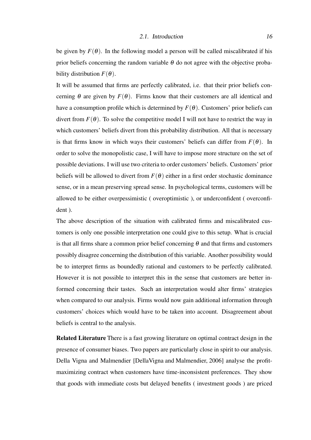be given by  $F(\theta)$ . In the following model a person will be called miscalibrated if his prior beliefs concerning the random variable  $\theta$  do not agree with the objective probability distribution  $F(\theta)$ .

It will be assumed that firms are perfectly calibrated, i.e. that their prior beliefs concerning  $\theta$  are given by  $F(\theta)$ . Firms know that their customers are all identical and have a consumption profile which is determined by  $F(\theta)$ . Customers' prior beliefs can divert from  $F(\theta)$ . To solve the competitive model I will not have to restrict the way in which customers' beliefs divert from this probability distribution. All that is necessary is that firms know in which ways their customers' beliefs can differ from  $F(\theta)$ . In order to solve the monopolistic case, I will have to impose more structure on the set of possible deviations. I will use two criteria to order customers' beliefs. Customers' prior beliefs will be allowed to divert from  $F(\theta)$  either in a first order stochastic dominance sense, or in a mean preserving spread sense. In psychological terms, customers will be allowed to be either overpessimistic ( overoptimistic ), or underconfident ( overconfident ).

The above description of the situation with calibrated firms and miscalibrated customers is only one possible interpretation one could give to this setup. What is crucial is that all firms share a common prior belief concerning  $\theta$  and that firms and customers possibly disagree concerning the distribution of this variable. Another possibility would be to interpret firms as boundedly rational and customers to be perfectly calibrated. However it is not possible to interpret this in the sense that customers are better informed concerning their tastes. Such an interpretation would alter firms' strategies when compared to our analysis. Firms would now gain additional information through customers' choices which would have to be taken into account. Disagreement about beliefs is central to the analysis.

Related Literature There is a fast growing literature on optimal contract design in the presence of consumer biases. Two papers are particularly close in spirit to our analysis. Della Vigna and Malmendier [DellaVigna and Malmendier, 2006] analyse the profitmaximizing contract when customers have time-inconsistent preferences. They show that goods with immediate costs but delayed benefits ( investment goods ) are priced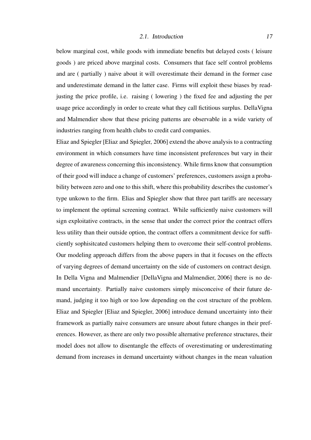#### 2.1. Introduction 2.1.

below marginal cost, while goods with immediate benefits but delayed costs ( leisure goods ) are priced above marginal costs. Consumers that face self control problems and are ( partially ) naive about it will overestimate their demand in the former case and underestimate demand in the latter case. Firms will exploit these biases by readjusting the price profile, i.e. raising ( lowering ) the fixed fee and adjusting the per usage price accordingly in order to create what they call fictitious surplus. DellaVigna and Malmendier show that these pricing patterns are observable in a wide variety of industries ranging from health clubs to credit card companies.

Eliaz and Spiegler [Eliaz and Spiegler, 2006] extend the above analysis to a contracting environment in which consumers have time inconsistent preferences but vary in their degree of awareness concerning this inconsistency. While firms know that consumption of their good will induce a change of customers' preferences, customers assign a probability between zero and one to this shift, where this probability describes the customer's type unkown to the firm. Elias and Spiegler show that three part tariffs are necessary to implement the optimal screening contract. While sufficiently naive customers will sign exploitative contracts, in the sense that under the correct prior the contract offers less utility than their outside option, the contract offers a commitment device for sufficiently sophisitcated customers helping them to overcome their self-control problems. Our modeling approach differs from the above papers in that it focuses on the effects of varying degrees of demand uncertainty on the side of customers on contract design. In Della Vigna and Malmendier [DellaVigna and Malmendier, 2006] there is no demand uncertainty. Partially naive customers simply misconceive of their future demand, judging it too high or too low depending on the cost structure of the problem. Eliaz and Spiegler [Eliaz and Spiegler, 2006] introduce demand uncertainty into their framework as partially naive consumers are unsure about future changes in their preferences. However, as there are only two possible alternative preference structures, their model does not allow to disentangle the effects of overestimating or underestimating demand from increases in demand uncertainty without changes in the mean valuation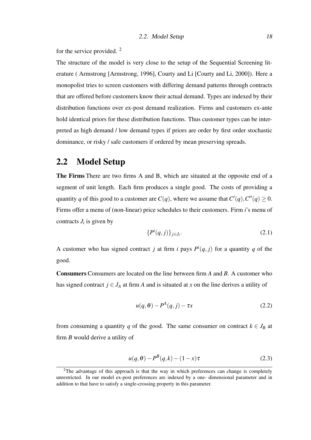for the service provided. <sup>2</sup>

The structure of the model is very close to the setup of the Sequential Screening literature ( Armstrong [Armstrong, 1996], Courty and Li [Courty and Li, 2000]). Here a monopolist tries to screen customers with differing demand patterns through contracts that are offered before customers know their actual demand. Types are indexed by their distribution functions over ex-post demand realization. Firms and customers ex-ante hold identical priors for these distribution functions. Thus customer types can be interpreted as high demand / low demand types if priors are order by first order stochastic dominance, or risky / safe customers if ordered by mean preserving spreads.

## 2.2 Model Setup

The Firms There are two firms A and B, which are situated at the opposite end of a segment of unit length. Each firm produces a single good. The costs of providing a quantity *q* of this good to a customer are  $C(q)$ , where we assume that  $C'(q)$ ,  $C''(q) \ge 0$ . Firms offer a menu of (non-linear) price schedules to their customers. Firm *i*'s menu of contracts  $J_i$  is given by

$$
\{P^i(q,j)\}_{j\in J_i}.\tag{2.1}
$$

A customer who has signed contract *j* at firm *i* pays  $P^{i}(q, j)$  for a quantity *q* of the good.

Consumers Consumers are located on the line between firm *A* and *B*. A customer who has signed contract  $j \in J_A$  at firm *A* and is situated at *x* on the line derives a utility of

$$
u(q, \theta) - P^A(q, j) - \tau x \tag{2.2}
$$

from consuming a quantity *q* of the good. The same consumer on contract  $k \in J_B$  at firm *B* would derive a utility of

$$
u(q, \theta) - P^{B}(q, k) - (1 - x)\tau
$$
\n(2.3)

<sup>&</sup>lt;sup>2</sup>The advantage of this approach is that the way in which preferences can change is completely unrestricted. In our model ex-post preferences are indexed by a one- dimensional parameter and in addition to that have to satisfy a single-crossing property in this parameter.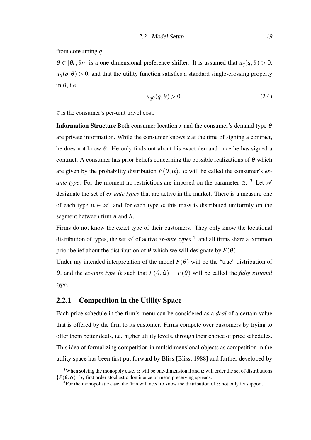from consuming *q*.

 $\theta \in [\theta_L, \theta_H]$  is a one-dimensional preference shifter. It is assumed that  $u_q(q, \theta) > 0$ ,  $u_{\theta}(q, \theta) > 0$ , and that the utility function satisfies a standard single-crossing property in  $\theta$ , i.e.

$$
u_q \theta(q, \theta) > 0. \tag{2.4}
$$

 $\tau$  is the consumer's per-unit travel cost.

**Information Structure** Both consumer location *x* and the consumer's demand type  $\theta$ are private information. While the consumer knows *x* at the time of signing a contract, he does not know  $\theta$ . He only finds out about his exact demand once he has signed a contract. A consumer has prior beliefs concerning the possible realizations of  $\theta$  which are given by the probability distribution  $F(\theta, \alpha)$ .  $\alpha$  will be called the consumer's *exante type*. For the moment no restrictions are imposed on the parameter  $\alpha$ . <sup>3</sup> Let  $\alpha$ designate the set of *ex-ante types* that are active in the market. There is a measure one of each type  $\alpha \in \mathcal{A}$ , and for each type  $\alpha$  this mass is distributed uniformly on the segment between firm *A* and *B*.

Firms do not know the exact type of their customers. They only know the locational distribution of types, the set  $\mathscr A$  of active *ex-ante types*  $\mathscr A$ , and all firms share a common prior belief about the distribution of  $\theta$  which we will designate by  $F(\theta)$ .

Under my intended interpretation of the model  $F(\theta)$  will be the "true" distribution of θ, and the *ex-ante type*  $\hat{\alpha}$  such that  $F(\theta, \hat{\alpha}) = F(\theta)$  will be called the *fully rational type*.

#### 2.2.1 Competition in the Utility Space

Each price schedule in the firm's menu can be considered as a *deal* of a certain value that is offered by the firm to its customer. Firms compete over customers by trying to offer them better deals, i.e. higher utility levels, through their choice of price schedules. This idea of formalizing competition in multidimensional objects as competition in the utility space has been first put forward by Bliss [Bliss, 1988] and further developed by

<sup>&</sup>lt;sup>3</sup>When solving the monopoly case,  $\alpha$  will be one-dimensional and  $\alpha$  will order the set of distributions  ${F(\theta, \alpha)}$  by first order stochastic dominance or mean preserving spreads.

<sup>&</sup>lt;sup>4</sup>For the monopolistic case, the firm will need to know the distribution of  $\alpha$  not only its support.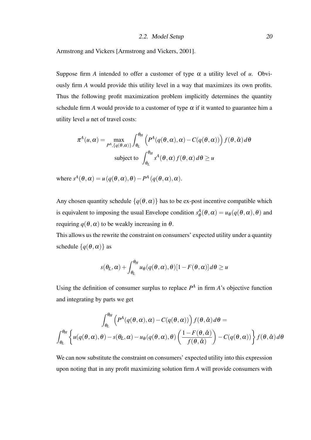2.2. Model Setup 20

Armstrong and Vickers [Armstrong and Vickers, 2001].

Suppose firm *A* intended to offer a customer of type  $\alpha$  a utility level of *u*. Obviously firm *A* would provide this utility level in a way that maximizes its own profits. Thus the following profit maximization problem implicitly determines the quantity schedule firm *A* would provide to a customer of type  $\alpha$  if it wanted to guarantee him a utility level *u* net of travel costs:

$$
\pi^{A}(u,\alpha) = \max_{P^{A},\{q(\theta,\alpha)\}} \int_{\theta_{L}}^{\theta_{H}} \left( P^{A}(q(\theta,\alpha),\alpha) - C(q(\theta,\alpha)) \right) f(\theta,\hat{\alpha}) d\theta
$$
  
subject to 
$$
\int_{\theta_{L}}^{\theta_{H}} s^{A}(\theta,\alpha) f(\theta,\alpha) d\theta \ge u
$$

where  $s^A(\theta, \alpha) = u(q(\theta, \alpha), \theta) - P^A(q(\theta, \alpha), \alpha)$ .

Any chosen quantity schedule  $\{q(\theta, \alpha)\}\$  has to be ex-post incentive compatible which is equivalent to imposing the usual Envelope condition  $s^A_\theta$  $\theta_{\theta}^{A}(\theta,\alpha) = u_{\theta}(q(\theta,\alpha),\theta)$  and requiring  $q(θ, α)$  to be weakly increasing in  $θ$ .

This allows us the rewrite the constraint on consumers' expected utility under a quantity schedule  $\{q(\theta, \alpha)\}\$ as

$$
s(\theta_L, \alpha) + \int_{\theta_L}^{\theta_H} u_{\theta}(q(\theta, \alpha), \theta) [1 - F(\theta, \alpha)] d\theta \ge u
$$

Using the definition of consumer surplus to replace  $P^A$  in firm  $A$ 's objective function and integrating by parts we get

$$
\int_{\theta_L}^{\theta_H} \left( P^A(q(\theta,\alpha),\alpha) - C(q(\theta,\alpha)) \right) f(\theta, \hat{\alpha}) d\theta =
$$
  

$$
\int_{\theta_L}^{\theta_H} \left\{ u(q(\theta,\alpha),\theta) - s(\theta_L,\alpha) - u_{\theta}(q(\theta,\alpha),\theta) \left( \frac{1 - F(\theta, \hat{\alpha})}{f(\theta, \hat{\alpha})} \right) - C(q(\theta,\alpha)) \right\} f(\theta, \hat{\alpha}) d\theta
$$

We can now substitute the constraint on consumers' expected utility into this expression upon noting that in any profit maximizing solution firm *A* will provide consumers with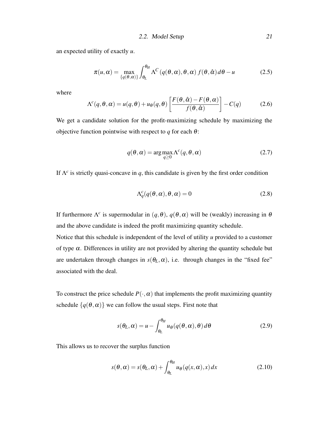2.2. Model Setup 21

an expected utility of exactly *u*.

$$
\pi(u,\alpha) = \max_{\{q(\theta,\alpha)\}} \int_{\theta_L}^{\theta_H} \Lambda^C(q(\theta,\alpha),\theta,\alpha) f(\theta,\hat{\alpha}) d\theta - u \tag{2.5}
$$

where

$$
\Lambda^{c}(q,\theta,\alpha) = u(q,\theta) + u_{\theta}(q,\theta) \left[ \frac{F(\theta,\hat{\alpha}) - F(\theta,\alpha)}{f(\theta,\hat{\alpha})} \right] - C(q) \tag{2.6}
$$

We get a candidate solution for the profit-maximizing schedule by maximizing the objective function pointwise with respect to  $q$  for each  $\theta$ :

$$
q(\theta, \alpha) = \arg \max_{q \ge 0} \Lambda^c(q, \theta, \alpha)
$$
 (2.7)

If  $\Lambda^c$  is strictly quasi-concave in *q*, this candidate is given by the first order condition

$$
\Lambda_q^c(q(\theta,\alpha),\theta,\alpha) = 0 \tag{2.8}
$$

If furthermore  $\Lambda^c$  is supermodular in  $(q, \theta)$ ,  $q(\theta, \alpha)$  will be (weakly) increasing in  $\theta$ and the above candidate is indeed the profit maximizing quantity schedule.

Notice that this schedule is independent of the level of utility *u* provided to a customer of type  $\alpha$ . Differences in utility are not provided by altering the quantity schedule but are undertaken through changes in  $s(\theta_L, \alpha)$ , i.e. through changes in the "fixed fee" associated with the deal.

To construct the price schedule  $P(\cdot, \alpha)$  that implements the profit maximizing quantity schedule  $\{q(\theta, \alpha)\}\$  we can follow the usual steps. First note that

$$
s(\theta_L, \alpha) = u - \int_{\theta_L}^{\theta_H} u_{\theta}(q(\theta, \alpha), \theta) d\theta
$$
 (2.9)

This allows us to recover the surplus function

$$
s(\theta, \alpha) = s(\theta_L, \alpha) + \int_{\theta_L}^{\theta_H} u_{\theta}(q(x, \alpha), x) dx
$$
 (2.10)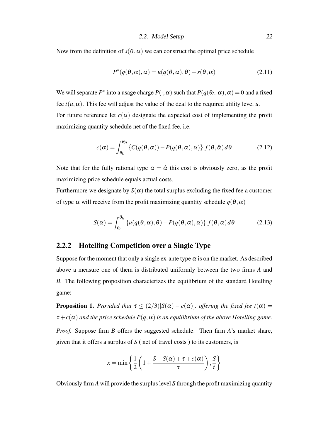Now from the definition of  $s(\theta, \alpha)$  we can construct the optimal price schedule

$$
P^*(q(\theta,\alpha),\alpha) = u(q(\theta,\alpha),\theta) - s(\theta,\alpha)
$$
\n(2.11)

We will separate  $P^*$  into a usage charge  $P(\cdot, \alpha)$  such that  $P(q(\theta_L, \alpha), \alpha) = 0$  and a fixed fee  $t(u, \alpha)$ . This fee will adjust the value of the deal to the required utility level *u*. For future reference let  $c(\alpha)$  designate the expected cost of implementing the profit maximizing quantity schedule net of the fixed fee, i.e.

$$
c(\alpha) = \int_{\theta_L}^{\theta_H} \left\{ C(q(\theta, \alpha)) - P(q(\theta, \alpha), \alpha) \right\} f(\theta, \hat{\alpha}) d\theta \tag{2.12}
$$

Note that for the fully rational type  $\alpha = \hat{\alpha}$  this cost is obviously zero, as the profit maximizing price schedule equals actual costs.

Furthermore we designate by  $S(\alpha)$  the total surplus excluding the fixed fee a customer of type  $\alpha$  will receive from the profit maximizing quantity schedule  $q(\theta, \alpha)$ 

$$
S(\alpha) = \int_{\theta_L}^{\theta_H} \left\{ u(q(\theta, \alpha), \theta) - P(q(\theta, \alpha), \alpha) \right\} f(\theta, \alpha) d\theta \tag{2.13}
$$

#### 2.2.2 Hotelling Competition over a Single Type

Suppose for the moment that only a single ex-ante type  $\alpha$  is on the market. As described above a measure one of them is distributed uniformly between the two firms *A* and *B*. The following proposition characterizes the equilibrium of the standard Hotelling game:

**Proposition 1.** *Provided that*  $\tau \leq (2/3)[S(\alpha) - c(\alpha)]$ *, offering the fixed fee t*( $\alpha$ ) =  $\tau + c(\alpha)$  *and the price schedule*  $P(q, \alpha)$  *is an equilibrium of the above Hotelling game. Proof.* Suppose firm *B* offers the suggested schedule. Then firm *A*'s market share, given that it offers a surplus of *S* ( net of travel costs ) to its customers, is

$$
x = \min\left\{\frac{1}{2}\left(1 + \frac{S - S(\alpha) + \tau + c(\alpha)}{\tau}\right), \frac{S}{t}\right\}
$$

Obviously firm *A* will provide the surplus level *S* through the profit maximizing quantity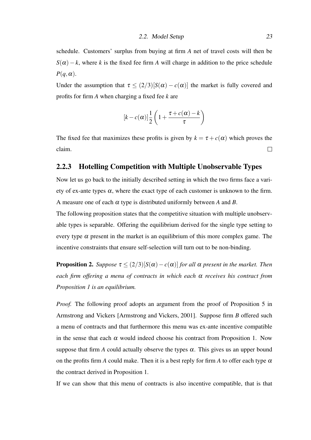schedule. Customers' surplus from buying at firm *A* net of travel costs will then be  $S(\alpha) - k$ , where *k* is the fixed fee firm *A* will charge in addition to the price schedule  $P(q, \alpha)$ .

Under the assumption that  $\tau \leq (2/3)[S(\alpha) - c(\alpha)]$  the market is fully covered and profits for firm *A* when charging a fixed fee *k* are

$$
[k-c(\alpha)]\frac{1}{2}\left(1+\frac{\tau+c(\alpha)-k}{\tau}\right)
$$

The fixed fee that maximizes these profits is given by  $k = \tau + c(\alpha)$  which proves the claim.  $\Box$ 

#### 2.2.3 Hotelling Competition with Multiple Unobservable Types

Now let us go back to the initially described setting in which the two firms face a variety of ex-ante types  $\alpha$ , where the exact type of each customer is unknown to the firm. A measure one of each α type is distributed uniformly between *A* and *B*.

The following proposition states that the competitive situation with multiple unobservable types is separable. Offering the equilibrium derived for the single type setting to every type  $\alpha$  present in the market is an equilibrium of this more complex game. The incentive constraints that ensure self-selection will turn out to be non-binding.

**Proposition 2.** *Suppose*  $\tau \leq (2/3)[S(\alpha) - c(\alpha)]$  *for all*  $\alpha$  *present in the market. Then each firm offering a menu of contracts in which each* α *receives his contract from Proposition 1 is an equilibrium.*

*Proof.* The following proof adopts an argument from the proof of Proposition 5 in Armstrong and Vickers [Armstrong and Vickers, 2001]. Suppose firm *B* offered such a menu of contracts and that furthermore this menu was ex-ante incentive compatible in the sense that each  $\alpha$  would indeed choose his contract from Proposition 1. Now suppose that firm *A* could actually observe the types  $\alpha$ . This gives us an upper bound on the profits firm *A* could make. Then it is a best reply for firm *A* to offer each type  $\alpha$ the contract derived in Proposition 1.

If we can show that this menu of contracts is also incentive compatible, that is that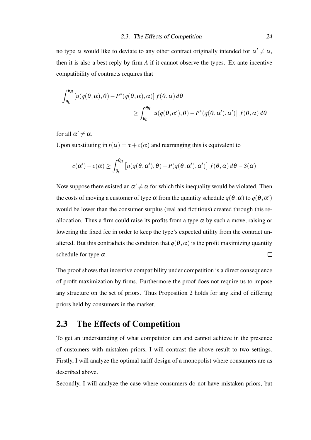no type  $\alpha$  would like to deviate to any other contract originally intended for  $\alpha' \neq \alpha$ , then it is also a best reply by firm *A* if it cannot observe the types. Ex-ante incentive compatibility of contracts requires that

$$
\int_{\theta_L}^{\theta_H} \left[ u(q(\theta, \alpha), \theta) - P^*(q(\theta, \alpha), \alpha) \right] f(\theta, \alpha) d\theta
$$
  
 
$$
\geq \int_{\theta_L}^{\theta_H} \left[ u(q(\theta, \alpha'), \theta) - P^*(q(\theta, \alpha'), \alpha') \right] f(\theta, \alpha) d\theta
$$

for all  $\alpha' \neq \alpha$ .

Upon substituting in  $t(\alpha) = \tau + c(\alpha)$  and rearranging this is equivalent to

$$
c(\alpha') - c(\alpha) \ge \int_{\theta_L}^{\theta_H} \left[ u(q(\theta, \alpha'), \theta) - P(q(\theta, \alpha'), \alpha') \right] f(\theta, \alpha) d\theta - S(\alpha)
$$

Now suppose there existed an  $\alpha' \neq \alpha$  for which this inequality would be violated. Then the costs of moving a customer of type  $\alpha$  from the quantity schedule  $q(\theta, \alpha)$  to  $q(\theta, \alpha')$ would be lower than the consumer surplus (real and fictitious) created through this reallocation. Thus a firm could raise its profits from a type  $\alpha$  by such a move, raising or lowering the fixed fee in order to keep the type's expected utility from the contract unaltered. But this contradicts the condition that  $q(\theta, \alpha)$  is the profit maximizing quantity  $\Box$ schedule for type  $\alpha$ .

The proof shows that incentive compatibility under competition is a direct consequence of profit maximization by firms. Furthermore the proof does not require us to impose any structure on the set of priors. Thus Proposition 2 holds for any kind of differing priors held by consumers in the market.

## 2.3 The Effects of Competition

To get an understanding of what competition can and cannot achieve in the presence of customers with mistaken priors, I will contrast the above result to two settings. Firstly, I will analyze the optimal tariff design of a monopolist where consumers are as described above.

Secondly, I will analyze the case where consumers do not have mistaken priors, but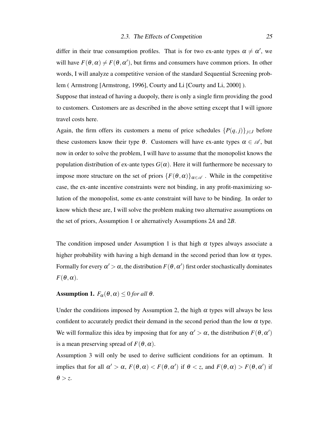differ in their true consumption profiles. That is for two ex-ante types  $\alpha \neq \alpha'$ , we will have  $F(\theta, \alpha) \neq F(\theta, \alpha')$ , but firms and consumers have common priors. In other words, I will analyze a competitive version of the standard Sequential Screening problem (Armstrong [Armstrong, 1996], Courty and Li [Courty and Li, 2000]).

Suppose that instead of having a duopoly, there is only a single firm providing the good to customers. Customers are as described in the above setting except that I will ignore travel costs here.

Again, the firm offers its customers a menu of price schedules  $\{P(q, j)\}_{j \in J}$  before these customers know their type  $\theta$ . Customers will have ex-ante types  $\alpha \in \mathcal{A}$ , but now in order to solve the problem, I will have to assume that the monopolist knows the population distribution of ex-ante types  $G(\alpha)$ . Here it will furthermore be necessary to impose more structure on the set of priors  $\{F(\theta, \alpha)\}_{\alpha \in \mathcal{A}}$ . While in the competitive case, the ex-ante incentive constraints were not binding, in any profit-maximizing solution of the monopolist, some ex-ante constraint will have to be binding. In order to know which these are, I will solve the problem making two alternative assumptions on the set of priors, Assumption 1 or alternatively Assumptions 2*A* and 2*B*.

The condition imposed under Assumption 1 is that high  $\alpha$  types always associate a higher probability with having a high demand in the second period than low  $\alpha$  types. Formally for every  $\alpha' > \alpha$ , the distribution  $F(\theta, \alpha')$  first order stochastically dominates  $F(\theta, \alpha)$ .

#### **Assumption 1.**  $F_{\alpha}(\theta, \alpha) \leq 0$  *for all*  $\theta$ *.*

Under the conditions imposed by Assumption 2, the high  $\alpha$  types will always be less confident to accurately predict their demand in the second period than the low  $\alpha$  type. We will formalize this idea by imposing that for any  $\alpha' > \alpha$ , the distribution  $F(\theta, \alpha')$ is a mean preserving spread of  $F(\theta, \alpha)$ .

Assumption 3 will only be used to derive sufficient conditions for an optimum. It implies that for all  $\alpha' > \alpha$ ,  $F(\theta, \alpha) < F(\theta, \alpha')$  if  $\theta < z$ , and  $F(\theta, \alpha) > F(\theta, \alpha')$  if  $\theta > z$ .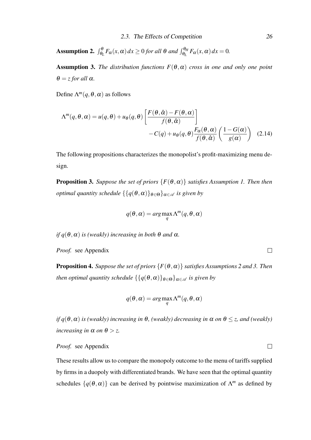**Assumption 2.**  $\int_{\theta_L}^{\theta} F_\alpha(x, \alpha) dx \ge 0$  *for all*  $\theta$  *and*  $\int_{\theta_L}^{\theta_H} F_\alpha(x, \alpha) dx = 0$ *.* 

Assumption 3. *The distribution functions F*(θ,α) *cross in one and only one point*  $\theta = z$  *for all*  $\alpha$ *.* 

Define  $\Lambda^m(q, \theta, \alpha)$  as follows

$$
\Lambda^{m}(q, \theta, \alpha) = u(q, \theta) + u_{\theta}(q, \theta) \left[ \frac{F(\theta, \hat{\alpha}) - F(\theta, \alpha)}{f(\theta, \hat{\alpha})} \right] - C(q) + u_{\theta}(q, \theta) \frac{F_{\alpha}(\theta, \alpha)}{f(\theta, \hat{\alpha})} \left( \frac{1 - G(\alpha)}{g(\alpha)} \right) \quad (2.14)
$$

The following propositions characterizes the monopolist's profit-maximizing menu design.

**Proposition 3.** *Suppose the set of priors*  $\{F(\theta, \alpha)\}$  *satisfies Assumption 1. Then then optimal quantity schedule*  $\{ \{ q(\theta, \alpha) \}_{\theta \in \Theta} \}_{\alpha \in \mathcal{A}}$  *is given by* 

$$
q(\theta, \alpha) = \arg\max_{q} \Lambda^m(q, \theta, \alpha)
$$

*if*  $q(\theta, \alpha)$  *is (weakly) increasing in both*  $\theta$  *and*  $\alpha$ *.* 

*Proof.* see Appendix

**Proposition 4.** *Suppose the set of priors*  $\{F(\theta, \alpha)\}$  *satisfies Assumptions 2 and 3. Then then optimal quantity schedule*  $\{\{q(\theta, \alpha)\}_{\theta \in \Theta}\}_{{\alpha \in \mathcal{A}}}$  *is given by* 

$$
q(\theta,\alpha)=\arg\max_q \Lambda^m(q,\theta,\alpha)
$$

*if q*( $\theta$ , $\alpha$ ) *is (weakly) increasing in*  $\theta$ , (weakly) decreasing in  $\alpha$  *on*  $\theta \le z$ , and (weakly) *increasing in*  $\alpha$  *on*  $\theta > z$ *.* 

#### *Proof.* see Appendix

These results allow us to compare the monopoly outcome to the menu of tariffs supplied by firms in a duopoly with differentiated brands. We have seen that the optimal quantity schedules  $\{q(\theta, \alpha)\}\)$  can be derived by pointwise maximization of  $\Lambda^m$  as defined by

 $\Box$ 

 $\Box$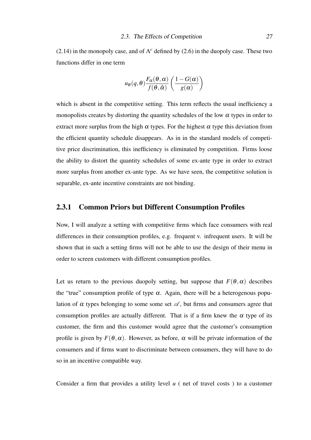(2.14) in the monopoly case, and of  $\Lambda^c$  defined by (2.6) in the duopoly case. These two functions differ in one term

$$
u_{\theta}(q,\theta)\frac{F_{\alpha}(\theta,\alpha)}{f(\theta,\hat{\alpha})}\left(\frac{1-G(\alpha)}{g(\alpha)}\right)
$$

which is absent in the competitive setting. This term reflects the usual inefficiency a monopolists creates by distorting the quantity schedules of the low  $\alpha$  types in order to extract more surplus from the high  $\alpha$  types. For the highest  $\alpha$  type this deviation from the efficient quantity schedule disappears. As in in the standard models of competitive price discrimination, this inefficiency is eliminated by competition. Firms loose the ability to distort the quantity schedules of some ex-ante type in order to extract more surplus from another ex-ante type. As we have seen, the competitive solution is separable, ex-ante incentive constraints are not binding.

#### 2.3.1 Common Priors but Different Consumption Profiles

Now, I will analyze a setting with competitive firms which face consumers with real differences in their consumption profiles, e.g. frequent v. infrequent users. It will be shown that in such a setting firms will not be able to use the design of their menu in order to screen customers with different consumption profiles.

Let us return to the previous duopoly setting, but suppose that  $F(\theta, \alpha)$  describes the "true" consumption profile of type  $\alpha$ . Again, there will be a heterogenous population of  $\alpha$  types belonging to some some set  $\mathscr A$ , but firms and consumers agree that consumption profiles are actually different. That is if a firm knew the  $\alpha$  type of its customer, the firm and this customer would agree that the customer's consumption profile is given by  $F(\theta, \alpha)$ . However, as before,  $\alpha$  will be private information of the consumers and if firms want to discriminate between consumers, they will have to do so in an incentive compatible way.

Consider a firm that provides a utility level *u* ( net of travel costs ) to a customer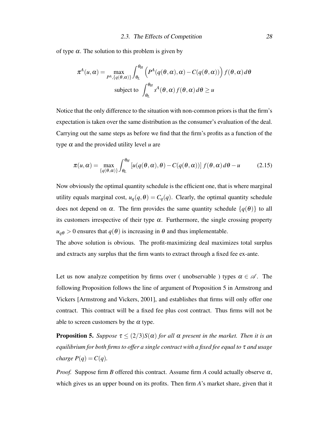of type  $\alpha$ . The solution to this problem is given by

$$
\pi^{A}(u,\alpha) = \max_{P^{A}, \{q(\theta,\alpha)\}} \int_{\theta_{L}}^{\theta_{H}} \left( P^{A}(q(\theta,\alpha),\alpha) - C(q(\theta,\alpha)) \right) f(\theta,\alpha) d\theta
$$
  
subject to 
$$
\int_{\theta_{L}}^{\theta_{H}} s^{A}(\theta,\alpha) f(\theta,\alpha) d\theta \ge u
$$

Notice that the only difference to the situation with non-common priors is that the firm's expectation is taken over the same distribution as the consumer's evaluation of the deal. Carrying out the same steps as before we find that the firm's profits as a function of the type  $\alpha$  and the provided utility level  $u$  are

$$
\pi(u,\alpha) = \max_{\{q(\theta,\alpha)\}} \int_{\theta_L}^{\theta_H} \left[ u(q(\theta,\alpha),\theta) - C(q(\theta,\alpha)) \right] f(\theta,\alpha) d\theta - u \tag{2.15}
$$

Now obviously the optimal quantity schedule is the efficient one, that is where marginal utility equals marginal cost,  $u_q(q, \theta) = C_q(q)$ . Clearly, the optimal quantity schedule does not depend on  $\alpha$ . The firm provides the same quantity schedule  $\{q(\theta)\}\$ to all its customers irrespective of their type  $\alpha$ . Furthermore, the single crossing property  $u_{q\theta} > 0$  ensures that  $q(\theta)$  is increasing in  $\theta$  and thus implementable.

The above solution is obvious. The profit-maximizing deal maximizes total surplus and extracts any surplus that the firm wants to extract through a fixed fee ex-ante.

Let us now analyze competition by firms over ( unobservable ) types  $\alpha \in \mathcal{A}$ . The following Proposition follows the line of argument of Proposition 5 in Armstrong and Vickers [Armstrong and Vickers, 2001], and establishes that firms will only offer one contract. This contract will be a fixed fee plus cost contract. Thus firms will not be able to screen customers by the  $\alpha$  type.

**Proposition 5.** *Suppose*  $\tau \leq (2/3)S(\alpha)$  *for all*  $\alpha$  *present in the market. Then it is an equilibrium for both firms to offer a single contract with a fixed fee equal to* τ *and usage charge*  $P(q) = C(q)$ *.* 

*Proof.* Suppose firm *B* offered this contract. Assume firm *A* could actually observe  $\alpha$ , which gives us an upper bound on its profits. Then firm *A*'s market share, given that it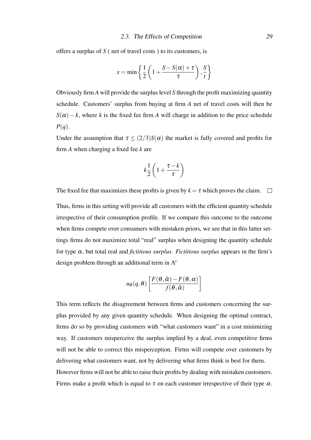offers a surplus of *S* ( net of travel costs ) to its customers, is

$$
x = \min\left\{\frac{1}{2}\left(1 + \frac{S - S(\alpha) + \tau}{\tau}\right), \frac{S}{t}\right\}
$$

Obviously firm *A* will provide the surplus level *S* through the profit maximizing quantity schedule. Customers' surplus from buying at firm *A* net of travel costs will then be  $S(\alpha) - k$ , where *k* is the fixed fee firm *A* will charge in addition to the price schedule *P*(*q*).

Under the assumption that  $\tau \leq (2/3)S(\alpha)$  the market is fully covered and profits for firm *A* when charging a fixed fee *k* are

$$
k\frac{1}{2}\left(1+\frac{\tau-k}{\tau}\right)
$$

The fixed fee that maximizes these profits is given by  $k = \tau$  which proves the claim.  $\square$ Thus, firms in this setting will provide all customers with the efficient quantity schedule irrespective of their consumption profile. If we compare this outcome to the outcome when firms compete over consumers with mistaken priors, we see that in this latter settings firms do not maximize total "real" surplus when designing the quantity schedule for type α, but total real and *fictitious surplus*. *Fictitious surplus* appears in the firm's design problem through an additional term in Λ *c*

$$
u_{\theta}(q, \theta)\left[\frac{F(\theta, \hat{\alpha}) - F(\theta, \alpha)}{f(\theta, \hat{\alpha})}\right]
$$

This term reflects the disagreement between firms and customers concerning the surplus provided by any given quantity schedule. When designing the optimal contract, firms do so by providing customers with "what customers want" in a cost minimizing way. If customers misperceive the surplus implied by a deal, even competitive firms will not be able to correct this misperception. Firms will compete over customers by delivering what customers want, not by delivering what firms think is best for them. However firms will not be able to raise their profits by dealing with mistaken customers. Firms make a profit which is equal to  $\tau$  on each customer irrespective of their type  $\alpha$ .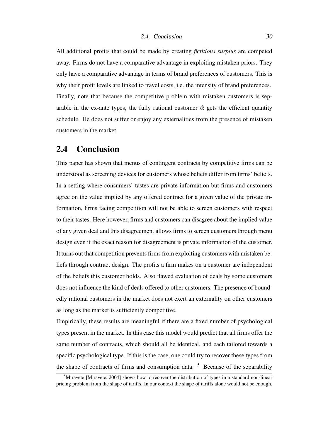All additional profits that could be made by creating *fictitious surplus* are competed away. Firms do not have a comparative advantage in exploiting mistaken priors. They only have a comparative advantage in terms of brand preferences of customers. This is why their profit levels are linked to travel costs, i.e. the intensity of brand preferences. Finally, note that because the competitive problem with mistaken customers is separable in the ex-ante types, the fully rational customer  $\hat{\alpha}$  gets the efficient quantity schedule. He does not suffer or enjoy any externalities from the presence of mistaken customers in the market.

### 2.4 Conclusion

This paper has shown that menus of contingent contracts by competitive firms can be understood as screening devices for customers whose beliefs differ from firms' beliefs. In a setting where consumers' tastes are private information but firms and customers agree on the value implied by any offered contract for a given value of the private information, firms facing competition will not be able to screen customers with respect to their tastes. Here however, firms and customers can disagree about the implied value of any given deal and this disagreement allows firms to screen customers through menu design even if the exact reason for disagreement is private information of the customer. It turns out that competition prevents firms from exploiting customers with mistaken beliefs through contract design. The profits a firm makes on a customer are independent of the beliefs this customer holds. Also flawed evaluation of deals by some customers does not influence the kind of deals offered to other customers. The presence of boundedly rational customers in the market does not exert an externality on other customers as long as the market is sufficiently competitive.

Empirically, these results are meaningful if there are a fixed number of psychological types present in the market. In this case this model would predict that all firms offer the same number of contracts, which should all be identical, and each tailored towards a specific psychological type. If this is the case, one could try to recover these types from the shape of contracts of firms and consumption data.  $5$  Because of the separability

<sup>&</sup>lt;sup>5</sup>Miravete [Miravete, 2004] shows how to recover the distribution of types in a standard non-linear pricing problem from the shape of tariffs. In our context the shape of tariffs alone would not be enough.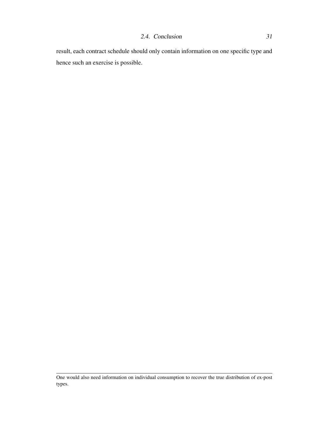result, each contract schedule should only contain information on one specific type and hence such an exercise is possible.

One would also need information on individual consumption to recover the true distribution of ex-post types.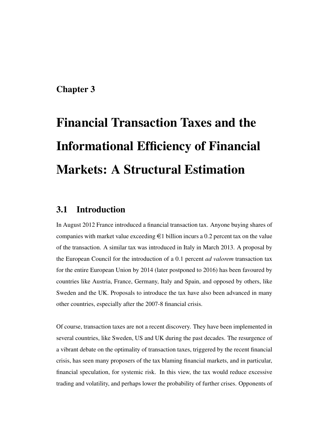# Chapter 3

# Financial Transaction Taxes and the Informational Efficiency of Financial Markets: A Structural Estimation

# 3.1 Introduction

In August 2012 France introduced a financial transaction tax. Anyone buying shares of companies with market value exceeding  $\epsilon$ 1 billion incurs a 0.2 percent tax on the value of the transaction. A similar tax was introduced in Italy in March 2013. A proposal by the European Council for the introduction of a 0.1 percent *ad valorem* transaction tax for the entire European Union by 2014 (later postponed to 2016) has been favoured by countries like Austria, France, Germany, Italy and Spain, and opposed by others, like Sweden and the UK. Proposals to introduce the tax have also been advanced in many other countries, especially after the 2007-8 financial crisis.

Of course, transaction taxes are not a recent discovery. They have been implemented in several countries, like Sweden, US and UK during the past decades. The resurgence of a vibrant debate on the optimality of transaction taxes, triggered by the recent financial crisis, has seen many proposers of the tax blaming financial markets, and in particular, financial speculation, for systemic risk. In this view, the tax would reduce excessive trading and volatility, and perhaps lower the probability of further crises. Opponents of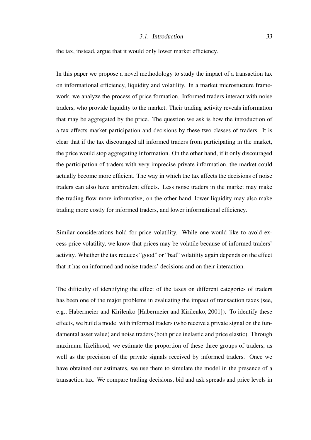#### 3.1. Introduction 33

the tax, instead, argue that it would only lower market efficiency.

In this paper we propose a novel methodology to study the impact of a transaction tax on informational efficiency, liquidity and volatility. In a market microstucture framework, we analyze the process of price formation. Informed traders interact with noise traders, who provide liquidity to the market. Their trading activity reveals information that may be aggregated by the price. The question we ask is how the introduction of a tax affects market participation and decisions by these two classes of traders. It is clear that if the tax discouraged all informed traders from participating in the market, the price would stop aggregating information. On the other hand, if it only discouraged the participation of traders with very imprecise private information, the market could actually become more efficient. The way in which the tax affects the decisions of noise traders can also have ambivalent effects. Less noise traders in the market may make the trading flow more informative; on the other hand, lower liquidity may also make trading more costly for informed traders, and lower informational efficiency.

Similar considerations hold for price volatility. While one would like to avoid excess price volatility, we know that prices may be volatile because of informed traders' activity. Whether the tax reduces "good" or "bad" volatility again depends on the effect that it has on informed and noise traders' decisions and on their interaction.

The difficulty of identifying the effect of the taxes on different categories of traders has been one of the major problems in evaluating the impact of transaction taxes (see, e.g., Habermeier and Kirilenko [Habermeier and Kirilenko, 2001]). To identify these effects, we build a model with informed traders (who receive a private signal on the fundamental asset value) and noise traders (both price inelastic and price elastic). Through maximum likelihood, we estimate the proportion of these three groups of traders, as well as the precision of the private signals received by informed traders. Once we have obtained our estimates, we use them to simulate the model in the presence of a transaction tax. We compare trading decisions, bid and ask spreads and price levels in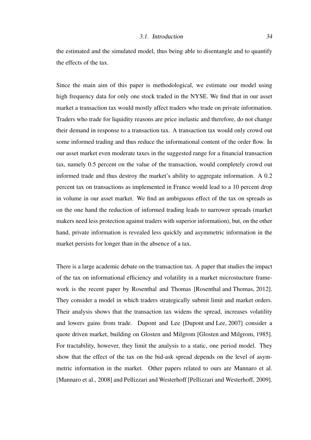#### 3.1. Introduction 34

the estimated and the simulated model, thus being able to disentangle and to quantify the effects of the tax.

Since the main aim of this paper is methodological, we estimate our model using high frequency data for only one stock traded in the NYSE. We find that in our asset market a transaction tax would mostly affect traders who trade on private information. Traders who trade for liquidity reasons are price inelastic and therefore, do not change their demand in response to a transaction tax. A transaction tax would only crowd out some informed trading and thus reduce the informational content of the order flow. In our asset market even moderate taxes in the suggested range for a financial transaction tax, namely 0.5 percent on the value of the transaction, would completely crowd out informed trade and thus destroy the market's ability to aggregate information. A 0.2 percent tax on transactions as implemented in France would lead to a 10 percent drop in volume in our asset market. We find an ambiguous effect of the tax on spreads as on the one hand the reduction of informed trading leads to narrower spreads (market makers need less protection against traders with superior information), but, on the other hand, private information is revealed less quickly and asymmetric information in the market persists for longer than in the absence of a tax.

There is a large academic debate on the transaction tax. A paper that studies the impact of the tax on informational efficiency and volatility in a market microstucture framework is the recent paper by Rosenthal and Thomas [Rosenthal and Thomas, 2012]. They consider a model in which traders strategically submit limit and market orders. Their analysis shows that the transaction tax widens the spread, increases volatility and lowers gains from trade. Dupont and Lee [Dupont and Lee, 2007] consider a quote driven market, building on Glosten and Milgrom [Glosten and Milgrom, 1985]. For tractability, however, they limit the analysis to a static, one period model. They show that the effect of the tax on the bid-ask spread depends on the level of asymmetric information in the market. Other papers related to ours are Mannaro et al. [Mannaro et al., 2008] and Pellizzari and Westerhoff [Pellizzari and Westerhoff, 2009].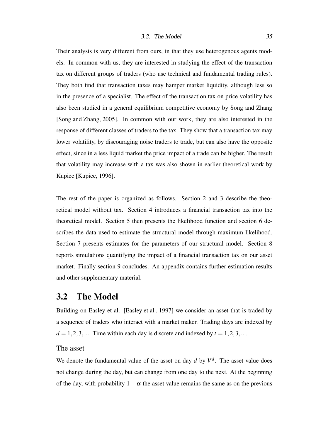#### 3.2. The Model  $35$

Their analysis is very different from ours, in that they use heterogenous agents models. In common with us, they are interested in studying the effect of the transaction tax on different groups of traders (who use technical and fundamental trading rules). They both find that transaction taxes may hamper market liquidity, although less so in the presence of a specialist. The effect of the transaction tax on price volatility has also been studied in a general equilibrium competitive economy by Song and Zhang [Song and Zhang, 2005]. In common with our work, they are also interested in the response of different classes of traders to the tax. They show that a transaction tax may lower volatility, by discouraging noise traders to trade, but can also have the opposite effect, since in a less liquid market the price impact of a trade can be higher. The result that volatility may increase with a tax was also shown in earlier theoretical work by Kupiec [Kupiec, 1996].

The rest of the paper is organized as follows. Section 2 and 3 describe the theoretical model without tax. Section 4 introduces a financial transaction tax into the theoretical model. Section 5 then presents the likelihood function and section 6 describes the data used to estimate the structural model through maximum likelihood. Section 7 presents estimates for the parameters of our structural model. Section 8 reports simulations quantifying the impact of a financial transaction tax on our asset market. Finally section 9 concludes. An appendix contains further estimation results and other supplementary material.

## 3.2 The Model

Building on Easley et al. [Easley et al., 1997] we consider an asset that is traded by a sequence of traders who interact with a market maker. Trading days are indexed by  $d = 1, 2, 3, \dots$  Time within each day is discrete and indexed by  $t = 1, 2, 3, \dots$ 

#### The asset

We denote the fundamental value of the asset on day  $d$  by  $V^d$ . The asset value does not change during the day, but can change from one day to the next. At the beginning of the day, with probability  $1-\alpha$  the asset value remains the same as on the previous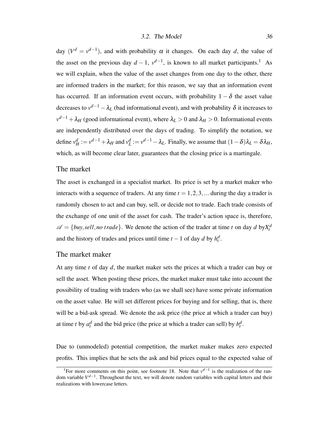day  $(V^d = v^{d-1})$ , and with probability  $\alpha$  it changes. On each day *d*, the value of the asset on the previous day  $d-1$ ,  $v^{d-1}$ , is known to all market participants.<sup>1</sup> As we will explain, when the value of the asset changes from one day to the other, there are informed traders in the market; for this reason, we say that an information event has occurred. If an information event occurs, with probability  $1 - \delta$  the asset value decreases to  $v^{d-1} - \lambda_L$  (bad informational event), and with probability  $\delta$  it increases to  $v^{d-1} + \lambda_H$  (good informational event), where  $\lambda_L > 0$  and  $\lambda_H > 0$ . Informational events are independently distributed over the days of trading. To simplify the notation, we define  $v_H^d := v^{d-1} + \lambda_H$  and  $v_L^d := v^{d-1} - \lambda_L$ . Finally, we assume that  $(1 - \delta)\lambda_L = \delta\lambda_H$ , which, as will become clear later, guarantees that the closing price is a martingale.

#### The market

The asset is exchanged in a specialist market. Its price is set by a market maker who interacts with a sequence of traders. At any time  $t = 1, 2, 3, \dots$  during the day a trader is randomly chosen to act and can buy, sell, or decide not to trade. Each trade consists of the exchange of one unit of the asset for cash. The trader's action space is, therefore,  $\mathscr{A} = \{buy, sell, no trade\}$ . We denote the action of the trader at time *t* on day *d* by  $X_t^d$ and the history of trades and prices until time  $t - 1$  of day  $d$  by  $h_t^d$ .

#### The market maker

At any time *t* of day *d*, the market maker sets the prices at which a trader can buy or sell the asset. When posting these prices, the market maker must take into account the possibility of trading with traders who (as we shall see) have some private information on the asset value. He will set different prices for buying and for selling, that is, there will be a bid-ask spread. We denote the ask price (the price at which a trader can buy) at time *t* by  $a_t^d$  and the bid price (the price at which a trader can sell) by  $b_t^d$ .

Due to (unmodeled) potential competition, the market maker makes zero expected profits. This implies that he sets the ask and bid prices equal to the expected value of

<sup>&</sup>lt;sup>1</sup>For more comments on this point, see footnote 18. Note that  $v^{d-1}$  is the realization of the random variable *V<sup>d−1</sup>*. Throughout the text, we will denote random variables with capital letters and their realizations with lowercase letters.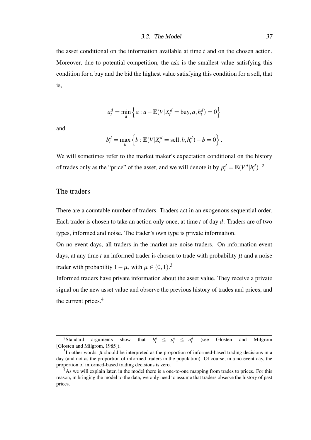#### 3.2. The Model 37

the asset conditional on the information available at time *t* and on the chosen action. Moreover, due to potential competition, the ask is the smallest value satisfying this condition for a buy and the bid the highest value satisfying this condition for a sell, that is,

$$
a_t^d = \min_a \left\{ a : a - \mathbb{E}(V | X_t^d = \text{buy}, a, h_t^d) = 0 \right\}
$$

and

$$
b_t^d = \max_b \left\{ b : \mathbb{E}(V|X_t^d = \text{sell}, b, h_t^d) - b = 0 \right\}.
$$

We will sometimes refer to the market maker's expectation conditional on the history of trades only as the "price" of the asset, and we will denote it by  $p_t^d = \mathbb{E}(V^d | h_t^d)$ .

## The traders

There are a countable number of traders. Traders act in an exogenous sequential order. Each trader is chosen to take an action only once, at time *t* of day *d*. Traders are of two types, informed and noise. The trader's own type is private information.

On no event days, all traders in the market are noise traders. On information event days, at any time  $t$  an informed trader is chosen to trade with probability  $\mu$  and a noise trader with probability  $1 - \mu$ , with  $\mu \in (0, 1)$ .<sup>3</sup>

Informed traders have private information about the asset value. They receive a private signal on the new asset value and observe the previous history of trades and prices, and the current prices.<sup>4</sup>

<sup>&</sup>lt;sup>2</sup>Standard arguments show that  $p_t^d \leq p_t^d \leq a_t^d$ (see Glosten and Milgrom [Glosten and Milgrom, 1985]).

 $3$ In other words,  $\mu$  should be interpreted as the proportion of informed-based trading decisions in a day (and not as the proportion of informed traders in the population). Of course, in a no-event day, the proportion of informed-based trading decisions is zero.

<sup>&</sup>lt;sup>4</sup>As we will explain later, in the model there is a one-to-one mapping from trades to prices. For this reason, in bringing the model to the data, we only need to assume that traders observe the history of past prices.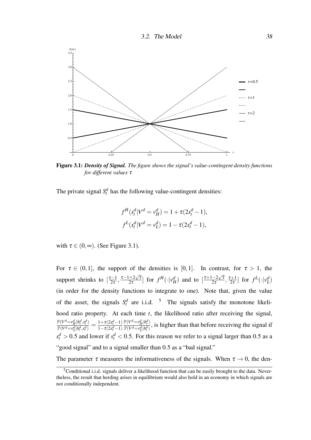

Figure 3.1: *Density of Signal. The figure shows the signal's value-contingent density functions for different values* τ

The private signal  $S_t^d$  has the following value-contingent densities:

$$
f^{H}(s_{t}^{d}|V^{d}=v_{H}^{d})=1+\tau(2s_{t}^{d}-1),
$$
  

$$
f^{L}(s_{t}^{d}|V^{d}=v_{L}^{d})=1-\tau(2s_{t}^{d}-1),
$$

with  $\tau \in (0, \infty)$ . (See Figure 3.1).

For  $\tau \in (0,1]$ , the support of the densities is [0,1]. In contrast, for  $\tau > 1$ , the support shrinks to  $\left[\frac{\tau-1}{2\tau}\right]$  $\frac{\tau-1}{2\tau}, \frac{\tau-1+2\sqrt{\tau}}{2\tau}$  $\frac{1+2\sqrt{\tau}}{2\tau}$ ] for  $f^H(\cdot|\nu_H^d)$  and to  $\left[\frac{\tau+1-2\sqrt{\tau}}{2\tau}\right]$  $\frac{-2\sqrt{\tau}}{2\tau}, \frac{\tau+1}{2\tau}$  $\left[\frac{z+1}{2\tau}\right]$  for  $f^L(\cdot|\mathbf{v}_L^d)$ (in order for the density functions to integrate to one). Note that, given the value of the asset, the signals  $S_t^d$  are i.i.d. <sup>5</sup> The signals satisfy the monotone likelihood ratio property. At each time *t*, the likelihood ratio after receiving the signal,  $\mathbb{P}(V^d = v_H^d | h_t^d, s_t^d)$  $\frac{\mathbb{P}(V^d = v_H^d | h_t^d, s_t^d)}{\mathbb{P}(V^d = v_L^d | h_t^d, s_t^d)} = \frac{1 + \tau(2s_t^d - 1)}{1 - \tau(2s_t^d - 1)}$  $\frac{1-\tau(2s_t^d-1)}{1-\tau^d}$  $\mathbb{P}(V^d = v_H^d | h_t^d)$  $\frac{f(\mathbf{v}) - \nu_H |h_t|}{\mathbb{P}(\mathbf{V}^d - \nu_L^d | h_t^d)}$ , is higher than that before receiving the signal if  $s_t^d > 0.5$  and lower if  $s_t^d < 0.5$ . For this reason we refer to a signal larger than 0.5 as a "good signal" and to a signal smaller than 0.5 as a "bad signal."

The parameter  $\tau$  measures the informativeness of the signals. When  $\tau \rightarrow 0$ , the den-

<sup>&</sup>lt;sup>5</sup>Conditional i.i.d. signals deliver a likelihood function that can be easily brought to the data. Nevertheless, the result that herding arises in equilibrium would also hold in an economy in which signals are not conditionally independent.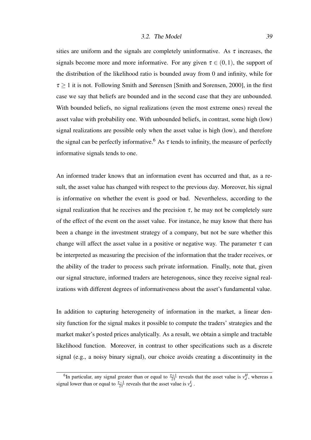#### 3.2. The Model 39

sities are uniform and the signals are completely uninformative. As  $\tau$  increases, the signals become more and more informative. For any given  $\tau \in (0,1)$ , the support of the distribution of the likelihood ratio is bounded away from 0 and infinity, while for  $\tau \geq 1$  it is not. Following Smith and Sørensen [Smith and Sorensen, 2000], in the first case we say that beliefs are bounded and in the second case that they are unbounded. With bounded beliefs, no signal realizations (even the most extreme ones) reveal the asset value with probability one. With unbounded beliefs, in contrast, some high (low) signal realizations are possible only when the asset value is high (low), and therefore the signal can be perfectly informative.<sup>6</sup> As  $\tau$  tends to infinity, the measure of perfectly informative signals tends to one.

An informed trader knows that an information event has occurred and that, as a result, the asset value has changed with respect to the previous day. Moreover, his signal is informative on whether the event is good or bad. Nevertheless, according to the signal realization that he receives and the precision  $\tau$ , he may not be completely sure of the effect of the event on the asset value. For instance, he may know that there has been a change in the investment strategy of a company, but not be sure whether this change will affect the asset value in a positive or negative way. The parameter  $\tau$  can be interpreted as measuring the precision of the information that the trader receives, or the ability of the trader to process such private information. Finally, note that, given our signal structure, informed traders are heterogenous, since they receive signal realizations with different degrees of informativeness about the asset's fundamental value.

In addition to capturing heterogeneity of information in the market, a linear density function for the signal makes it possible to compute the traders' strategies and the market maker's posted prices analytically. As a result, we obtain a simple and tractable likelihood function. Moreover, in contrast to other specifications such as a discrete signal (e.g., a noisy binary signal), our choice avoids creating a discontinuity in the

<sup>&</sup>lt;sup>6</sup>In particular, any signal greater than or equal to  $\frac{\tau+1}{2\tau}$  reveals that the asset value is  $v_d^H$ , whereas a signal lower than or equal to  $\frac{\tau-1}{2\tau}$  reveals that the asset value is  $v_d^L$ .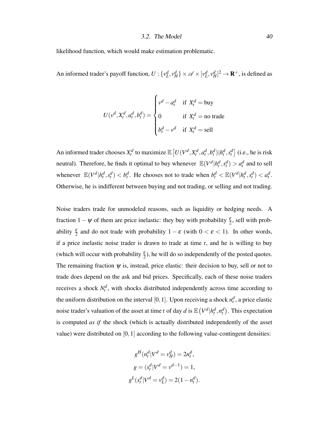#### 3.2. The Model  $40$

likelihood function, which would make estimation problematic.

An informed trader's payoff function,  $U: \{v_L^d, v_H^d\} \times \mathcal{A} \times [v_L^d, v_H^d]^2 \to \mathbf{R}^+$ , is defined as

$$
U(v^d, X_t^d, a_t^d, b_t^d) = \begin{cases} v^d - a_t^d & \text{if } X_t^d = \text{buy} \\ 0 & \text{if } X_t^d = \text{no trade} \\ b_t^d - v^d & \text{if } X_t^d = \text{sell} \end{cases}
$$

An informed trader chooses  $X_t^d$  to maximize  $\mathbb{E}\left[U(V^d, X_t^d, a_t^d, b_t^d)|h_t^d, s_t^d\right]$  (i.e., he is risk neutral). Therefore, he finds it optimal to buy whenever  $\mathbb{E}(V^d | h^d_t, s^d_t) > a^d_t$  and to sell whenever  $\mathbb{E}(V^d | h_t^d, s_t^d) < b_t^d$ . He chooses not to trade when  $b_t^d < \mathbb{E}(V^d | h_t^d, s_t^d) < a_t^d$ . Otherwise, he is indifferent between buying and not trading, or selling and not trading.

Noise traders trade for unmodeled reasons, such as liquidity or hedging needs. A fraction  $1 - \psi$  of them are price inelastic: they buy with probability  $\frac{\varepsilon}{2}$ , sell with probability  $\frac{\varepsilon}{2}$  and do not trade with probability  $1 - \varepsilon$  (with  $0 < \varepsilon < 1$ ). In other words, if a price inelastic noise trader is drawn to trade at time *t*, and he is willing to buy (which will occur with probability  $\frac{\varepsilon}{2}$ ), he will do so independently of the posted quotes. The remaining fraction  $\psi$  is, instead, price elastic: their decision to buy, sell or not to trade does depend on the ask and bid prices. Specifically, each of these noise traders receives a shock  $N_t^d$ , with shocks distributed independently across time according to the uniform distribution on the interval [0, 1]. Upon receiving a shock  $n_t^d$ , a price elastic noise trader's valuation of the asset at time *t* of day *d* is  $\mathbb{E}\left(V^d | h^d_t, n^d_t\right)$ . This expectation is computed *as if* the shock (which is actually distributed independently of the asset value) were distributed on  $[0,1]$  according to the following value-contingent densities:

$$
g^{H}(n_{t}^{d}|V^{d}=v_{H}^{d})=2n_{t}^{d},
$$

$$
g=(s_{t}^{d}|V^{d}=v^{d-1})=1,
$$

$$
g^{L}(s_{t}^{d}|V^{d}=v_{L}^{d})=2(1-n_{t}^{d}).
$$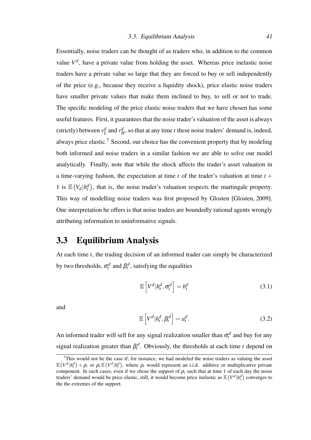Essentially, noise traders can be thought of as traders who, in addition to the common value  $V^d$ , have a private value from holding the asset. Whereas price inelastic noise traders have a private value so large that they are forced to buy or sell independently of the price (e.g., because they receive a liquidity shock), price elastic noise traders have smaller private values that make them inclined to buy, to sell or not to trade. The specific modeling of the price elastic noise traders that we have chosen has some useful features. First, it guarantees that the noise trader's valuation of the asset is always (strictly) between  $v_L^d$  and  $v_H^d$ , so that at any time *t* these noise traders' demand is, indeed, always price elastic.<sup>7</sup> Second, our choice has the convenient property that by modeling both informed and noise traders in a similar fashion we are able to solve our model analytically. Finally, note that while the shock affects the trader's asset valuation in a time-varying fashion, the expectation at time  $t$  of the trader's valuation at time  $t +$ 1 is  $\mathbb{E}(V_d | h_t^d)$ , that is, the noise trader's valuation respects the martingale property. This way of modelling noise traders was first proposed by Glosten [Glosten, 2009]. One interpretation he offers is that noise traders are boundedly rational agents wrongly attributing information to uninformative signals.

# 3.3 Equilibrium Analysis

At each time *t*, the trading decision of an informed trader can simply be characterized by two thresholds,  $\sigma_t^d$  and  $\beta_t^d$ , satisfying the equalities

$$
\mathbb{E}\left[V^d|h_t^d, \sigma_t^d\right] = b_t^d \tag{3.1}
$$

and

$$
\mathbb{E}\left[V^d|h_t^d, \beta_t^d\right] = a_t^d.
$$
\n(3.2)

An informed trader will sell for any signal realization smaller than  $\sigma_t^d$  and buy for any signal realization greater than  $\beta_t^d$ . Obviously, the thresholds at each time *t* depend on

 $7$ This would not be the case if, for instance, we had modeled the noise traders as valuing the asset  $\mathbb{E} \left( V^d | h_t^d \right) + \rho_t$  or  $\rho_t \mathbb{E} \left( V^d | h_t^d \right)$ , where  $\rho_t$  would represent an i.i.d. additive or multiplicative private component. In such cases, even if we chose the support of  $\rho_t$  such that at time 1 of each day the noise traders' demand would be price elastic, still, it would become price inelastic as  $\mathbb{E}(V^d | h^d_t)$  converges to the the extremes of the support.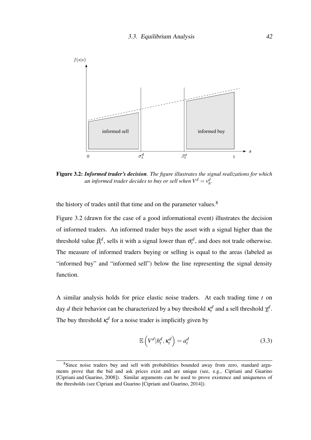

Figure 3.2: *Informed trader's decision. The figure illustrates the signal realizations for which an informed trader decides to buy or sell when*  $V^d = v^d_h$ *.* 

the history of trades until that time and on the parameter values.<sup>8</sup>

Figure 3.2 (drawn for the case of a good informational event) illustrates the decision of informed traders. An informed trader buys the asset with a signal higher than the threshold value  $\beta_t^d$ , sells it with a signal lower than  $\sigma_t^d$ , and does not trade otherwise. The measure of informed traders buying or selling is equal to the areas (labeled as "informed buy" and "informed sell") below the line representing the signal density function.

A similar analysis holds for price elastic noise traders. At each trading time *t* on day *d* their behavior can be characterized by a buy threshold  $\kappa_t^d$  and a sell threshold  $\gamma_t^d$ . The buy threshold  $\kappa_t^d$  for a noise trader is implicitly given by

$$
\mathbb{E}\left(V^d|h_t^d, \kappa_t^d\right) = a_t^d \tag{3.3}
$$

<sup>8</sup>Since noise traders buy and sell with probabilities bounded away from zero, standard arguments prove that the bid and ask prices exist and are unique (see, e.g., Cipriani and Guarino [Cipriani and Guarino, 2008]). Similar arguments can be used to prove existence and uniqueness of the thresholds (see Cipriani and Guarino [Cipriani and Guarino, 2014]).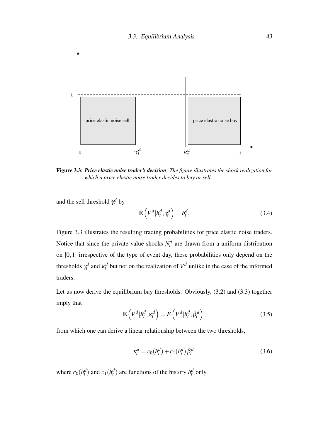

Figure 3.3: *Price elastic noise trader's decision. The figure illustrates the shock realization for which a price elastic noise trader decides to buy or sell.*

and the sell threshold  $\gamma_t^d$  by

$$
\mathbb{E}\left(V^d|h_t^d,\gamma_t^d\right) = b_t^d.
$$
\n(3.4)

Figure 3.3 illustrates the resulting trading probabilities for price elastic noise traders. Notice that since the private value shocks  $N_t^d$  are drawn from a uniform distribution on [0,1] irrespective of the type of event day, these probabilities only depend on the thresholds  $\gamma_t^d$  and  $\kappa_t^d$  but not on the realization of  $V^d$  unlike in the case of the informed traders.

Let us now derive the equilibrium buy thresholds. Obviously, (3.2) and (3.3) together imply that

$$
\mathbb{E}\left(V^d|h_t^d, \kappa_t^d\right) = E\left(V^d|h_t^d, \beta_t^d\right),\tag{3.5}
$$

from which one can derive a linear relationship between the two thresholds,

$$
\kappa_t^d = c_0(h_t^d) + c_1(h_t^d) \beta_t^d,
$$
\n(3.6)

where  $c_0(h_t^d)$  and  $c_1(h_t^d)$  are functions of the history  $h_t^d$  only.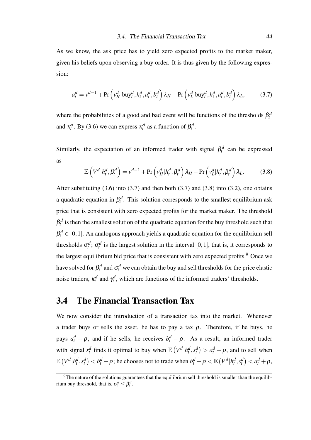As we know, the ask price has to yield zero expected profits to the market maker, given his beliefs upon observing a buy order. It is thus given by the following expression:

$$
a_t^d = v^{d-1} + \Pr\left(v_H^d | \text{buy}_t^d, h_t^d, a_t^d, b_t^d\right) \lambda_H - \Pr\left(v_L^d | \text{buy}_t^d, h_t^d, a_t^d, b_t^d\right) \lambda_L,\tag{3.7}
$$

where the probabilities of a good and bad event will be functions of the thresholds  $\beta_t^d$ and  $\kappa_t^d$ . By (3.6) we can express  $\kappa_t^d$  as a function of  $\beta_t^d$ .

Similarly, the expectation of an informed trader with signal  $\beta_t^d$  can be expressed as

$$
\mathbb{E}\left(V^d|h_t^d, \beta_t^d\right) = v^{d-1} + \Pr\left(v_H^d|h_t^d, \beta_t^d\right)\lambda_H - \Pr\left(v_L^d|h_t^d, \beta_t^d\right)\lambda_L.
$$
 (3.8)

After substituting  $(3.6)$  into  $(3.7)$  and then both  $(3.7)$  and  $(3.8)$  into  $(3.2)$ , one obtains a quadratic equation in  $\beta_t^d$ . This solution corresponds to the smallest equilibrium ask price that is consistent with zero expected profits for the market maker. The threshold  $\beta_t^d$  is then the smallest solution of the quadratic equation for the buy threshold such that  $\beta_t^d \in [0,1]$ . An analogous approach yields a quadratic equation for the equilibrium sell thresholds  $\sigma_t^d$ ;  $\sigma_t^d$  is the largest solution in the interval [0, 1], that is, it corresponds to the largest equilibrium bid price that is consistent with zero expected profits.<sup>9</sup> Once we have solved for  $\beta_t^d$  and  $\sigma_t^d$  we can obtain the buy and sell thresholds for the price elastic noise traders,  $\kappa_t^d$  and  $\gamma_t^d$ , which are functions of the informed traders' thresholds.

## 3.4 The Financial Transaction Tax

We now consider the introduction of a transaction tax into the market. Whenever a trader buys or sells the asset, he has to pay a tax  $\rho$ . Therefore, if he buys, he pays  $a_t^d + \rho$ , and if he sells, he receives  $b_t^d - \rho$ . As a result, an informed trader with signal  $s_t^d$  finds it optimal to buy when  $\mathbb{E}(V^d | h_t^d, s_t^d) > a_t^d + \rho$ , and to sell when  $\mathbb{E}\left(V^d|h_t^d,s_t^d\right)< b_t^d-\rho;$  he chooses not to trade when  $b_t^d-\rho<\mathbb{E}\left(V^d|h_t^d,s_t^d\right)< a_t^d+\rho,$ 

 $9$ The nature of the solutions guarantees that the equilibrium sell threshold is smaller than the equilibrium buy threshold, that is,  $\sigma_t^d \leq \beta_t^d$ .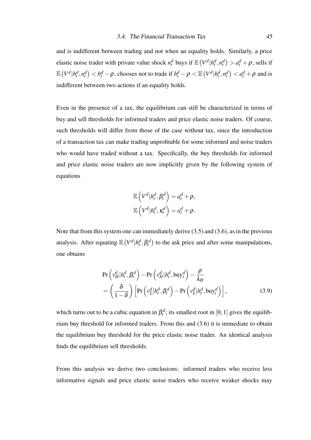and is indifferent between trading and not when an equality holds. Similarly, a price elastic noise trader with private value shock  $n_t^d$  buys if  $\mathbb{E}\left(V^d | h_t^d, n_t^d\right) > a_t^d + \rho$ , sells if  $\mathbb{E}\left(V^d|h_t^d,n_t^d\right) < b_t^d - \rho$ , chooses not to trade if  $b_t^d - \rho < \mathbb{E}\left(V^d|h_t^d,n_t^d\right) < a_t^d + \rho$  and is indifferent between two actions if an equality holds.

Even in the presence of a tax, the equilibrium can still be characterized in terms of buy and sell thresholds for informed traders and price elastic noise traders. Of course, such thresholds will differ from those of the case without tax, since the introduction of a transaction tax can make trading unprofitable for some informed and noise traders who would have traded without a tax. Specifically, the buy thresholds for informed and price elastic noise traders are now implicitly given by the following system of equations

$$
\mathbb{E}\left(V^d|h_t^d, \beta_t^d\right) = a_t^d + \rho,
$$
  

$$
\mathbb{E}\left(V^d|h_t^d, \kappa_t^d\right) = a_t^d + \rho.
$$

Note that from this system one can immediately derive (3.5) and (3.6), as in the previous analysis. After equating  $\mathbb{E}(V^d | h^d_t, \beta^d_t)$  to the ask price and after some manipulations, one obtains

$$
\Pr\left(v_H^d | h_t^d, \beta_t^d\right) - \Pr\left(v_H^d | h_t^d, \text{buy}_t^d\right) - \frac{\rho}{\lambda_H}
$$
\n
$$
= \left(\frac{\delta}{1-\delta}\right) \left[\Pr\left(v_L^d | h_t^d, \beta_t^d\right) - \Pr\left(v_L^d | h_t^d, \text{buy}_t^d\right)\right],\tag{3.9}
$$

which turns out to be a cubic equation in  $\beta_t^d$ ; its smallest root in [0, 1] gives the equilibrium buy threshold for informed traders. From this and (3.6) it is immediate to obtain the equilibrium buy threshold for the price elastic noise trader. An identical analysis finds the equilibrium sell thresholds.

From this analysis we derive two conclusions: informed traders who receive less informative signals and price elastic noise traders who receive weaker shocks may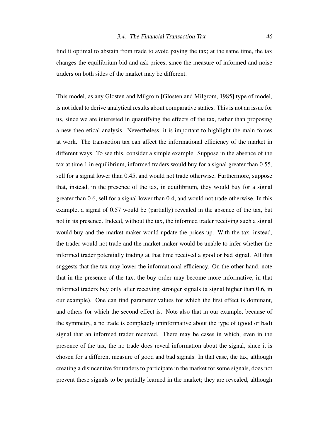find it optimal to abstain from trade to avoid paying the tax; at the same time, the tax changes the equilibrium bid and ask prices, since the measure of informed and noise traders on both sides of the market may be different.

This model, as any Glosten and Milgrom [Glosten and Milgrom, 1985] type of model, is not ideal to derive analytical results about comparative statics. This is not an issue for us, since we are interested in quantifying the effects of the tax, rather than proposing a new theoretical analysis. Nevertheless, it is important to highlight the main forces at work. The transaction tax can affect the informational efficiency of the market in different ways. To see this, consider a simple example. Suppose in the absence of the tax at time 1 in equilibrium, informed traders would buy for a signal greater than 0.55, sell for a signal lower than 0.45, and would not trade otherwise. Furthermore, suppose that, instead, in the presence of the tax, in equilibrium, they would buy for a signal greater than 0.6, sell for a signal lower than 0.4, and would not trade otherwise. In this example, a signal of 0.57 would be (partially) revealed in the absence of the tax, but not in its presence. Indeed, without the tax, the informed trader receiving such a signal would buy and the market maker would update the prices up. With the tax, instead, the trader would not trade and the market maker would be unable to infer whether the informed trader potentially trading at that time received a good or bad signal. All this suggests that the tax may lower the informational efficiency. On the other hand, note that in the presence of the tax, the buy order may become more informative, in that informed traders buy only after receiving stronger signals (a signal higher than 0.6, in our example). One can find parameter values for which the first effect is dominant, and others for which the second effect is. Note also that in our example, because of the symmetry, a no trade is completely uninformative about the type of (good or bad) signal that an informed trader received. There may be cases in which, even in the presence of the tax, the no trade does reveal information about the signal, since it is chosen for a different measure of good and bad signals. In that case, the tax, although creating a disincentive for traders to participate in the market for some signals, does not prevent these signals to be partially learned in the market; they are revealed, although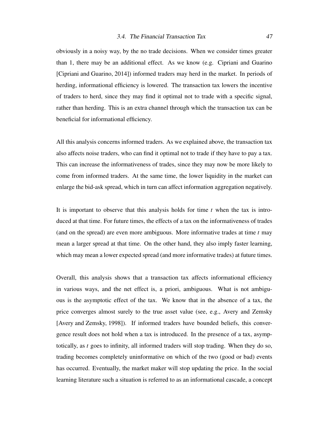obviously in a noisy way, by the no trade decisions. When we consider times greater than 1, there may be an additional effect. As we know (e.g. Cipriani and Guarino [Cipriani and Guarino, 2014]) informed traders may herd in the market. In periods of herding, informational efficiency is lowered. The transaction tax lowers the incentive of traders to herd, since they may find it optimal not to trade with a specific signal, rather than herding. This is an extra channel through which the transaction tax can be beneficial for informational efficiency.

All this analysis concerns informed traders. As we explained above, the transaction tax also affects noise traders, who can find it optimal not to trade if they have to pay a tax. This can increase the informativeness of trades, since they may now be more likely to come from informed traders. At the same time, the lower liquidity in the market can enlarge the bid-ask spread, which in turn can affect information aggregation negatively.

It is important to observe that this analysis holds for time *t* when the tax is introduced at that time. For future times, the effects of a tax on the informativeness of trades (and on the spread) are even more ambiguous. More informative trades at time *t* may mean a larger spread at that time. On the other hand, they also imply faster learning, which may mean a lower expected spread (and more informative trades) at future times.

Overall, this analysis shows that a transaction tax affects informational efficiency in various ways, and the net effect is, a priori, ambiguous. What is not ambiguous is the asymptotic effect of the tax. We know that in the absence of a tax, the price converges almost surely to the true asset value (see, e.g., Avery and Zemsky [Avery and Zemsky, 1998]). If informed traders have bounded beliefs, this convergence result does not hold when a tax is introduced. In the presence of a tax, asymptotically, as *t* goes to infinity, all informed traders will stop trading. When they do so, trading becomes completely uninformative on which of the two (good or bad) events has occurred. Eventually, the market maker will stop updating the price. In the social learning literature such a situation is referred to as an informational cascade, a concept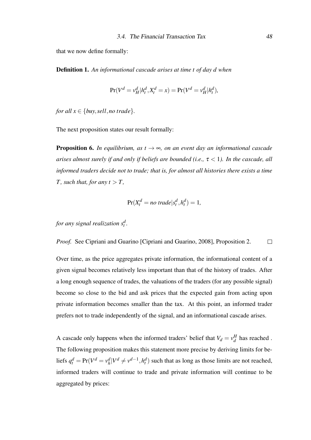that we now define formally:

Definition 1. *An informational cascade arises at time t of day d when*

$$
Pr(V^d = v^d_H | h^d_t, X^d_t = x) = Pr(V^d = v^d_H | h^d_t),
$$

*for all*  $x \in \{buy, sell, no trade\}.$ 

The next proposition states our result formally:

**Proposition 6.** *In equilibrium, as*  $t \rightarrow \infty$ *, on an event day an informational cascade arises almost surely if and only if beliefs are bounded (i.e.,* τ < 1*). In the cascade, all informed traders decide not to trade; that is, for almost all histories there exists a time T*, such that, for any  $t > T$ ,

$$
Pr(X_t^d = no\ trade|s_t^d, h_t^d) = 1,
$$

for any signal realization  $s_t^d$ .

*Proof.* See Cipriani and Guarino [Cipriani and Guarino, 2008], Proposition 2.  $\Box$ 

Over time, as the price aggregates private information, the informational content of a given signal becomes relatively less important than that of the history of trades. After a long enough sequence of trades, the valuations of the traders (for any possible signal) become so close to the bid and ask prices that the expected gain from acting upon private information becomes smaller than the tax. At this point, an informed trader prefers not to trade independently of the signal, and an informational cascade arises.

A cascade only happens when the informed traders' belief that  $V_d = v_d^H$  $_d^H$  has reached. The following proposition makes this statement more precise by deriving limits for beliefs  $q_t^d = Pr(V^d = v_h^d)$  $\frac{d}{h}$ | $V^d \neq v^{d-1}$ ,  $h_t^d$ ) such that as long as those limits are not reached, informed traders will continue to trade and private information will continue to be aggregated by prices: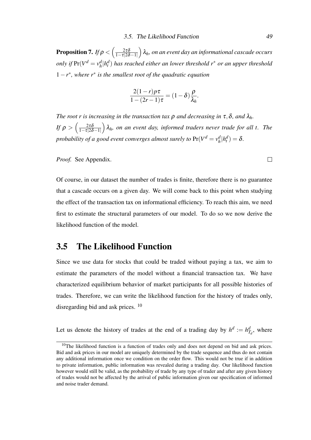Proposition 7. *If*  $\rho < \left( \frac{2\tau\delta}{1-\tau|2\delta} \right)$  $\overline{1-\tau}|2\delta-1|$  λ*h, on an event day an informational cascade occurs only if*  $Pr(V^d = v^d_h)$ *h* |*h d t* ) *has reached either an lower threshold r*<sup>∗</sup> *or an upper threshold* 1−*r* ∗ *, where r*<sup>∗</sup> *is the smallest root of the quadratic equation*

$$
\frac{2(1-r)p\tau}{1-(2r-1)\tau} = (1-\delta)\frac{\rho}{\lambda_h}.
$$

*The root r is increasing in the transaction tax*  $\rho$  *and decreasing in*  $\tau$ ,  $\delta$ *, and*  $\lambda_h$ *. If*  $\rho > \left(\frac{2\tau\delta}{1-\tau|2\delta}\right)$  $1-\tau|2\delta-1|$  $\big)$   $\lambda$ <sub>h</sub>, on an event day, informed traders never trade for all t. The *probability of a good event converges almost surely to*  $Pr(V^d = v^d_h)$  $\frac{d}{h}$ | $h_t^d$ ) =  $\delta$ .

*Proof.* See Appendix.

Of course, in our dataset the number of trades is finite, therefore there is no guarantee that a cascade occurs on a given day. We will come back to this point when studying the effect of the transaction tax on informational efficiency. To reach this aim, we need first to estimate the structural parameters of our model. To do so we now derive the likelihood function of the model.

# 3.5 The Likelihood Function

Since we use data for stocks that could be traded without paying a tax, we aim to estimate the parameters of the model without a financial transaction tax. We have characterized equilibrium behavior of market participants for all possible histories of trades. Therefore, we can write the likelihood function for the history of trades only, disregarding bid and ask prices. <sup>10</sup>

Let us denote the history of trades at the end of a trading day by  $h^d := h^d_{T_d}$ , where

 $\Box$ 

 $10$ The likelihood function is a function of trades only and does not depend on bid and ask prices. Bid and ask prices in our model are uniquely determined by the trade sequence and thus do not contain any additional information once we condition on the order flow. This would not be true if in addition to private information, public information was revealed during a trading day. Our likelihood function however would still be valid, as the probability of trade by any type of trader and after any given history of trades would not be affected by the arrival of public information given our specification of informed and noise trader demand.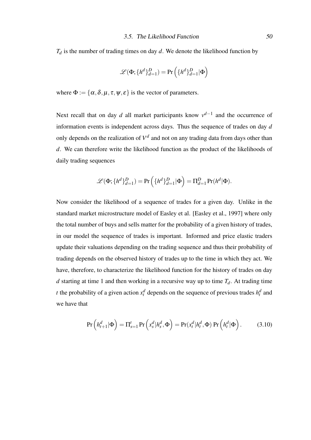$T_d$  is the number of trading times on day  $d$ . We denote the likelihood function by

$$
\mathscr{L}(\Phi;\{h^d\}_{d=1}^D)=\Pr\left(\{h^d\}_{d=1}^D|\Phi\right)
$$

where  $\Phi := {\alpha, \delta, \mu, \tau, \psi, \varepsilon}$  is the vector of parameters.

Next recall that on day *d* all market participants know  $v^{d-1}$  and the occurrence of information events is independent across days. Thus the sequence of trades on day *d* only depends on the realization of  $V<sup>d</sup>$  and not on any trading data from days other than *d*. We can therefore write the likelihood function as the product of the likelihoods of daily trading sequences

$$
\mathscr{L}(\Phi; \{h^d\}_{d=1}^D) = \Pr\left(\{h^d\}_{d=1}^D | \Phi\right) = \Pi_{d=1}^D \Pr(h^d | \Phi).
$$

Now consider the likelihood of a sequence of trades for a given day. Unlike in the standard market microstructure model of Easley et al. [Easley et al., 1997] where only the total number of buys and sells matter for the probability of a given history of trades, in our model the sequence of trades is important. Informed and price elastic traders update their valuations depending on the trading sequence and thus their probability of trading depends on the observed history of trades up to the time in which they act. We have, therefore, to characterize the likelihood function for the history of trades on day *d* starting at time 1 and then working in a recursive way up to time  $T_d$ . At trading time *t* the probability of a given action  $x_t^d$  depends on the sequence of previous trades  $h_t^d$  and we have that

$$
\Pr\left(h_{t+1}^d | \Phi\right) = \Pi_{s=1}^t \Pr\left(x_s^d | h_s^d, \Phi\right) = \Pr(x_t^d | h_t^d, \Phi) \Pr\left(h_t^d | \Phi\right). \tag{3.10}
$$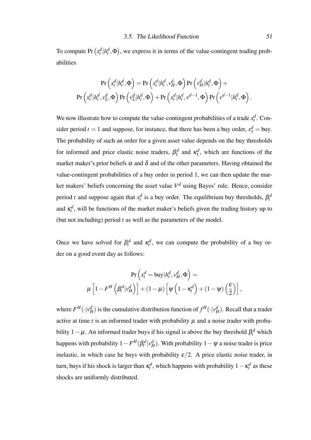To compute Pr  $(x_t^d | h_t^d, \Phi)$ , we express it in terms of the value-contingent trading probabilities

$$
\Pr\left(x_t^d|h_t^d, \Phi\right) = \Pr\left(x_t^d|h_t^d, v_H^d, \Phi\right) \Pr\left(v_H^d|h_t^d, \Phi\right) +
$$

$$
\Pr\left(x_t^d|h_t^d, v_L^d, \Phi\right) \Pr\left(v_L^d|h_t^d, \Phi\right) + \Pr\left(x_t^d|h_t^d, v_t^{d-1}, \Phi\right) \Pr\left(v^{d-1}|h_t^d, \Phi\right).
$$

We now illustrate how to compute the value-contingent probabilities of a trade  $x_t^d$ . Consider period  $t = 1$  and suppose, for instance, that there has been a buy order,  $x_1^d =$  buy. The probability of such an order for a given asset value depends on the buy thresholds for informed and price elastic noise traders,  $\beta_1^d$  $\kappa_1^d$  and  $\kappa_1^d$  $\frac{d}{1}$ , which are functions of the market maker's prior beliefs  $\alpha$  and  $\delta$  and of the other parameters. Having obtained the value-contingent probabilities of a buy order in period 1, we can then update the market makers' beliefs concerning the asset value *V <sup>d</sup>* using Bayes' rule. Hence, consider period *t* and suppose again that  $x_t^d$  is a buy order. The equilibrium buy thresholds,  $\beta_t^d$ and  $\kappa_t^d$ , will be functions of the market maker's beliefs given the trading history up to (but not including) period *t* as well as the parameters of the model.

Once we have solved for  $\beta_t^d$  and  $\kappa_t^d$ , we can compute the probability of a buy order on a good event day as follows:

$$
\Pr\left(x_t^d = \text{buy}|h_t^d, v_H^d, \Phi\right) =
$$
  

$$
\mu\left[1 - F^H\left(\beta_t^d|v_H^d\right)\right] + (1 - \mu)\left[\psi\left(1 - \kappa_t^d\right) + (1 - \psi)\left(\frac{\varepsilon}{2}\right)\right],
$$

where  $F^H(\cdot|\nu_H^d)$  is the cumulative distribution function of  $f^H(\cdot|\nu_H^d)$ . Recall that a trader active at time  $t$  is an informed trader with probability  $\mu$  and a noise trader with probability 1 –  $\mu$ . An informed trader buys if his signal is above the buy threshold  $\beta_t^d$  which happens with probability  $1 - F^H(\beta_t^d | v_H^d)$ . With probability  $1 - \psi$  a noise trader is price inelastic, in which case he buys with probability  $\varepsilon/2$ . A price elastic noise trader, in turn, buys if his shock is larger than  $\kappa_t^d$ , which happens with probability  $1 - \kappa_t^d$  as these shocks are uniformly distributed.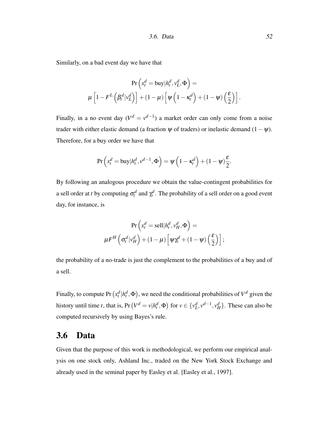Similarly, on a bad event day we have that

$$
\Pr\left(x_t^d = \text{buy}|h_t^d, v_L^d, \Phi\right) =
$$
  

$$
\mu\left[1 - F^L\left(\beta_t^d | v_L^d\right)\right] + (1 - \mu)\left[\psi\left(1 - \kappa_t^d\right) + (1 - \psi)\left(\frac{\varepsilon}{2}\right)\right].
$$

Finally, in a no event day  $(V^d = v^{d-1})$  a market order can only come from a noise trader with either elastic demand (a fraction  $\psi$  of traders) or inelastic demand (1 –  $\psi$ ). Therefore, for a buy order we have that

$$
\Pr\left(x_t^d = \text{buy}|h_t^d, v^{d-1}, \Phi\right) = \psi\left(1 - \kappa_t^d\right) + (1 - \psi)\frac{\varepsilon}{2}.
$$

By following an analogous procedure we obtain the value-contingent probabilities for a sell order at *t* by computing  $\sigma_t^d$  and  $\gamma_t^d$ . The probability of a sell order on a good event day, for instance, is

$$
\Pr\left(x_t^d = \text{sell}|h_t^d, v_H^d, \Phi\right) =
$$
  

$$
\mu F^H\left(\sigma_t^d | v_H^d\right) + (1 - \mu) \left[\Psi \chi_t^d + (1 - \Psi)\left(\frac{\varepsilon}{2}\right)\right];
$$

the probability of a no-trade is just the complement to the probabilities of a buy and of a sell.

Finally, to compute Pr  $(x_t^d | h_t^d, \Phi)$ , we need the conditional probabilities of  $V^d$  given the history until time *t*, that is, Pr  $(V^d = v | h^d_t, \Phi)$  for  $v \in \{v^d_L, v^{d-1}, v^d_H\}$ . These can also be computed recursively by using Bayes's rule.

## 3.6 Data

Given that the purpose of this work is methodological, we perform our empirical analysis on one stock only, Ashland Inc., traded on the New York Stock Exchange and already used in the seminal paper by Easley et al. [Easley et al., 1997].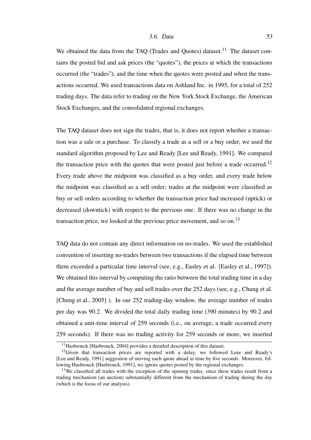We obtained the data from the TAO (Trades and Ouotes) dataset.<sup>11</sup> The dataset contains the posted bid and ask prices (the "quotes"), the prices at which the transactions occurred (the "trades"), and the time when the quotes were posted and when the transactions occurred. We used transactions data on Ashland Inc. in 1995, for a total of 252 trading days. The data refer to trading on the New York Stock Exchange, the American Stock Exchanges, and the consolidated regional exchanges.

The TAQ dataset does not sign the trades, that is, it does not report whether a transaction was a sale or a purchase. To classify a trade as a sell or a buy order, we used the standard algorithm proposed by Lee and Ready [Lee and Ready, 1991]. We compared the transaction price with the quotes that were posted just before a trade occurred.<sup>12</sup> Every trade above the midpoint was classified as a buy order, and every trade below the midpoint was classified as a sell order; trades at the midpoint were classified as buy or sell orders according to whether the transaction price had increased (uptick) or decreased (downtick) with respect to the previous one. If there was no change in the transaction price, we looked at the previous price movement, and so on.<sup>13</sup>

TAQ data do not contain any direct information on no-trades. We used the established convention of inserting no-trades between two transactions if the elapsed time between them exceeded a particular time interval (see, e.g., Easley et al. [Easley et al., 1997]). We obtained this interval by computing the ratio between the total trading time in a day and the average number of buy and sell trades over the 252 days (see, e.g., Chung et al. [Chung et al., 2005] ). In our 252 trading-day window, the average number of trades per day was 90.2. We divided the total daily trading time (390 minutes) by 90.2 and obtained a unit-time interval of 259 seconds (i.e., on average, a trade occurred every 259 seconds). If there was no trading activity for 259 seconds or more, we inserted

<sup>&</sup>lt;sup>11</sup>Hasbrouck [Hasbrouck, 2004] provides a detailed description of this dataset.

 $12$ Given that transaction prices are reported with a delay, we followed Leee and Ready's [Lee and Ready, 1991] suggestion of moving each quote ahead in time by five seconds. Moreover, following Hasbrouck [Hasbrouck, 1991], we ignore quotes posted by the regional exchanges.

<sup>&</sup>lt;sup>13</sup>We classified all trades with the exception of the opening trades, since these trades result from a trading mechanism (an auction) substantially different from the mechanism of trading during the day (which is the focus of our analysis).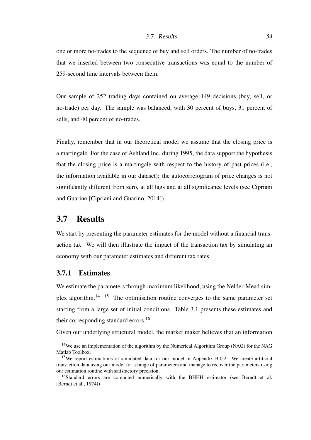#### 3.7. Results 54

one or more no-trades to the sequence of buy and sell orders. The number of no-trades that we inserted between two consecutive transactions was equal to the number of 259-second time intervals between them.

Our sample of 252 trading days contained on average 149 decisions (buy, sell, or no-trade) per day. The sample was balanced, with 30 percent of buys, 31 percent of sells, and 40 percent of no-trades.

Finally, remember that in our theoretical model we assume that the closing price is a martingale. For the case of Ashland Inc. during 1995, the data support the hypothesis that the closing price is a martingale with respect to the history of past prices (i.e., the information available in our dataset): the autocorrelogram of price changes is not significantly different from zero, at all lags and at all significance levels (see Cipriani and Guarino [Cipriani and Guarino, 2014]).

## 3.7 Results

We start by presenting the parameter estimates for the model without a financial transaction tax. We will then illustrate the impact of the transaction tax by simulating an economy with our parameter estimates and different tax rates.

## 3.7.1 Estimates

We estimate the parameters through maximum likelihood, using the Nelder-Mead simplex algorithm.14 15 The optimisation routine converges to the same parameter set starting from a large set of initial conditions. Table 3.1 presents these estimates and their corresponding standard errors.<sup>16</sup>

Given our underlying structural model, the market maker believes that an information

<sup>&</sup>lt;sup>14</sup>We use an implementation of the algorithm by the Numerical Algorithm Group (NAG) for the NAG Matlab Toolbox.

<sup>&</sup>lt;sup>15</sup>We report estimations of simulated data for our model in Appendix B.0.2. We create artificial transaction data using our model for a range of parameters and manage to recover the parameters using our estimation routine with satisfactory precision.

<sup>&</sup>lt;sup>16</sup>Standard errors are computed numerically with the BHHH estimator (see Berndt et al. [Berndt et al., 1974])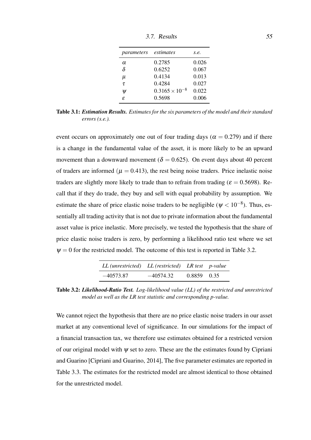| 3.7. Results | 55 |  |
|--------------|----|--|
|              |    |  |

| parameters | estimates               | s.e.  |
|------------|-------------------------|-------|
| α          | 0.2785                  | 0.026 |
| $\delta$   | 0.6252                  | 0.067 |
| μ          | 0.4134                  | 0.013 |
| τ          | 0.4284                  | 0.027 |
| V          | $0.3165 \times 10^{-8}$ | 0.022 |
| £.         | 0.5698                  | 0.006 |

Table 3.1: *Estimation Results. Estimates for the six parameters of the model and their standard errors (s.e.).*

event occurs on approximately one out of four trading days ( $\alpha = 0.279$ ) and if there is a change in the fundamental value of the asset, it is more likely to be an upward movement than a downward movement ( $\delta = 0.625$ ). On event days about 40 percent of traders are informed ( $\mu = 0.413$ ), the rest being noise traders. Price inelastic noise traders are slightly more likely to trade than to refrain from trading ( $\varepsilon = 0.5698$ ). Recall that if they do trade, they buy and sell with equal probability by assumption. We estimate the share of price elastic noise traders to be negligible ( $\psi$  < 10<sup>-8</sup>). Thus, essentially all trading activity that is not due to private information about the fundamental asset value is price inelastic. More precisely, we tested the hypothesis that the share of price elastic noise traders is zero, by performing a likelihood ratio test where we set  $\Psi = 0$  for the restricted model. The outcome of this test is reported in Table 3.2.

| $LL$ (unrestricted) $LL$ (restricted) $LR$ test p-value |             |             |  |
|---------------------------------------------------------|-------------|-------------|--|
| $-40573.87$                                             | $-40574.32$ | 0.8859 0.35 |  |

Table 3.2: *Likelihood-Ratio Test. Log-likelihood value (LL) of the restricted and unrestricted model as well as the LR test statistic and corresponding p-value.*

We cannot reject the hypothesis that there are no price elastic noise traders in our asset market at any conventional level of significance. In our simulations for the impact of a financial transaction tax, we therefore use estimates obtained for a restricted version of our original model with  $\psi$  set to zero. These are the the estimates found by Cipriani and Guarino [Cipriani and Guarino, 2014], The five parameter estimates are reported in Table 3.3. The estimates for the restricted model are almost identical to those obtained for the unrestricted model.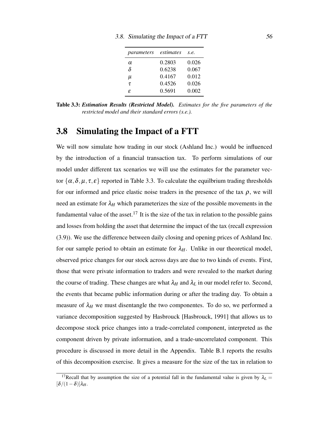| parameters | estimates | S.e.  |
|------------|-----------|-------|
| $\alpha$   | 0.2803    | 0.026 |
| δ          | 0.6238    | 0.067 |
| μ          | 0.4167    | 0.012 |
| τ          | 0.4526    | 0.026 |
| £          | 0.5691    | 0.002 |

Table 3.3: *Estimation Results (Restricted Model). Estimates for the five parameters of the restricted model and their standard errors (s.e.).*

## 3.8 Simulating the Impact of a FTT

We will now simulate how trading in our stock (Ashland Inc.) would be influenced by the introduction of a financial transaction tax. To perform simulations of our model under different tax scenarios we will use the estimates for the parameter vector  $\{\alpha, \delta, \mu, \tau, \varepsilon\}$  reported in Table 3.3. To calculate the equilibrium trading thresholds for our informed and price elastic noise traders in the presence of the tax  $\rho$ , we will need an estimate for  $\lambda$ <sub>H</sub> which parameterizes the size of the possible movements in the fundamental value of the asset.<sup>17</sup> It is the size of the tax in relation to the possible gains and losses from holding the asset that determine the impact of the tax (recall expression (3.9)). We use the difference between daily closing and opening prices of Ashland Inc. for our sample period to obtain an estimate for  $\lambda_H$ . Unlike in our theoretical model, observed price changes for our stock across days are due to two kinds of events. First, those that were private information to traders and were revealed to the market during the course of trading. These changes are what  $\lambda_H$  and  $\lambda_L$  in our model refer to. Second, the events that became public information during or after the trading day. To obtain a measure of  $\lambda$ <sup>H</sup> we must disentangle the two componentes. To do so, we performed a variance decomposition suggested by Hasbrouck [Hasbrouck, 1991] that allows us to decompose stock price changes into a trade-correlated component, interpreted as the component driven by private information, and a trade-uncorrelated component. This procedure is discussed in more detail in the Appendix. Table B.1 reports the results of this decomposition exercise. It gives a measure for the size of the tax in relation to

<sup>&</sup>lt;sup>17</sup>Recall that by assumption the size of a potential fall in the fundamental value is given by  $\lambda_L =$  $[\delta/(1-\delta)]\lambda_H$ .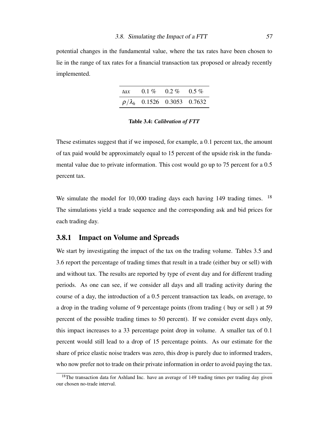potential changes in the fundamental value, where the tax rates have been chosen to lie in the range of tax rates for a financial transaction tax proposed or already recently implemented.

| $\iota$ ax |                                       | $0.1\%$ $0.2\%$ $0.5\%$ |  |
|------------|---------------------------------------|-------------------------|--|
|            | $\rho/\lambda_h$ 0.1526 0.3053 0.7632 |                         |  |

Table 3.4: *Calibration of FTT*

These estimates suggest that if we imposed, for example, a 0.1 percent tax, the amount of tax paid would be approximately equal to 15 percent of the upside risk in the fundamental value due to private information. This cost would go up to 75 percent for a 0.5 percent tax.

We simulate the model for 10,000 trading days each having 149 trading times. <sup>18</sup> The simulations yield a trade sequence and the corresponding ask and bid prices for each trading day.

## 3.8.1 Impact on Volume and Spreads

We start by investigating the impact of the tax on the trading volume. Tables 3.5 and 3.6 report the percentage of trading times that result in a trade (either buy or sell) with and without tax. The results are reported by type of event day and for different trading periods. As one can see, if we consider all days and all trading activity during the course of a day, the introduction of a 0.5 percent transaction tax leads, on average, to a drop in the trading volume of 9 percentage points (from trading ( buy or sell ) at 59 percent of the possible trading times to 50 percent). If we consider event days only, this impact increases to a 33 percentage point drop in volume. A smaller tax of 0.1 percent would still lead to a drop of 15 percentage points. As our estimate for the share of price elastic noise traders was zero, this drop is purely due to informed traders, who now prefer not to trade on their private information in order to avoid paying the tax.

 $18$ The transaction data for Ashland Inc. have an average of 149 trading times per trading day given our chosen no-trade interval.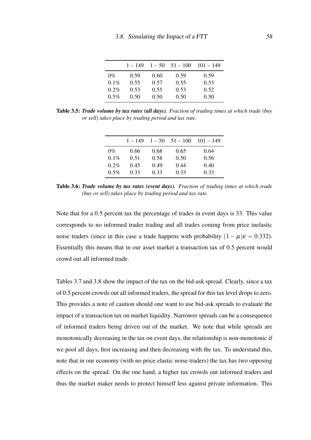|         | $1 - 149$ | $1 - 50$ | $51 - 100$ | $101 - 149$ |
|---------|-----------|----------|------------|-------------|
| $0\%$   | 0.59      | 0.60     | 0.59       | 0.59        |
| $0.1\%$ | 0.55      | 0.57     | 0.55       | 0.53        |
| $0.2\%$ | 0.53      | 0.55     | 0.53       | 0.52        |
| $0.5\%$ | 0.50      | 0.50     | 0.50       | 0.50        |

Table 3.5: *Trade volume by tax rates (all days). Fraction of trading times at which trade (buy or sell) takes place by trading period and tax rate.*

| $1 - 149$ |      |          | $101 - 149$ |
|-----------|------|----------|-------------|
| 0.66      | 0.68 | 0.65     | 0.64        |
| 0.51      | 0.58 | 0.50     | 0.56        |
| 0.45      | 0.49 | 0.44     | 0.40        |
| 0.33      | 0.33 | 0.33     | 0.33        |
|           |      | $1 - 50$ | $51 - 100$  |

Table 3.6: *Trade volume by tax rates (event days). Fraction of trading times at which trade (buy or sell) takes place by trading period and tax rate.*

Note that for a 0.5 percent tax the percentage of trades in event days is 33. This value corresponds to no informed trader trading and all trades coming from price inelastic noise traders (since in this case a trade happens with probability  $(1 - \mu)\varepsilon = 0.332$ ). Essentially this means that in our asset market a transaction tax of 0.5 percent would crowd out all informed trade.

Tables 3.7 and 3.8 show the impact of the tax on the bid-ask spread. Clearly, since a tax of 0.5 percent crowds out all informed traders, the spread for this tax level drops to zero. This provides a note of caution should one want to use bid-ask spreads to evaluate the impact of a transaction tax on market liquidity. Narrower spreads can be a consequence of informed traders being driven out of the market. We note that while spreads are monotonically decreasing in the tax on event days, the relationship is non-monotonic if we pool all days, first increasing and then decreasing with the tax. To understand this, note that in our economy (with no price elastic noise traders) the tax has two opposing effects on the spread. On the one hand, a higher tax crowds out informed traders and thus the market maker needs to protect himself less against private information. This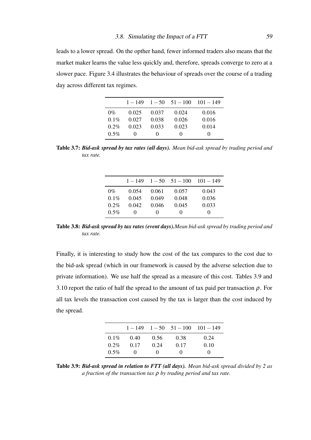leads to a lower spread. On the opther hand, fewer informed traders also means that the market maker learns the value less quickly and, therefore, spreads converge to zero at a slower pace. Figure 3.4 illustrates the behaviour of spreads over the course of a trading day across different tax regimes.

|         |                   |                   | $1-149$ $1-50$ $51-100$ | $101 - 149$       |
|---------|-------------------|-------------------|-------------------------|-------------------|
| $0\%$   | 0.025             | 0.037             | 0.024                   | 0.016             |
| $0.1\%$ | 0.027             | 0.038             | 0.026                   | 0.016             |
| $0.2\%$ | 0.023             | 0.033             | 0.023                   | 0.014             |
| $0.5\%$ | $\mathbf{\Omega}$ | $\mathbf{\Omega}$ | $\mathbf{\Omega}$       | $\mathbf{\Omega}$ |

Table 3.7: *Bid-ask spread by tax rates (all days). Mean bid-ask spread by trading period and tax rate.*

|         |                   |       | $1-149$ $1-50$ $51-100$ | $101 - 149$       |
|---------|-------------------|-------|-------------------------|-------------------|
| $0\%$   | 0.054             | 0.061 | 0.057                   | 0.043             |
| $0.1\%$ | 0.045             | 0.049 | 0.048                   | 0.036             |
| $0.2\%$ | 0.042             | 0.046 | 0.045                   | 0.033             |
| $0.5\%$ | $\mathbf{\Omega}$ | 0     | $\mathbf{\Omega}$       | $\mathbf{\Omega}$ |

Table 3.8: *Bid-ask spread by tax rates (event days).Mean bid-ask spread by trading period and tax rate.*

Finally, it is interesting to study how the cost of the tax compares to the cost due to the bid-ask spread (which in our framework is caused by the adverse selection due to private information). We use half the spread as a measure of this cost. Tables 3.9 and 3.10 report the ratio of half the spread to the amount of tax paid per transaction  $\rho$ . For all tax levels the transaction cost caused by the tax is larger than the cost induced by the spread.

|         |                   |                   | $1-149$ $1-50$ $51-100$ | $101 - 149$ |
|---------|-------------------|-------------------|-------------------------|-------------|
| $0.1\%$ | 0.40              | 0.56              | 0.38                    | 0.24        |
| $0.2\%$ | 0.17              | 0.24              | 0.17                    | 0.10        |
| $0.5\%$ | $\mathbf{\Omega}$ | $\mathbf{\Omega}$ | $\mathbf{\Omega}$       | $\theta$    |

Table 3.9: *Bid-ask spread in relation to FTT (all days). Mean bid-ask spread divided by 2 as a fraction of the transaction tax* ρ *by trading period and tax rate.*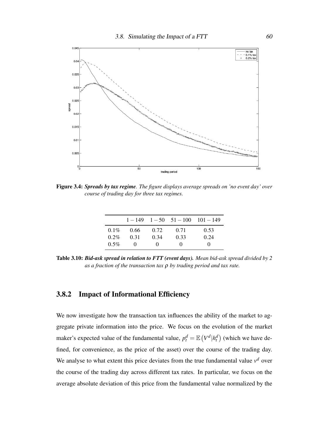

Figure 3.4: *Spreads by tax regime. The figure displays average spreads on 'no event day' over course of trading day for three tax regimes.*

|         |          |          | $1-149$ $1-50$ $51-100$ $101-149$ |          |
|---------|----------|----------|-----------------------------------|----------|
| $0.1\%$ | 0.66     | 0.72     | 0.71                              | 0.53     |
| $0.2\%$ | 0.31     | 0.34     | 0.33                              | 0.24     |
| $0.5\%$ | $\Omega$ | $\theta$ | $^{(1)}$                          | $^{(1)}$ |

Table 3.10: *Bid-ask spread in relation to FTT (event days). Mean bid-ask spread divided by 2 as a fraction of the transaction tax* ρ *by trading period and tax rate.*

## 3.8.2 Impact of Informational Efficiency

We now investigate how the transaction tax influences the ability of the market to aggregate private information into the price. We focus on the evolution of the market maker's expected value of the fundamental value,  $p_t^d = \mathbb{E}\left(V^d | h_t^d\right)$  (which we have defined, for convenience, as the price of the asset) over the course of the trading day. We analyse to what extent this price deviates from the true fundamental value  $v<sup>d</sup>$  over the course of the trading day across different tax rates. In particular, we focus on the average absolute deviation of this price from the fundamental value normalized by the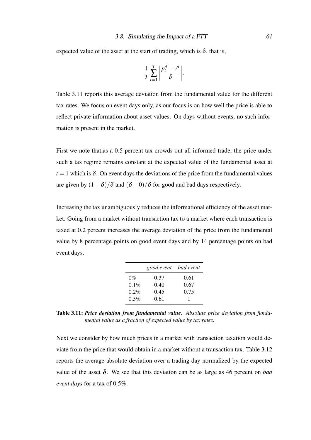expected value of the asset at the start of trading, which is  $\delta$ , that is,

$$
\frac{1}{T}\sum_{t=1}^T \left|\frac{p_t^d - v^d}{\delta}\right|.
$$

Table 3.11 reports this average deviation from the fundamental value for the different tax rates. We focus on event days only, as our focus is on how well the price is able to reflect private information about asset values. On days without events, no such information is present in the market.

First we note that,as a 0.5 percent tax crowds out all informed trade, the price under such a tax regime remains constant at the expected value of the fundamental asset at  $t = 1$  which is  $\delta$ . On event days the deviations of the price from the fundamental values are given by  $(1-\delta)/\delta$  and  $(\delta-0)/\delta$  for good and bad days respectively.

Increasing the tax unambiguously reduces the informational efficiency of the asset market. Going from a market without transaction tax to a market where each transaction is taxed at 0.2 percent increases the average deviation of the price from the fundamental value by 8 percentage points on good event days and by 14 percentage points on bad event days.

|         | good event bad event |      |
|---------|----------------------|------|
| $0\%$   | 0.37                 | 0.61 |
| $0.1\%$ | 0.40                 | 0.67 |
| $0.2\%$ | 0.45                 | 0.75 |
| $0.5\%$ | 0.61                 |      |

Table 3.11: *Price deviation from fundamental value. Absolute price deviation from fundamental value as a fraction of expected value by tax rates.*

Next we consider by how much prices in a market with transaction taxation would deviate from the price that would obtain in a market without a transaction tax. Table 3.12 reports the average absolute deviation over a trading day normalized by the expected value of the asset δ. We see that this deviation can be as large as 46 percent on *bad event days* for a tax of 0.5%.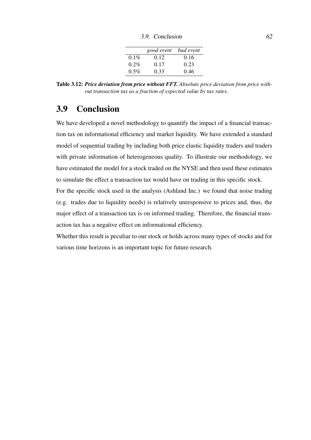3.9. Conclusion 62

|         | good event bad event |      |
|---------|----------------------|------|
| $0.1\%$ | 0.12                 | 0.16 |
| $0.2\%$ | 0.17                 | 0.23 |
| $0.5\%$ | 0.33                 | 0.46 |

Table 3.12: *Price deviation from price without FFT. Absolute price deviation from price without transaction tax as a fraction of expected value by tax rates.*

# 3.9 Conclusion

We have developed a novel methodology to quantify the impact of a financial transaction tax on informational efficiency and market liquidity. We have extended a standard model of sequential trading by including both price elastic liquidity traders and traders with private information of heterogeneous quality. To illustrate our methodology, we have estimated the model for a stock traded on the NYSE and then used these estimates to simulate the effect a transaction tax would have on trading in this specific stock.

For the specific stock used in the analysis (Ashland Inc.) we found that noise trading (e.g. trades due to liquidity needs) is relatively unresponsive to prices and, thus, the major effect of a transaction tax is on informed trading. Therefore, the financial transaction tax has a negative effect on informational efficiency.

Whether this result is peculiar to our stock or holds across many types of stocks and for various time horizons is an important topic for future research.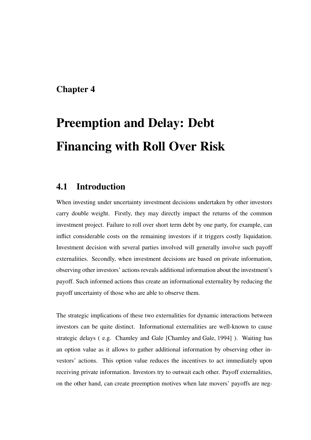# Chapter 4

# Preemption and Delay: Debt Financing with Roll Over Risk

## 4.1 Introduction

When investing under uncertainty investment decisions undertaken by other investors carry double weight. Firstly, they may directly impact the returns of the common investment project. Failure to roll over short term debt by one party, for example, can inflict considerable costs on the remaining investors if it triggers costly liquidation. Investment decision with several parties involved will generally involve such payoff externalities. Secondly, when investment decisions are based on private information, observing other investors' actions reveals additional information about the investment's payoff. Such informed actions thus create an informational externality by reducing the payoff uncertainty of those who are able to observe them.

The strategic implications of these two externalities for dynamic interactions between investors can be quite distinct. Informational externalities are well-known to cause strategic delays ( e.g. Chamley and Gale [Chamley and Gale, 1994] ). Waiting has an option value as it allows to gather additional information by observing other investors' actions. This option value reduces the incentives to act immediately upon receiving private information. Investors try to outwait each other. Payoff externalities, on the other hand, can create preemption motives when late movers' payoffs are neg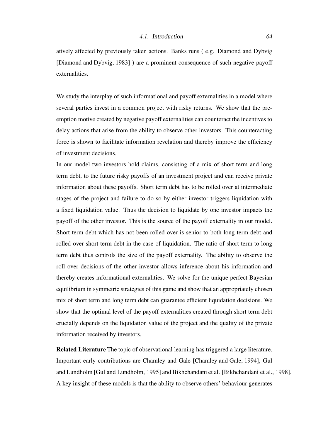atively affected by previously taken actions. Banks runs ( e.g. Diamond and Dybvig [Diamond and Dybvig, 1983] ) are a prominent consequence of such negative payoff externalities.

We study the interplay of such informational and payoff externalities in a model where several parties invest in a common project with risky returns. We show that the preemption motive created by negative payoff externalities can counteract the incentives to delay actions that arise from the ability to observe other investors. This counteracting force is shown to facilitate information revelation and thereby improve the efficiency of investment decisions.

In our model two investors hold claims, consisting of a mix of short term and long term debt, to the future risky payoffs of an investment project and can receive private information about these payoffs. Short term debt has to be rolled over at intermediate stages of the project and failure to do so by either investor triggers liquidation with a fixed liquidation value. Thus the decision to liquidate by one investor impacts the payoff of the other investor. This is the source of the payoff externality in our model. Short term debt which has not been rolled over is senior to both long term debt and rolled-over short term debt in the case of liquidation. The ratio of short term to long term debt thus controls the size of the payoff externality. The ability to observe the roll over decisions of the other investor allows inference about his information and thereby creates informational externalities. We solve for the unique perfect Bayesian equilibrium in symmetric strategies of this game and show that an appropriately chosen mix of short term and long term debt can guarantee efficient liquidation decisions. We show that the optimal level of the payoff externalities created through short term debt crucially depends on the liquidation value of the project and the quality of the private information received by investors.

Related Literature The topic of observational learning has triggered a large literature. Important early contributions are Chamley and Gale [Chamley and Gale, 1994], Gul and Lundholm [Gul and Lundholm, 1995] and Bikhchandani et al. [Bikhchandani et al., 1998]. A key insight of these models is that the ability to observe others' behaviour generates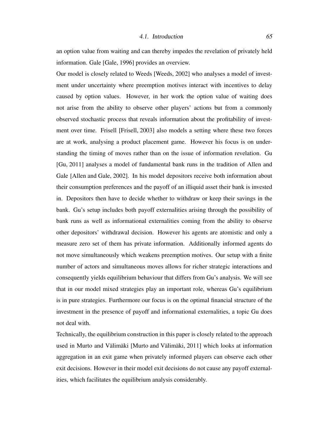#### 4.1. Introduction 65

an option value from waiting and can thereby impedes the revelation of privately held information. Gale [Gale, 1996] provides an overview.

Our model is closely related to Weeds [Weeds, 2002] who analyses a model of investment under uncertainty where preemption motives interact with incentives to delay caused by option values. However, in her work the option value of waiting does not arise from the ability to observe other players' actions but from a commonly observed stochastic process that reveals information about the profitability of investment over time. Frisell [Frisell, 2003] also models a setting where these two forces are at work, analysing a product placement game. However his focus is on understanding the timing of moves rather than on the issue of information revelation. Gu [Gu, 2011] analyses a model of fundamental bank runs in the tradition of Allen and Gale [Allen and Gale, 2002]. In his model depositors receive both information about their consumption preferences and the payoff of an illiquid asset their bank is invested in. Depositors then have to decide whether to withdraw or keep their savings in the bank. Gu's setup includes both payoff externalities arising through the possibility of bank runs as well as informational externalities coming from the ability to observe other depositors' withdrawal decision. However his agents are atomistic and only a measure zero set of them has private information. Additionally informed agents do not move simultaneously which weakens preemption motives. Our setup with a finite number of actors and simultaneous moves allows for richer strategic interactions and consequently yields equilibrium behaviour that differs from Gu's analysis. We will see that in our model mixed strategies play an important role, whereas Gu's equilibrium is in pure strategies. Furthermore our focus is on the optimal financial structure of the investment in the presence of payoff and informational externalities, a topic Gu does not deal with.

Technically, the equilibrium construction in this paper is closely related to the approach used in Murto and Välimäki [Murto and Välimäki, 2011] which looks at information aggregation in an exit game when privately informed players can observe each other exit decisions. However in their model exit decisions do not cause any payoff externalities, which facilitates the equilibrium analysis considerably.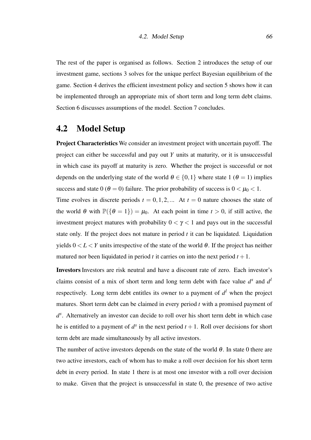The rest of the paper is organised as follows. Section 2 introduces the setup of our investment game, sections 3 solves for the unique perfect Bayesian equilibrium of the game. Section 4 derives the efficient investment policy and section 5 shows how it can be implemented through an appropriate mix of short term and long term debt claims. Section 6 discusses assumptions of the model. Section 7 concludes.

## 4.2 Model Setup

Project Characteristics We consider an investment project with uncertain payoff. The project can either be successful and pay out *Y* units at maturity, or it is unsuccessful in which case its payoff at maturity is zero. Whether the project is successful or not depends on the underlying state of the world  $\theta \in \{0,1\}$  where state 1 ( $\theta = 1$ ) implies success and state 0 ( $\theta = 0$ ) failure. The prior probability of success is  $0 < \mu_0 < 1$ .

Time evolves in discrete periods  $t = 0, 1, 2, ...$  At  $t = 0$  nature chooses the state of the world  $\theta$  with  $\mathbb{P}(\{\theta = 1\}) = \mu_0$ . At each point in time  $t > 0$ , if still active, the investment project matures with probability  $0 < \gamma < 1$  and pays out in the successful state only. If the project does not mature in period *t* it can be liquidated. Liquidation yields  $0 < L < Y$  units irrespective of the state of the world  $\theta$ . If the project has neither matured nor been liquidated in period  $t$  it carries on into the next period  $t + 1$ .

Investors Investors are risk neutral and have a discount rate of zero. Each investor's claims consist of a mix of short term and long term debt with face value  $d^s$  and  $d^l$ respectively. Long term debt entitles its owner to a payment of  $d<sup>l</sup>$  when the project matures. Short term debt can be claimed in every period *t* with a promised payment of *d s* . Alternatively an investor can decide to roll over his short term debt in which case he is entitled to a payment of  $d^s$  in the next period  $t + 1$ . Roll over decisions for short term debt are made simultaneously by all active investors.

The number of active investors depends on the state of the world  $\theta$ . In state 0 there are two active investors, each of whom has to make a roll over decision for his short term debt in every period. In state 1 there is at most one investor with a roll over decision to make. Given that the project is unsuccessful in state 0, the presence of two active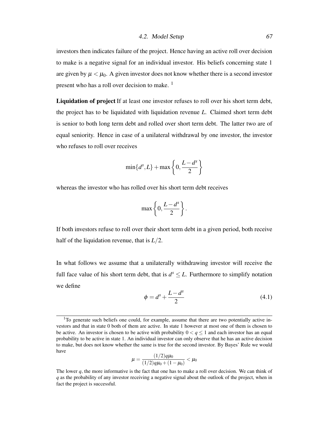investors then indicates failure of the project. Hence having an active roll over decision to make is a negative signal for an individual investor. His beliefs concerning state 1 are given by  $\mu < \mu_0$ . A given investor does not know whether there is a second investor present who has a roll over decision to make.<sup>1</sup>

Liquidation of project If at least one investor refuses to roll over his short term debt, the project has to be liquidated with liquidation revenue *L*. Claimed short term debt is senior to both long term debt and rolled over short term debt. The latter two are of equal seniority. Hence in case of a unilateral withdrawal by one investor, the investor who refuses to roll over receives

$$
\min\{d^s,L\}+\max\left\{0,\frac{L-d^s}{2}\right\}
$$

whereas the investor who has rolled over his short term debt receives

$$
\max\left\{0,\frac{L-d^s}{2}\right\}.
$$

If both investors refuse to roll over their short term debt in a given period, both receive half of the liquidation revenue, that is *L*/2.

In what follows we assume that a unilaterally withdrawing investor will receive the full face value of his short term debt, that is  $d^{s} \leq L$ . Furthermore to simplify notation we define

$$
\phi = d^s + \frac{L - d^s}{2} \tag{4.1}
$$

$$
\mu = \frac{(1/2)q\mu_0}{(1/2)q\mu_0 + (1 - \mu_0)} < \mu_0
$$

 $1$ To generate such beliefs one could, for example, assume that there are two potentially active investors and that in state 0 both of them are active. In state 1 however at most one of them is chosen to be active. An investor is chosen to be active with probability  $0 < q \le 1$  and each investor has an equal probability to be active in state 1. An individual investor can only observe that he has an active decision to make, but does not know whether the same is true for the second investor. By Bayes' Rule we would have

The lower *q*, the more informative is the fact that one has to make a roll over decision. We can think of *q* as the probability of any investor receiving a negative signal about the outlook of the project, when in fact the project is successful.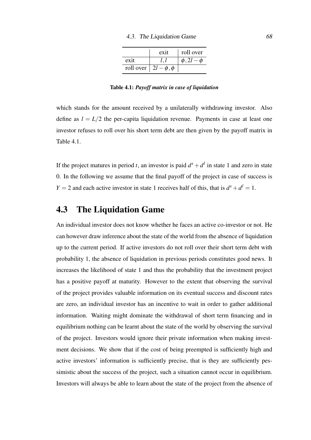|      | exit                       | roll over            |
|------|----------------------------|----------------------|
| exit |                            | $\phi$ , 2l – $\phi$ |
|      | roll over $ 2l-\phi, \phi$ |                      |

Table 4.1: *Payoff matrix in case of liquidation*

which stands for the amount received by a unilaterally withdrawing investor. Also define as  $l = L/2$  the per-capita liquidation revenue. Payments in case at least one investor refuses to roll over his short term debt are then given by the payoff matrix in Table 4.1.

If the project matures in period *t*, an investor is paid  $d^s + d^l$  in state 1 and zero in state 0. In the following we assume that the final payoff of the project in case of success is *Y* = 2 and each active investor in state 1 receives half of this, that is  $d^s + d^l = 1$ .

# 4.3 The Liquidation Game

An individual investor does not know whether he faces an active co-investor or not. He can however draw inference about the state of the world from the absence of liquidation up to the current period. If active investors do not roll over their short term debt with probability 1, the absence of liquidation in previous periods constitutes good news. It increases the likelihood of state 1 and thus the probability that the investment project has a positive payoff at maturity. However to the extent that observing the survival of the project provides valuable information on its eventual success and discount rates are zero, an individual investor has an incentive to wait in order to gather additional information. Waiting might dominate the withdrawal of short term financing and in equilibrium nothing can be learnt about the state of the world by observing the survival of the project. Investors would ignore their private information when making investment decisions. We show that if the cost of being preempted is sufficiently high and active investors' information is sufficiently precise, that is they are sufficiently pessimistic about the success of the project, such a situation cannot occur in equilibrium. Investors will always be able to learn about the state of the project from the absence of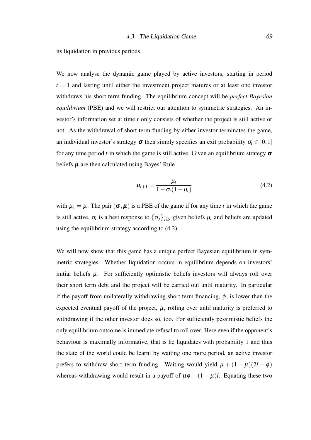its liquidation in previous periods.

We now analyse the dynamic game played by active investors, starting in period  $t = 1$  and lasting until either the investment project matures or at least one investor withdraws his short term funding. The equilibrium concept will be *perfect Bayesian equilibrium* (PBE) and we will restrict our attention to symmetric strategies. An investor's information set at time *t* only consists of whether the project is still active or not. As the withdrawal of short term funding by either investor terminates the game, an individual investor's strategy  $\sigma$  then simply specifies an exit probability  $\sigma_t \in [0,1]$ for any time period *t* in which the game is still active. Given an equilibrium strategy  $\sigma$ beliefs  $\mu$  are then calculated using Bayes' Rule

$$
\mu_{t+1} = \frac{\mu_t}{1 - \sigma_t (1 - \mu_t)}
$$
\n
$$
\tag{4.2}
$$

with  $\mu_1 = \mu$ . The pair  $(\sigma, \mu)$  is a PBE of the game if for any time *t* in which the game is still active,  $\sigma_t$  is a best response to  $\{\sigma_j\}_{j\geq t}$  given beliefs  $\mu_t$  and beliefs are updated using the equilibrium strategy according to (4.2).

We will now show that this game has a unique perfect Bayesian equilibrium in symmetric strategies. Whether liquidation occurs in equilibrium depends on investors' initial beliefs  $\mu$ . For sufficiently optimistic beliefs investors will always roll over their short term debt and the project will be carried out until maturity. In particular if the payoff from unilaterally withdrawing short term financing,  $\phi$ , is lower than the expected eventual payoff of the project,  $\mu$ , rolling over until maturity is preferred to withdrawing if the other investor does so, too. For sufficiently pessimistic beliefs the only equilibrium outcome is immediate refusal to roll over. Here even if the opponent's behaviour is maximally informative, that is he liquidates with probability 1 and thus the state of the world could be learnt by waiting one more period, an active investor prefers to withdraw short term funding. Waiting would yield  $\mu + (1 - \mu)(2l - \phi)$ whereas withdrawing would result in a payoff of  $\mu \phi + (1 - \mu)l$ . Equating these two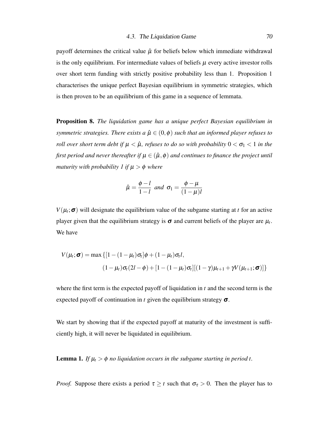payoff determines the critical value  $\hat{\mu}$  for beliefs below which immediate withdrawal is the only equilibrium. For intermediate values of beliefs  $\mu$  every active investor rolls over short term funding with strictly positive probability less than 1. Proposition 1 characterises the unique perfect Bayesian equilibrium in symmetric strategies, which is then proven to be an equilibrium of this game in a sequence of lemmata.

Proposition 8. *The liquidation game has a unique perfect Bayesian equilibrium in symmetric strategies. There exists a*  $\hat{\mu} \in (0, \phi)$  *such that an informed player refuses to roll over short term debt if*  $\mu < \hat{\mu}$ *, refuses to do so with probability*  $0 < \sigma_1 < 1$  *in the first period and never thereafter if*  $\mu \in (\hat{\mu}, \phi)$  *and continues to finance the project until maturity with probability 1 if*  $\mu > \phi$  *where* 

$$
\hat{\mu} = \frac{\phi - l}{1 - l} \text{ and } \sigma_1 = \frac{\phi - \mu}{(1 - \mu)l}
$$

 $V(\mu_t; \sigma)$  will designate the equilibrium value of the subgame starting at *t* for an active player given that the equilibrium strategy is  $\sigma$  and current beliefs of the player are  $\mu_t$ . We have

$$
V(\mu_t; \sigma) = \max \{ [1 - (1 - \mu_t)\sigma_t] \phi + (1 - \mu_t)\sigma_t l, (1 - \mu_t)\sigma_t (2l - \phi) + [1 - (1 - \mu_t)\sigma_t] [(1 - \gamma)\mu_{t+1} + \gamma V(\mu_{t+1}; \sigma)] \}
$$

where the first term is the expected payoff of liquidation in *t* and the second term is the expected payoff of continuation in  $t$  given the equilibrium strategy  $\sigma$ .

We start by showing that if the expected payoff at maturity of the investment is sufficiently high, it will never be liquidated in equilibrium.

**Lemma 1.** *If*  $\mu_t > \phi$  *no liquidation occurs in the subgame starting in period t.* 

*Proof.* Suppose there exists a period  $\tau \geq t$  such that  $\sigma_{\tau} > 0$ . Then the player has to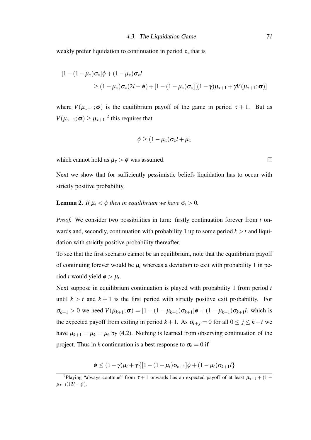weakly prefer liquidation to continuation in period  $\tau$ , that is

$$
[1 - (1 - \mu_{\tau})\sigma_{\tau}]\phi + (1 - \mu_{\tau})\sigma_{\tau}l
$$
  
\n
$$
\geq (1 - \mu_{\tau})\sigma_{\tau}(2l - \phi) + [1 - (1 - \mu_{\tau})\sigma_{\tau}][(1 - \gamma)\mu_{\tau+1} + \gamma V(\mu_{\tau+1}; \sigma)]
$$

where  $V(\mu_{\tau+1}; \sigma)$  is the equilibrium payoff of the game in period  $\tau + 1$ . But as  $V(\mu_{\tau+1}; \sigma) \geq \mu_{\tau+1}^2$  this requires that

$$
\phi \geq (1 - \mu_{\tau}) \sigma_{\tau} l + \mu_{\tau}
$$

which cannot hold as  $\mu_{\tau} > \phi$  was assumed.

Next we show that for sufficiently pessimistic beliefs liquidation has to occur with strictly positive probability.

### **Lemma 2.** *If*  $\mu_t < \phi$  *then in equilibrium we have*  $\sigma_t > 0$ *.*

*Proof.* We consider two possibilities in turn: firstly continuation forever from *t* onwards and, secondly, continuation with probability 1 up to some period  $k > t$  and liquidation with strictly positive probability thereafter.

To see that the first scenario cannot be an equilibrium, note that the equilibrium payoff of continuing forever would be  $\mu_t$  whereas a deviation to exit with probability 1 in period *t* would yield  $\phi > \mu_t$ .

Next suppose in equilibrium continuation is played with probability 1 from period *t* until  $k > t$  and  $k + 1$  is the first period with strictly positive exit probability. For  $\sigma_{k+1} > 0$  we need  $V(\mu_{k+1}; \sigma) = [1 - (1 - \mu_{k+1})\sigma_{k+1}]\phi + (1 - \mu_{k+1})\sigma_{k+1}l$ , which is the expected payoff from exiting in period  $k + 1$ . As  $\sigma_{t+j} = 0$  for all  $0 \le j \le k - t$  we have  $\mu_{k+1} = \mu_k = \mu_t$  by (4.2). Nothing is learned from observing continuation of the project. Thus in *k* continuation is a best response to  $\sigma_k = 0$  if

$$
\phi \leq (1-\gamma)\mu_t + \gamma \{[1-(1-\mu_t)\sigma_{k+1}]\phi + (1-\mu_t)\sigma_{k+1}l\}
$$

 $\Box$ 

<sup>&</sup>lt;sup>2</sup>Playing "always continue" from  $\tau + 1$  onwards has an expected payoff of at least  $\mu_{\tau+1} + (1 - \tau)$  $\mu_{\tau+1}$ )(2*l* –  $\phi$ ).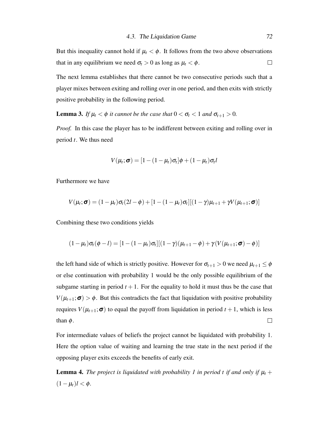But this inequality cannot hold if  $\mu_t < \phi$ . It follows from the two above observations that in any equilibrium we need  $\sigma_t > 0$  as long as  $\mu_t < \phi$ .  $\Box$ 

The next lemma establishes that there cannot be two consecutive periods such that a player mixes between exiting and rolling over in one period, and then exits with strictly positive probability in the following period.

**Lemma 3.** *If*  $\mu_t < \phi$  *it cannot be the case that*  $0 < \sigma_t < 1$  *and*  $\sigma_{t+1} > 0$ *.* 

*Proof.* In this case the player has to be indifferent between exiting and rolling over in period *t*. We thus need

$$
V(\mu_t; \boldsymbol{\sigma}) = [1 - (1 - \mu_t)\sigma_t]\phi + (1 - \mu_t)\sigma_t]
$$

Furthermore we have

$$
V(\mu_t; \sigma) = (1 - \mu_t)\sigma_t(2l - \phi) + [1 - (1 - \mu_t)\sigma_t][(1 - \gamma)\mu_{t+1} + \gamma V(\mu_{t+1}; \sigma)]
$$

Combining these two conditions yields

$$
(1-\mu_t)\sigma_t(\phi-l)=[1-(1-\mu_t)\sigma_t][(1-\gamma)(\mu_{t+1}-\phi)+\gamma(V(\mu_{t+1};\boldsymbol{\sigma})-\phi)]
$$

the left hand side of which is strictly positive. However for  $\sigma_{t+1} > 0$  we need  $\mu_{t+1} \leq \phi$ or else continuation with probability 1 would be the only possible equilibrium of the subgame starting in period  $t + 1$ . For the equality to hold it must thus be the case that  $V(\mu_{t+1}; \sigma) > \phi$ . But this contradicts the fact that liquidation with positive probability requires  $V(\mu_{t+1}; \sigma)$  to equal the payoff from liquidation in period  $t + 1$ , which is less than  $\phi$ .  $\Box$ 

For intermediate values of beliefs the project cannot be liquidated with probability 1. Here the option value of waiting and learning the true state in the next period if the opposing player exits exceeds the benefits of early exit.

**Lemma 4.** *The project is liquidated with probability 1 in period t if and only if*  $\mu$ <sub>t</sub> +  $(1 - \mu_t)l < \phi$ .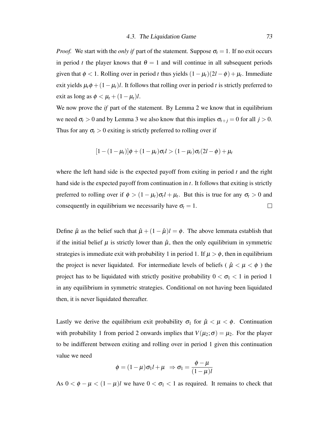*Proof.* We start with the *only if* part of the statement. Suppose  $\sigma_t = 1$ . If no exit occurs in period *t* the player knows that  $\theta = 1$  and will continue in all subsequent periods given that  $\phi < 1$ . Rolling over in period *t* thus yields  $(1 - \mu_t)(2l - \phi) + \mu_t$ . Immediate exit yields  $\mu_t \phi + (1 - \mu_t)l$ . It follows that rolling over in period *t* is strictly preferred to exit as long as  $\phi < \mu_t + (1 - \mu_t)l$ .

We now prove the *if* part of the statement. By Lemma 2 we know that in equilibrium we need  $\sigma_t > 0$  and by Lemma 3 we also know that this implies  $\sigma_{t+j} = 0$  for all  $j > 0$ . Thus for any  $\sigma_t > 0$  exiting is strictly preferred to rolling over if

$$
[1-(1-\mu_t)]\phi+(1-\mu_t)\sigma_t l>(1-\mu_t)\sigma_t(2l-\phi)+\mu_t
$$

where the left hand side is the expected payoff from exiting in period *t* and the right hand side is the expected payoff from continuation in *t*. It follows that exiting is strictly preferred to rolling over if  $\phi > (1 - \mu_t)\sigma_t l + \mu_t$ . But this is true for any  $\sigma_t > 0$  and consequently in equilibrium we necessarily have  $\sigma_t = 1$ .  $\Box$ 

Define  $\hat{\mu}$  as the belief such that  $\hat{\mu} + (1 - \hat{\mu})l = \phi$ . The above lemmata establish that if the initial belief  $\mu$  is strictly lower than  $\hat{\mu}$ , then the only equilibrium in symmetric strategies is immediate exit with probability 1 in period 1. If  $\mu > \phi$ , then in equilibrium the project is never liquidated. For intermediate levels of beliefs ( $\hat{\mu} < \mu < \phi$ ) the project has to be liquidated with strictly positive probability  $0 < \sigma_1 < 1$  in period 1 in any equilibrium in symmetric strategies. Conditional on not having been liquidated then, it is never liquidated thereafter.

Lastly we derive the equilibrium exit probability  $\sigma_1$  for  $\hat{\mu} < \mu < \phi$ . Continuation with probability 1 from period 2 onwards implies that  $V(\mu_2; \sigma) = \mu_2$ . For the player to be indifferent between exiting and rolling over in period 1 given this continuation value we need

$$
\phi = (1 - \mu)\sigma_1 l + \mu \Rightarrow \sigma_1 = \frac{\phi - \mu}{(1 - \mu)l}
$$

As  $0 < \phi - \mu < (1 - \mu)l$  we have  $0 < \sigma_1 < 1$  as required. It remains to check that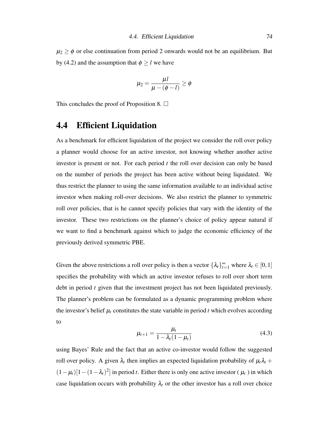$\mu_2 \ge \phi$  or else continuation from period 2 onwards would not be an equilibrium. But by (4.2) and the assumption that  $\phi \ge l$  we have

$$
\mu_2 = \frac{\mu l}{\mu - (\phi - l)} \ge \phi
$$

This concludes the proof of Proposition 8.  $\Box$ 

## 4.4 Efficient Liquidation

As a benchmark for efficient liquidation of the project we consider the roll over policy a planner would choose for an active investor, not knowing whether another active investor is present or not. For each period *t* the roll over decision can only be based on the number of periods the project has been active without being liquidated. We thus restrict the planner to using the same information available to an individual active investor when making roll-over decisions. We also restrict the planner to symmetric roll over policies, that is he cannot specify policies that vary with the identity of the investor. These two restrictions on the planner's choice of policy appear natural if we want to find a benchmark against which to judge the economic efficiency of the previously derived symmetric PBE.

Given the above restrictions a roll over policy is then a vector  $\{\lambda_t\}_{t=1}^{\infty}$  where  $\lambda_t \in [0,1]$ specifies the probability with which an active investor refuses to roll over short term debt in period *t* given that the investment project has not been liquidated previously. The planner's problem can be formulated as a dynamic programming problem where the investor's belief  $\mu_t$  constitutes the state variable in period  $t$  which evolves according to

$$
\mu_{t+1} = \frac{\mu_t}{1 - \lambda_t (1 - \mu_t)}\tag{4.3}
$$

using Bayes' Rule and the fact that an active co-investor would follow the suggested roll over policy. A given  $\lambda_t$  then implies an expected liquidation probability of  $\mu_t \lambda_t +$  $(1 - \mu_t)[1 - (1 - \lambda_t)^2]$  in period *t*. Either there is only one active investor ( $\mu_t$ ) in which case liquidation occurs with probability  $\lambda_t$  or the other investor has a roll over choice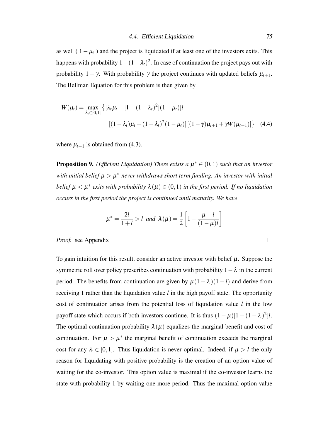as well (  $1 - \mu_t$  ) and the project is liquidated if at least one of the investors exits. This happens with probability  $1-(1-\lambda_t)^2$ . In case of continuation the project pays out with probability  $1 - \gamma$ . With probability  $\gamma$  the project continues with updated beliefs  $\mu_{t+1}$ . The Bellman Equation for this problem is then given by

$$
W(\mu_t) = \max_{\lambda_t \in [0,1]} \left\{ \left[ \lambda_t \mu_t + \left[ 1 - (1 - \lambda_t)^2 \right] (1 - \mu_t) \right] l + \right\}
$$

$$
\left[ (1 - \lambda_t) \mu_t + (1 - \lambda_t)^2 (1 - \mu_t) \right] \left[ (1 - \gamma) \mu_{t+1} + \gamma W(\mu_{t+1}) \right] \right\} \quad (4.4)
$$

where  $\mu_{t+1}$  is obtained from (4.3).

**Proposition 9.** (*Efficient Liquidation*) There exists a  $\mu^* \in (0,1)$  such that an investor  $$ *belief*  $\mu < \mu^*$  exits with probability  $\lambda(\mu) \in (0,1)$  in the first period. If no liquidation *occurs in the first period the project is continued until maturity. We have*

$$
\mu^* = \frac{2l}{1+l} > l \text{ and } \lambda(\mu) = \frac{1}{2} \left[ 1 - \frac{\mu - l}{(1-\mu)l} \right]
$$

#### *Proof.* see Appendix

To gain intuition for this result, consider an active investor with belief  $\mu$ . Suppose the symmetric roll over policy prescribes continuation with probability  $1-\lambda$  in the current period. The benefits from continuation are given by  $\mu(1 - \lambda)(1 - l)$  and derive from receiving 1 rather than the liquidation value *l* in the high payoff state. The opportunity cost of continuation arises from the potential loss of liquidation value *l* in the low payoff state which occurs if both investors continue. It is thus  $(1 - \mu)[1 - (1 - \lambda)^2]l$ . The optimal continuation probability  $\lambda(\mu)$  equalizes the marginal benefit and cost of continuation. For  $\mu > \mu^*$  the marginal benefit of continuation exceeds the marginal cost for any  $\lambda \in [0,1]$ . Thus liquidation is never optimal. Indeed, if  $\mu > l$  the only reason for liquidating with positive probability is the creation of an option value of waiting for the co-investor. This option value is maximal if the co-investor learns the state with probability 1 by waiting one more period. Thus the maximal option value

 $\Box$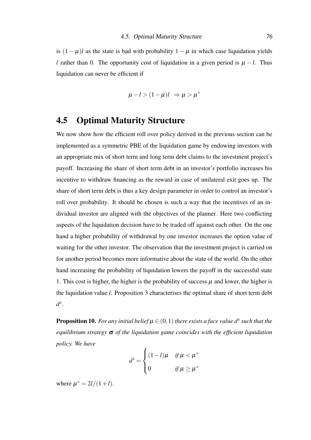is  $(1 - \mu)l$  as the state is bad with probability  $1 - \mu$  in which case liquidation yields *l* rather than 0. The opportunity cost of liquidation in a given period is  $\mu - l$ . Thus liquidation can never be efficient if

$$
\mu - l > (1 - \mu)l \Rightarrow \mu > \mu^*
$$

### 4.5 Optimal Maturity Structure

We now show how the efficient roll over policy derived in the previous section can be implemented as a symmetric PBE of the liquidation game by endowing investors with an appropriate mix of short term and long term debt claims to the investment project's payoff. Increasing the share of short term debt in an investor's portfolio increases his incentive to withdraw financing as the reward in case of unilateral exit goes up. The share of short term debt is thus a key design parameter in order to control an investor's roll over probability. It should be chosen is such a way that the incentives of an individual investor are aligned with the objectives of the planner. Here two conflicting aspects of the liquidation decision have to be traded off against each other. On the one hand a higher probability of withdrawal by one investor increases the option value of waiting for the other investor. The observation that the investment project is carried on for another period becomes more informative about the state of the world. On the other hand increasing the probability of liquidation lowers the payoff in the successful state 1. This cost is higher, the higher is the probability of success  $\mu$  and lower, the higher is the liquidation value *l*. Proposition 3 characterises the optimal share of short term debt *d s* .

**Proposition 10.** For any initial belief  $\mu \in (0,1)$  there exists a face value  $d^s$  such that the *equilibrium strategy* σ *of the liquidation game coincides with the efficient liquidation policy. We have*

$$
d^{s} = \begin{cases} (1-l)\mu & \text{if } \mu < \mu^* \\ 0 & \text{if } \mu \geq \mu^* \end{cases}
$$

where  $\mu^* = 2l/(1+l)$ .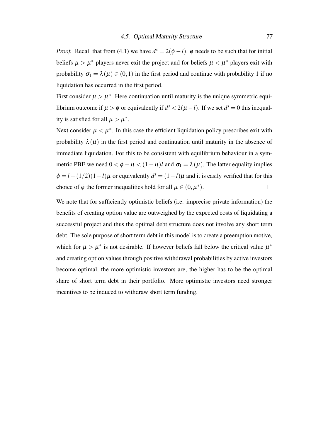*Proof.* Recall that from (4.1) we have  $d^s = 2(\phi - l)$ .  $\phi$  needs to be such that for initial beliefs  $\mu > \mu^*$  players never exit the project and for beliefs  $\mu < \mu^*$  players exit with probability  $\sigma_1 = \lambda(\mu) \in (0,1)$  in the first period and continue with probability 1 if no liquidation has occurred in the first period.

First consider  $\mu > \mu^*$ . Here continuation until maturity is the unique symmetric equilibrium outcome if  $\mu > \phi$  or equivalently if  $d^s < 2(\mu - l)$ . If we set  $d^s = 0$  this inequality is satisfied for all  $\mu > \mu^*$ .

Next consider  $\mu < \mu^*$ . In this case the efficient liquidation policy prescribes exit with probability  $\lambda(\mu)$  in the first period and continuation until maturity in the absence of immediate liquidation. For this to be consistent with equilibrium behaviour in a symmetric PBE we need  $0 < \phi - \mu < (1 - \mu)l$  and  $\sigma_1 = \lambda(\mu)$ . The latter equality implies  $\phi = l + (1/2)(1 - l)\mu$  or equivalently  $d^s = (1 - l)\mu$  and it is easily verified that for this choice of  $\phi$  the former inequalities hold for all  $\mu \in (0, \mu^*)$ .  $\Box$ 

We note that for sufficiently optimistic beliefs (i.e. imprecise private information) the benefits of creating option value are outweighed by the expected costs of liquidating a successful project and thus the optimal debt structure does not involve any short term debt. The sole purpose of short term debt in this model is to create a preemption motive, which for  $\mu > \mu^*$  is not desirable. If however beliefs fall below the critical value  $\mu^*$ and creating option values through positive withdrawal probabilities by active investors become optimal, the more optimistic investors are, the higher has to be the optimal share of short term debt in their portfolio. More optimistic investors need stronger incentives to be induced to withdraw short term funding.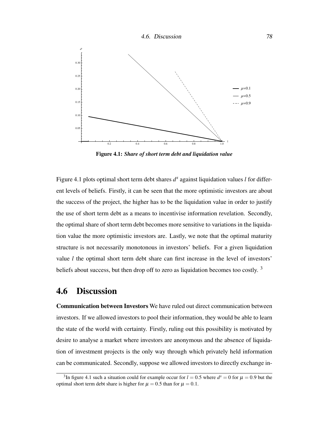

Figure 4.1: *Share of short term debt and liquidation value*

Figure 4.1 plots optimal short term debt shares  $d^s$  against liquidation values *l* for different levels of beliefs. Firstly, it can be seen that the more optimistic investors are about the success of the project, the higher has to be the liquidation value in order to justify the use of short term debt as a means to incentivise information revelation. Secondly, the optimal share of short term debt becomes more sensitive to variations in the liquidation value the more optimistic investors are. Lastly, we note that the optimal maturity structure is not necessarily monotonous in investors' beliefs. For a given liquidation value *l* the optimal short term debt share can first increase in the level of investors' beliefs about success, but then drop off to zero as liquidation becomes too costly.<sup>3</sup>

### 4.6 Discussion

Communication between Investors We have ruled out direct communication between investors. If we allowed investors to pool their information, they would be able to learn the state of the world with certainty. Firstly, ruling out this possibility is motivated by desire to analyse a market where investors are anonymous and the absence of liquidation of investment projects is the only way through which privately held information can be communicated. Secondly, suppose we allowed investors to directly exchange in-

<sup>&</sup>lt;sup>3</sup>In figure 4.1 such a situation could for example occur for  $l = 0.5$  where  $d<sup>s</sup> = 0$  for  $\mu = 0.9$  but the optimal short term debt share is higher for  $\mu = 0.5$  than for  $\mu = 0.1$ .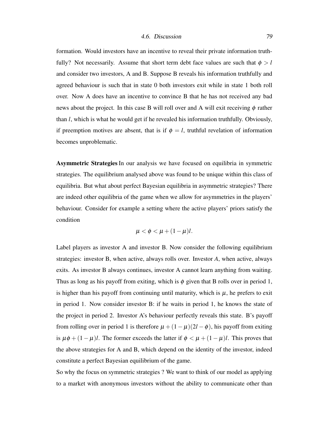formation. Would investors have an incentive to reveal their private information truthfully? Not necessarily. Assume that short term debt face values are such that  $\phi > l$ and consider two investors, A and B. Suppose B reveals his information truthfully and agreed behaviour is such that in state 0 both investors exit while in state 1 both roll over. Now A does have an incentive to convince B that he has not received any bad news about the project. In this case B will roll over and A will exit receiving  $\phi$  rather than *l*, which is what he would get if he revealed his information truthfully. Obviously, if preemption motives are absent, that is if  $\phi = l$ , truthful revelation of information becomes unproblematic.

Asymmetric Strategies In our analysis we have focused on equilibria in symmetric strategies. The equilibrium analysed above was found to be unique within this class of equilibria. But what about perfect Bayesian equilibria in asymmetric strategies? There are indeed other equilibria of the game when we allow for asymmetries in the players' behaviour. Consider for example a setting where the active players' priors satisfy the condition

$$
\mu < \phi < \mu + (1 - \mu)l.
$$

Label players as investor A and investor B. Now consider the following equilibrium strategies: investor B, when active, always rolls over. Investor *A*, when active, always exits. As investor B always continues, investor A cannot learn anything from waiting. Thus as long as his payoff from exiting, which is  $\phi$  given that B rolls over in period 1, is higher than his payoff from continuing until maturity, which is  $\mu$ , he prefers to exit in period 1. Now consider investor B: if he waits in period 1, he knows the state of the project in period 2. Investor A's behaviour perfectly reveals this state. B's payoff from rolling over in period 1 is therefore  $\mu + (1 - \mu)(2l - \phi)$ , his payoff from exiting is  $\mu \phi + (1 - \mu)l$ . The former exceeds the latter if  $\phi < \mu + (1 - \mu)l$ . This proves that the above strategies for A and B, which depend on the identity of the investor, indeed constitute a perfect Bayesian equilibrium of the game.

So why the focus on symmetric strategies ? We want to think of our model as applying to a market with anonymous investors without the ability to communicate other than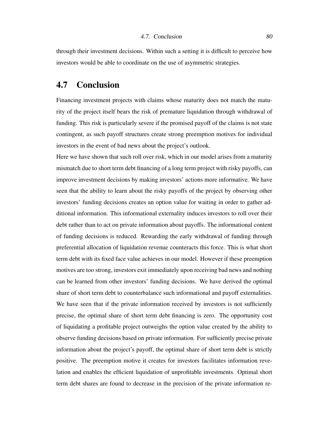through their investment decisions. Within such a setting it is difficult to perceive how investors would be able to coordinate on the use of asymmetric strategies.

### 4.7 Conclusion

Financing investment projects with claims whose maturity does not match the maturity of the project itself bears the risk of premature liquidation through withdrawal of funding. This risk is particularly severe if the promised payoff of the claims is not state contingent, as such payoff structures create strong preemption motives for individual investors in the event of bad news about the project's outlook.

Here we have shown that such roll over risk, which in our model arises from a maturity mismatch due to short term debt financing of a long term project with risky payoffs, can improve investment decisions by making investors' actions more informative. We have seen that the ability to learn about the risky payoffs of the project by observing other investors' funding decisions creates an option value for waiting in order to gather additional information. This informational externality induces investors to roll over their debt rather than to act on private information about payoffs. The informational content of funding decisions is reduced. Rewarding the early withdrawal of funding through preferential allocation of liquidation revenue counteracts this force. This is what short term debt with its fixed face value achieves in our model. However if these preemption motives are too strong, investors exit immediately upon receiving bad news and nothing can be learned from other investors' funding decisions. We have derived the optimal share of short term debt to counterbalance such informational and payoff externalities. We have seen that if the private information received by investors is not sufficiently precise, the optimal share of short term debt financing is zero. The opportunity cost of liquidating a profitable project outweighs the option value created by the ability to observe funding decisions based on private information. For sufficiently precise private information about the project's payoff, the optimal share of short term debt is strictly positive. The preemption motive it creates for investors facilitates information revelation and enables the efficient liquidation of unprofitable investments. Optimal short term debt shares are found to decrease in the precision of the private information re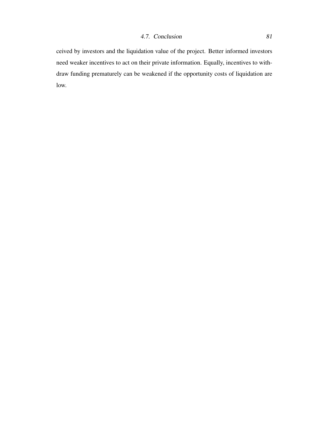ceived by investors and the liquidation value of the project. Better informed investors need weaker incentives to act on their private information. Equally, incentives to withdraw funding prematurely can be weakened if the opportunity costs of liquidation are low.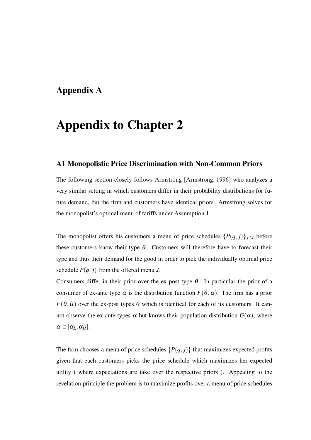## Appendix A

## Appendix to Chapter 2

#### A1 Monopolistic Price Discrimination with Non-Common Priors

The following section closely follows Armstrong [Armstrong, 1996] who analyzes a very similar setting in which customers differ in their probability distributions for future demand, but the firm and customers have identical priors. Armstrong solves for the monopolist's optimal menu of tariffs under Assumption 1.

The monopolist offers his customers a menu of price schedules  $\{P(q, j)\}_{j \in J}$  before these customers know their type  $\theta$ . Customers will therefore have to forecast their type and thus their demand for the good in order to pick the individually optimal price schedule  $P(q, j)$  from the offered menu *J*.

Consumers differ in their prior over the ex-post type  $\theta$ . In particular the prior of a consumer of ex-ante type  $\alpha$  is the distribution function  $F(\theta, \alpha)$ . The firm has a prior  $F(\theta, \hat{\alpha})$  over the ex-post types  $\theta$  which is identical for each of its customers. It cannot observe the ex-ante types  $\alpha$  but knows their population distribution  $G(\alpha)$ , where  $\alpha \in [\alpha_L, \alpha_H].$ 

The firm chooses a menu of price schedules  $\{P(q, j)\}\$  that maximizes expected profits given that each customers picks the price schedule which maximizes her expected utility ( where expectations are take over the respective priors ). Appealing to the revelation principle the problem is to maximize profits over a menu of price schedules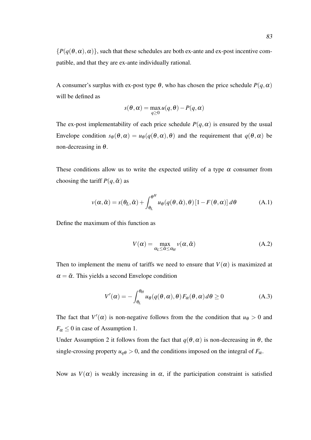A consumer's surplus with ex-post type  $\theta$ , who has chosen the price schedule  $P(q, \alpha)$ will be defined as

$$
s(\theta, \alpha) = \max_{q \ge 0} u(q, \theta) - P(q, \alpha)
$$

The ex-post implementability of each price schedule  $P(q, \alpha)$  is ensured by the usual Envelope condition  $s_{\theta}(\theta, \alpha) = u_{\theta}(q(\theta, \alpha), \theta)$  and the requirement that  $q(\theta, \alpha)$  be non-decreasing in  $\theta$ .

These conditions allow us to write the expected utility of a type  $\alpha$  consumer from choosing the tariff  $P(q, \tilde{\alpha})$  as

$$
v(\alpha, \tilde{\alpha}) = s(\theta_L, \tilde{\alpha}) + \int_{\theta_L}^{\theta^H} u_{\theta}(q(\theta, \tilde{\alpha}), \theta) \left[1 - F(\theta, \alpha)\right] d\theta \tag{A.1}
$$

Define the maximum of this function as

$$
V(\alpha) = \max_{\alpha_L \le \tilde{\alpha} \le \alpha_H} v(\alpha, \tilde{\alpha})
$$
 (A.2)

Then to implement the menu of tariffs we need to ensure that  $V(\alpha)$  is maximized at  $\alpha = \tilde{\alpha}$ . This yields a second Envelope condition

$$
V'(\alpha) = -\int_{\theta_L}^{\theta_H} u_{\theta}(q(\theta, \alpha), \theta) F_{\alpha}(\theta, \alpha) d\theta \ge 0
$$
 (A.3)

The fact that  $V'(\alpha)$  is non-negative follows from the the condition that  $u_{\theta} > 0$  and  $F_\alpha \leq 0$  in case of Assumption 1.

Under Assumption 2 it follows from the fact that  $q(\theta, \alpha)$  is non-decreasing in  $\theta$ , the single-crossing property  $u_{q\theta} > 0$ , and the conditions imposed on the integral of  $F_{\alpha}$ .

Now as  $V(\alpha)$  is weakly increasing in  $\alpha$ , if the participation constraint is satisfied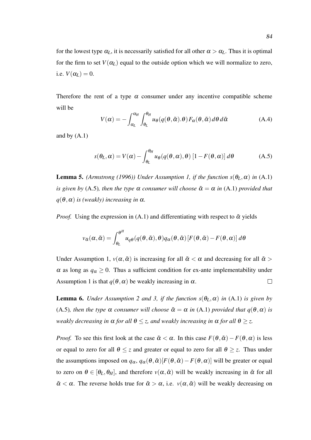for the lowest type  $\alpha_L$ , it is necessarily satisfied for all other  $\alpha > \alpha_L$ . Thus it is optimal for the firm to set  $V(\alpha_L)$  equal to the outside option which we will normalize to zero, i.e.  $V(\alpha_L) = 0$ .

Therefore the rent of a type  $\alpha$  consumer under any incentive compatible scheme will be

$$
V(\alpha) = -\int_{\alpha_L}^{\alpha_H} \int_{\theta_L}^{\theta_H} u_{\theta}(q(\theta, \tilde{\alpha}).\theta) F_{\alpha}(\theta, \tilde{\alpha}) d\theta d\tilde{\alpha}
$$
 (A.4)

and by  $(A.1)$ 

$$
s(\theta_L, \alpha) = V(\alpha) - \int_{\theta_L}^{\theta_H} u_{\theta}(q(\theta, \alpha), \theta) [1 - F(\theta, \alpha)] d\theta
$$
 (A.5)

**Lemma 5.** *(Armstrong (1996)) Under Assumption 1, if the function s*( $\theta_L, \alpha$ ) *in* (A.1) *is given by* (A.5)*, then the type*  $\alpha$  *consumer will choose*  $\tilde{\alpha} = \alpha$  *in* (A.1) *provided that*  $q(\theta, \alpha)$  *is (weakly) increasing in*  $\alpha$ .

*Proof.* Using the expression in (A.1) and differentiating with respect to  $\tilde{\alpha}$  yields

$$
v_{\tilde{\alpha}}(\alpha, \tilde{\alpha}) = \int_{\theta_L}^{\theta^H} u_q \theta(q(\theta, \tilde{\alpha}), \theta) q_{\alpha}(\theta, \tilde{\alpha}) [F(\theta, \tilde{\alpha}) - F(\theta, \alpha)] d\theta
$$

Under Assumption 1,  $v(\alpha, \tilde{\alpha})$  is increasing for all  $\tilde{\alpha} < \alpha$  and decreasing for all  $\tilde{\alpha} >$  $\alpha$  as long as  $q_{\alpha} \geq 0$ . Thus a sufficient condition for ex-ante implementability under Assumption 1 is that  $q(\theta, \alpha)$  be weakly increasing in  $\alpha$ .  $\Box$ 

**Lemma 6.** *Under Assumption 2 and 3, if the function*  $s(\theta_L, \alpha)$  *in* (A.1) *is given by* (A.5)*, then the type*  $\alpha$  *consumer will choose*  $\tilde{\alpha} = \alpha$  *in* (A.1) *provided that*  $q(\theta, \alpha)$  *is weakly decreasing in*  $\alpha$  *for all*  $\theta \le z$ *, and weakly increasing in*  $\alpha$  *for all*  $\theta \ge z$ *.* 

*Proof.* To see this first look at the case  $\tilde{\alpha} < \alpha$ . In this case  $F(\theta, \tilde{\alpha}) - F(\theta, \alpha)$  is less or equal to zero for all  $\theta \leq z$  and greater or equal to zero for all  $\theta \geq z$ . Thus under the assumptions imposed on  $q_\alpha$ ,  $q_\alpha(\theta, \tilde{\alpha})[F(\theta, \tilde{\alpha}) - F(\theta, \alpha)]$  will be greater or equal to zero on  $\theta \in [\theta_L, \theta_H]$ , and therefore  $v(\alpha, \tilde{\alpha})$  will be weakly increasing in  $\tilde{\alpha}$  for all  $\tilde{\alpha} < \alpha$ . The reverse holds true for  $\tilde{\alpha} > \alpha$ , i.e.  $v(\alpha, \tilde{\alpha})$  will be weakly decreasing on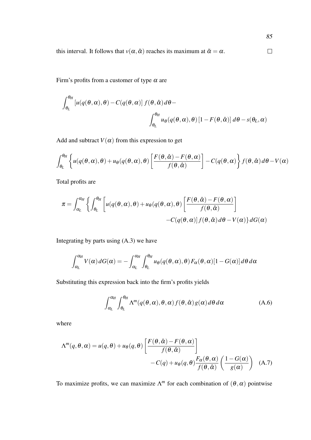this interval. It follows that  $v(\alpha, \tilde{\alpha})$  reaches its maximum at  $\tilde{\alpha} = \alpha$ .  $\Box$ 

85

Firm's profits from a customer of type  $\alpha$  are

$$
\int_{\theta_L}^{\theta_H} \left[ u(q(\theta, \alpha), \theta) - C(q(\theta, \alpha)) f(\theta, \hat{\alpha}) d\theta - \int_{\theta_L}^{\theta_H} u_{\theta}(q(\theta, \alpha), \theta) \left[ 1 - F(\theta, \hat{\alpha}) \right] d\theta - s(\theta_L, \alpha)
$$

Add and subtract  $V(\alpha)$  from this expression to get

$$
\int_{\theta_L}^{\theta_H} \left\{ u(q(\theta,\alpha),\theta) + u_{\theta}(q(\theta,\alpha),\theta) \left[ \frac{F(\theta,\hat{\alpha}) - F(\theta,\alpha)}{f(\theta,\hat{\alpha})} \right] - C(q(\theta,\alpha)) \right\} f(\theta,\hat{\alpha}) d\theta - V(\alpha)
$$

Total profits are

$$
\pi = \int_{\alpha_L}^{\alpha_H} \left\{ \int_{\theta_L}^{\theta_H} \left[ u(q(\theta, \alpha), \theta) + u_{\theta}(q(\theta, \alpha), \theta) \left[ \frac{F(\theta, \hat{\alpha}) - F(\theta, \alpha)}{f(\theta, \hat{\alpha})} \right] - C(q(\theta, \alpha)) f(\theta, \hat{\alpha}) d\theta - V(\alpha) \right\} dG(\alpha) \right\}
$$

Integrating by parts using (A.3) we have

$$
\int_{\alpha_L}^{\alpha_H} V(\alpha) dG(\alpha) = - \int_{\alpha_L}^{\alpha_H} \int_{\theta_L}^{\theta_H} u_{\theta}(q(\theta,\alpha),\theta) F_{\alpha}(\theta,\alpha) [1 - G(\alpha)] d\theta d\alpha
$$

Substituting this expression back into the firm's profits yields

$$
\int_{\alpha_L}^{\alpha_H} \int_{\theta_L}^{\theta_H} \Lambda^m(q(\theta,\alpha),\theta,\alpha) f(\theta,\hat{\alpha}) g(\alpha) d\theta d\alpha \tag{A.6}
$$

where

$$
\Lambda^{m}(q, \theta, \alpha) = u(q, \theta) + u_{\theta}(q, \theta) \left[ \frac{F(\theta, \hat{\alpha}) - F(\theta, \alpha)}{f(\theta, \hat{\alpha})} \right] - C(q) + u_{\theta}(q, \theta) \frac{F_{\alpha}(\theta, \alpha)}{f(\theta, \hat{\alpha})} \left( \frac{1 - G(\alpha)}{g(\alpha)} \right) \quad (A.7)
$$

To maximize profits, we can maximize  $\Lambda^m$  for each combination of  $(\theta, \alpha)$  pointwise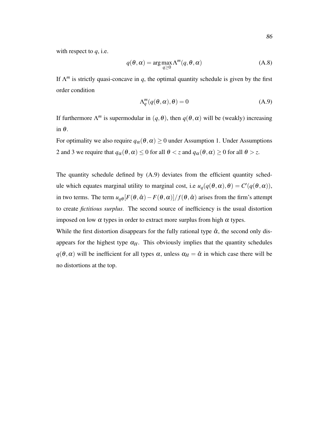with respect to *q*, i.e.

$$
q(\theta, \alpha) = \arg \max_{q \ge 0} \Lambda^m(q, \theta, \alpha)
$$
 (A.8)

If  $\Lambda^m$  is strictly quasi-concave in *q*, the optimal quantity schedule is given by the first order condition

$$
\Lambda_q^m(q(\theta,\alpha),\theta) = 0 \tag{A.9}
$$

If furthermore  $\Lambda^m$  is supermodular in  $(q, \theta)$ , then  $q(\theta, \alpha)$  will be (weakly) increasing in θ.

For optimality we also require  $q_\alpha(\theta, \alpha) \geq 0$  under Assumption 1. Under Assumptions 2 and 3 we require that  $q_\alpha(\theta, \alpha) \leq 0$  for all  $\theta < z$  and  $q_\alpha(\theta, \alpha) \geq 0$  for all  $\theta > z$ .

The quantity schedule defined by (A.9) deviates from the efficient quantity schedule which equates marginal utility to marginal cost, i.e  $u_q(q(\theta, \alpha), \theta) = C'(q(\theta, \alpha)),$ in two terms. The term  $u_{q\theta}[F(\theta, \hat{\alpha}) - F(\theta, \alpha)]/f(\theta, \hat{\alpha})$  arises from the firm's attempt to create *fictitious surplus*. The second source of inefficiency is the usual distortion imposed on low  $\alpha$  types in order to extract more surplus from high  $\alpha$  types.

While the first distortion disappears for the fully rational type  $\hat{\alpha}$ , the second only disappears for the highest type  $\alpha_H$ . This obviously implies that the quantity schedules  $q(\theta, \alpha)$  will be inefficient for all types  $\alpha$ , unless  $\alpha_H = \hat{\alpha}$  in which case there will be no distortions at the top.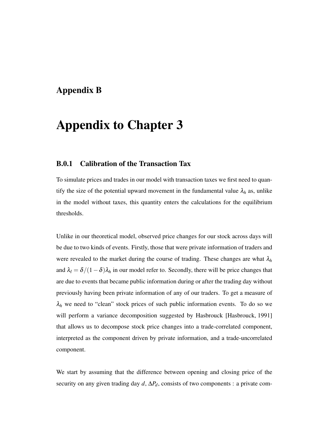### Appendix B

## Appendix to Chapter 3

#### B.0.1 Calibration of the Transaction Tax

To simulate prices and trades in our model with transaction taxes we first need to quantify the size of the potential upward movement in the fundamental value  $\lambda_h$  as, unlike in the model without taxes, this quantity enters the calculations for the equilibrium thresholds.

Unlike in our theoretical model, observed price changes for our stock across days will be due to two kinds of events. Firstly, those that were private information of traders and were revealed to the market during the course of trading. These changes are what  $\lambda_h$ and  $\lambda_l = \delta/(1-\delta)\lambda_h$  in our model refer to. Secondly, there will be price changes that are due to events that became public information during or after the trading day without previously having been private information of any of our traders. To get a measure of  $\lambda_h$  we need to "clean" stock prices of such public information events. To do so we will perform a variance decomposition suggested by Hasbrouck [Hasbrouck, 1991] that allows us to decompose stock price changes into a trade-correlated component, interpreted as the component driven by private information, and a trade-uncorrelated component.

We start by assuming that the difference between opening and closing price of the security on any given trading day *d*, ∆*Pd*, consists of two components : a private com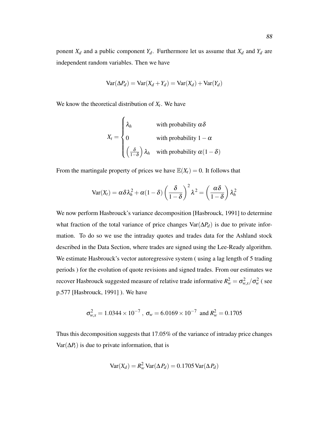ponent  $X_d$  and a public component  $Y_d$ . Furthermore let us assume that  $X_d$  and  $Y_d$  are independent random variables. Then we have

$$
Var(\Delta P_d) = Var(X_d + Y_d) = Var(X_d) + Var(Y_d)
$$

We know the theoretical distribution of  $X_t$ . We have

$$
X_t = \begin{cases} \lambda_h & \text{with probability } \alpha \delta \\ 0 & \text{with probability } 1 - \alpha \\ \left(\frac{\delta}{1 - \delta}\right) \lambda_h & \text{with probability } \alpha (1 - \delta) \end{cases}
$$

From the martingale property of prices we have  $\mathbb{E}(X_t) = 0$ . It follows that

$$
\text{Var}(X_t) = \alpha \delta \lambda_h^2 + \alpha (1 - \delta) \left( \frac{\delta}{1 - \delta} \right)^2 \lambda^2 = \left( \frac{\alpha \delta}{1 - \delta} \right) \lambda_h^2
$$

We now perform Hasbrouck's variance decomposition [Hasbrouck, 1991] to determine what fraction of the total variance of price changes Var(∆*Pd*) is due to private information. To do so we use the intraday quotes and trades data for the Ashland stock described in the Data Section, where trades are signed using the Lee-Ready algorithm. We estimate Hasbrouck's vector autoregressive system ( using a lag length of 5 trading periods ) for the evolution of quote revisions and signed trades. From our estimates we recover Hasbrouck suggested measure of relative trade informative  $R_w^2 = \sigma_{w,x}^2/\sigma_w^2$  (see p.577 [Hasbrouck, 1991] ). We have

$$
\sigma_{w,x}^2 = 1.0344 \times 10^{-7}
$$
,  $\sigma_w = 6.0169 \times 10^{-7}$  and  $R_w^2 = 0.1705$ 

Thus this decomposition suggests that 17.05% of the variance of intraday price changes  $Var(\Delta P_t)$  is due to private information, that is

$$
Var(X_d) = R_w^2 Var(\Delta P_d) = 0.1705 Var(\Delta P_d)
$$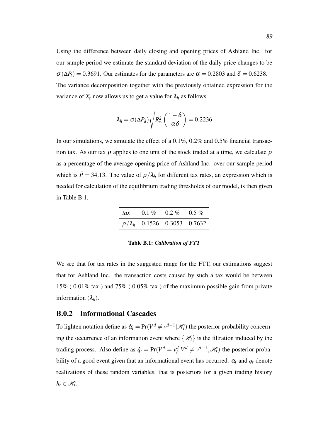Using the difference between daily closing and opening prices of Ashland Inc. for our sample period we estimate the standard deviation of the daily price changes to be  $\sigma(\Delta P_t) = 0.3691$ . Our estimates for the parameters are  $\alpha = 0.2803$  and  $\delta = 0.6238$ . The variance decomposition together with the previously obtained expression for the variance of  $X_t$  now allows us to get a value for  $\lambda_h$  as follows

$$
\lambda_h = \sigma(\Delta P_d) \sqrt{R_w^2 \left(\frac{1-\delta}{\alpha \delta}\right)} = 0.2236
$$

In our simulations, we simulate the effect of a 0.1%, 0.2% and 0.5% financial transaction tax. As our tax  $\rho$  applies to one unit of the stock traded at a time, we calculate  $\rho$ as a percentage of the average opening price of Ashland Inc. over our sample period which is  $\bar{P}$  = 34.13. The value of  $\rho/\lambda_h$  for different tax rates, an expression which is needed for calculation of the equilibrium trading thresholds of our model, is then given in Table B.1.

| tax $0.1\%$ $0.2\%$ $0.5\%$           |  |
|---------------------------------------|--|
| $\rho/\lambda_h$ 0.1526 0.3053 0.7632 |  |

Table B.1: *Calibration of FTT*

We see that for tax rates in the suggested range for the FTT, our estimations suggest that for Ashland Inc. the transaction costs caused by such a tax would be between 15% ( 0.01% tax ) and 75% ( 0.05% tax ) of the maximum possible gain from private information  $(\lambda_h)$ .

#### B.0.2 Informational Cascades

To lighten notation define as  $\hat{\alpha}_t = \Pr(V^d \neq v^{d-1} | \mathcal{H}_t)$  the posterior probability concerning the occurrence of an information event where  $\{\mathcal{H}_t\}$  is the filtration induced by the trading process. Also define as  $\hat{q}_t = \text{Pr}(V^d = v_h^d)$  $\mathcal{H}_h^d | V^d \neq v^{d-1}, \mathcal{H}_t$  the posterior probability of a good event given that an informational event has occurred.  $\alpha_t$  and  $q_t$  denote realizations of these random variables, that is posteriors for a given trading history  $h_t \in \mathcal{H}_t$ .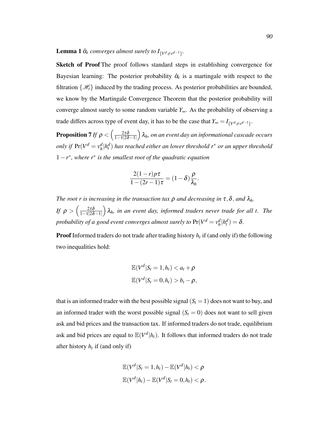#### **Lemma 1**  $\hat{\alpha}_t$  converges almost surely to  $I_{\{V^d \neq v^{d-1}\}}$ .

Sketch of Proof The proof follows standard steps in establishing convergence for Bayesian learning: The posterior probability  $\hat{\alpha}_t$  is a martingale with respect to the filtration  $\{\mathcal{H}_t\}$  induced by the trading process. As posterior probabilities are bounded, we know by the Martingale Convergence Theorem that the posterior probability will converge almost surely to some random variable *Y*∞. As the probability of observing a trade differs across type of event day, it has to be the case that  $Y_{\infty} = I_{\{V^d \neq v^{d-1}\}}$ .

**Proposition 7** *If*  $\rho < \left( \frac{2\tau \delta}{1 - \tau / 2\delta} \right)$  $\overline{1-\tau}|2\delta-1|$  λ*h, on an event day an informational cascade occurs only if*  $Pr(V^d = v^d)$ *h* |*h d t* ) *has reached either an lower threshold r*<sup>∗</sup> *or an upper threshold* 1−*r* ∗ *, where r*<sup>∗</sup> *is the smallest root of the quadratic equation*

$$
\frac{2(1-r)p\tau}{1-(2r-1)\tau} = (1-\delta)\frac{\rho}{\lambda_h}.
$$

*The root r is increasing in the transaction tax*  $\rho$  *and decreasing in*  $\tau$ ,  $\delta$ , *and*  $\lambda_h$ *. If*  $\rho > \left(\frac{2\tau\delta}{1-\tau|2\delta}\right)$  $\overline{1-\tau}|2\delta-1|$  λ*h, in an event day, informed traders never trade for all t. The probability of a good event converges almost surely to*  $Pr(V^d = v^d_h)$  $\int_h^d |h_t^d| = \delta.$ 

Proof Informed traders do not trade after trading history *h<sup>t</sup>* if (and only if) the following two inequalities hold:

$$
\mathbb{E}(V^d|S_t=1,h_t) < a_t + \rho
$$
\n
$$
\mathbb{E}(V^d|S_t=0,h_t) > b_t - \rho,
$$

that is an informed trader with the best possible signal  $(S_t = 1)$  does not want to buy, and an informed trader with the worst possible signal  $(S_t = 0)$  does not want to sell given ask and bid prices and the transaction tax. If informed traders do not trade, equilibrium ask and bid prices are equal to  $\mathbb{E}(V^d | h_t)$ . It follows that informed traders do not trade after history *h<sup>t</sup>* if (and only if)

$$
\mathbb{E}(V^d|S_t=1,h_t) - \mathbb{E}(V^d|h_t) < \rho
$$
\n
$$
\mathbb{E}(V^d|h_t) - \mathbb{E}(V^d|S_t=0,h_t) < \rho.
$$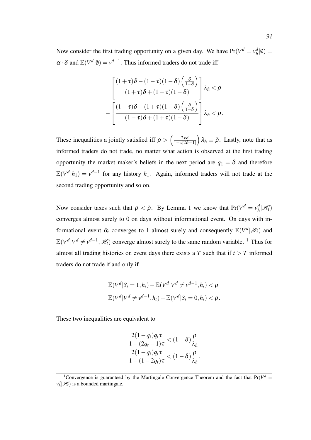Now consider the first trading opportunity on a given day. We have  $Pr(V^d = v_h^d)$  $\frac{d}{h}|\emptyset) =$  $\alpha \cdot \delta$  and  $\mathbb{E}(V^d | \mathbf{0}) = v^{d-1}$ . Thus informed traders do not trade iff

$$
\left[\frac{(1+\tau)\delta-(1-\tau)(1-\delta)\left(\frac{\delta}{1-\delta}\right)}{(1+\tau)\delta+(1-\tau)(1-\delta)}\right]\lambda_h < \rho
$$

$$
-\left[\frac{(1-\tau)\delta-(1+\tau)(1-\delta)\left(\frac{\delta}{1-\delta}\right)}{(1-\tau)\delta+(1+\tau)(1-\delta)}\right]\lambda_h < \rho.
$$

These inequalities a jointly satisfied iff  $\rho > \left(\frac{2\tau\delta}{1-\tau/2\delta}\right)$  $1-\tau|2\delta-1|$  $\partial_{\lambda} \lambda_h \equiv \bar{\rho}$ . Lastly, note that as informed traders do not trade, no matter what action is observed at the first trading opportunity the market maker's beliefs in the next period are  $q_1 = \delta$  and therefore  $\mathbb{E}(V^d | h_1) = v^{d-1}$  for any history  $h_1$ . Again, informed traders will not trade at the second trading opportunity and so on.

Now consider taxes such that  $\rho < \bar{\rho}$ . By Lemma 1 we know that  $Pr(V^d = v_h^d)$  $\frac{d}{h}$  $\mathscr{H}_t$ converges almost surely to 0 on days without informational event. On days with informational event  $\hat{\alpha}_t$  converges to 1 almost surely and consequently  $\mathbb{E}(V^d|\mathcal{H}_t)$  and  $\mathbb{E}(V^d | V^d \neq v^{d-1}, \mathcal{H}_t)$  converge almost surely to the same random variable. <sup>1</sup> Thus for almost all trading histories on event days there exists a *T* such that if  $t > T$  informed traders do not trade if and only if

$$
\mathbb{E}(V^d|S_t=1,h_t) - \mathbb{E}(V^d|V^d \neq v^{d-1},h_t) < \rho
$$
  

$$
\mathbb{E}(V^d|V^d \neq v^{d-1},h_t) - \mathbb{E}(V^d|S_t=0,h_t) < \rho.
$$

These two inequalities are equivalent to

$$
\frac{2(1-q_t)q_t\tau}{1-(2q_t-1)\tau} < (1-\delta)\frac{\rho}{\lambda_h}
$$

$$
\frac{2(1-q_t)q_t\tau}{1-(1-2q_t)\tau} < (1-\delta)\frac{\rho}{\lambda_h}.
$$

<sup>&</sup>lt;sup>1</sup> Convergence is guaranteed by the Martingale Convergence Theorem and the fact that  $Pr(V^d =$  $v_h^d$   $|\mathcal{H}_t$  is a bounded martingale.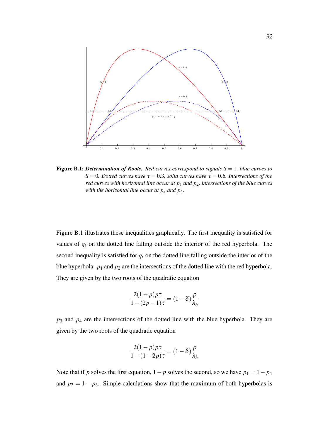

Figure B.1: *Determination of Roots. Red curves correspond to signals S* = 1*, blue curves to S* = 0*. Dotted curves have*  $\tau$  = 0.3*, solid curves have*  $\tau$  = 0.6*. Intersections of the red curves with horizontal line occur at p*<sup>1</sup> *and p*2*, intersections of the blue curves with the horizontal line occur at p*<sup>3</sup> *and p*4*.*

Figure B.1 illustrates these inequalities graphically. The first inequality is satisfied for values of *q<sup>t</sup>* on the dotted line falling outside the interior of the red hyperbola. The second inequality is satisfied for  $q_t$  on the dotted line falling outside the interior of the blue hyperbola.  $p_1$  and  $p_2$  are the intersections of the dotted line with the red hyperbola. They are given by the two roots of the quadratic equation

$$
\frac{2(1-p)p\tau}{1-(2p-1)\tau} = (1-\delta)\frac{\rho}{\lambda_h}
$$

*p*<sup>3</sup> and *p*<sup>4</sup> are the intersections of the dotted line with the blue hyperbola. They are given by the two roots of the quadratic equation

$$
\frac{2(1-p)p\tau}{1-(1-2p)\tau} = (1-\delta)\frac{\rho}{\lambda_h}
$$

Note that if *p* solves the first equation,  $1 - p$  solves the second, so we have  $p_1 = 1 - p_4$ and  $p_2 = 1 - p_3$ . Simple calculations show that the maximum of both hyperbolas is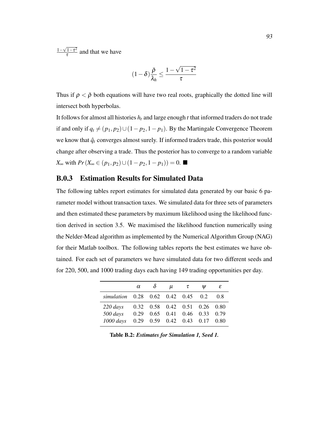$1-\sqrt{1-\tau^2}$  $\frac{1-\tau^2}{\tau}$  and that we have

$$
(1-\delta)\frac{\bar{\rho}}{\lambda_h} \leq \frac{1-\sqrt{1-\tau^2}}{\tau}
$$

Thus if  $\rho < \bar{\rho}$  both equations will have two real roots, graphically the dotted line will intersect both hyperbolas.

It follows for almost all histories  $h_t$  and large enough  $t$  that informed traders do not trade if and only if  $q_t \neq (p_1, p_2) ∪ (1 - p_2, 1 - p_1)$ . By the Martingale Convergence Theorem we know that  $\hat{q}_t$  converges almost surely. If informed traders trade, this posterior would change after observing a trade. Thus the posterior has to converge to a random variable *X*∞ with  $Pr(X_{\infty} \in (p_1, p_2) \cup (1 - p_2, 1 - p_1)) = 0$ . ■

#### B.0.3 Estimation Results for Simulated Data

The following tables report estimates for simulated data generated by our basic 6 parameter model without transaction taxes. We simulated data for three sets of parameters and then estimated these parameters by maximum likelihood using the likelihood function derived in section 3.5. We maximised the likelihood function numerically using the Nelder-Mead algorithm as implemented by the Numerical Algorithm Group (NAG) for their Matlab toolbox. The following tables reports the best estimates we have obtained. For each set of parameters we have simulated data for two different seeds and for 220, 500, and 1000 trading days each having 149 trading opportunities per day.

|                                    | $\alpha$ | $\delta$ | $\mu$                                     | $\tau$ | Ψ | ε   |
|------------------------------------|----------|----------|-------------------------------------------|--------|---|-----|
| simulation 0.28 0.62 0.42 0.45 0.2 |          |          |                                           |        |   | 0.8 |
| $220 \, days$                      |          |          | 0.32 0.58 0.42 0.51 0.26 0.80             |        |   |     |
| 500 days                           |          |          | 0.29 0.65 0.41 0.46 0.33 0.79             |        |   |     |
| $1000 \; days$                     |          |          | $0.29$ $0.59$ $0.42$ $0.43$ $0.17$ $0.80$ |        |   |     |

Table B.2: *Estimates for Simulation 1, Seed 1.*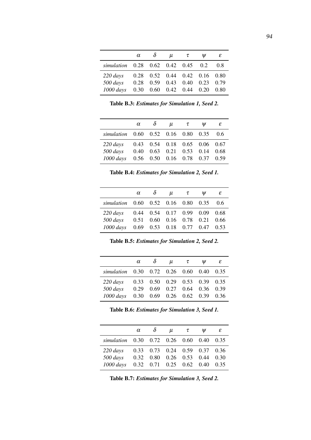|                                    | $\alpha$ | $\delta$ | u                                                                     | $\tau$ | Ψ | ε    |
|------------------------------------|----------|----------|-----------------------------------------------------------------------|--------|---|------|
| simulation 0.28 0.62 0.42 0.45 0.2 |          |          |                                                                       |        |   | 0.8  |
| $220 \, days$<br>500 days          |          |          | $0.28$ 0.52 0.44 0.42 0.16 0.80<br>$0.28$ $0.59$ $0.43$ $0.40$ $0.23$ |        |   | 0.79 |
| $1000$ days                        |          |          | $0.30 \quad 0.60 \quad 0.42 \quad 0.44 \quad 0.20$                    |        |   | 0.80 |

Table B.3: *Estimates for Simulation 1, Seed 2.*

|                 | $\alpha$ | $\delta$    | $\mu$                 | $\tau$ | Ψ    | ε    |
|-----------------|----------|-------------|-----------------------|--------|------|------|
| simulation 0.60 |          |             | $0.52$ $0.16$ $0.80$  |        | 0.35 | 0.6  |
| $220 \, days$   | 0.43     |             | $0.54$ 0.18 0.65 0.06 |        |      | 0.67 |
| 500 days        | 0.40     | 0.63        | 0.21                  | 0.53   | 0.14 | 0.68 |
| $1000$ days     |          | $0.56$ 0.50 | $0.16$ 0.78 0.37      |        |      | 0.59 |

Table B.4: *Estimates for Simulation 2, Seed 1.*

|                                                     | $\alpha$ | $\delta$ | $\mu$ | $\tau$                             | W | ε            |
|-----------------------------------------------------|----------|----------|-------|------------------------------------|---|--------------|
| simulation 0.60 0.52 0.16 0.80 0.35                 |          |          |       |                                    |   | 0.6          |
| $220 \, days$                                       |          |          |       | $0.44$ $0.54$ $0.17$ $0.99$ $0.09$ |   | 0.68         |
| 500 days 0.51 0.60 0.16 0.78 0.21<br>$1000 \, days$ |          |          |       | $0.69$ $0.53$ $0.18$ $0.77$ $0.47$ |   | 0.66<br>0.53 |

Table B.5: *Estimates for Simulation 2, Seed 2.*

|                                     | $\alpha$ | $\delta$ | $\mu$                                                                           | $\tau$ | Ψ | ε    |
|-------------------------------------|----------|----------|---------------------------------------------------------------------------------|--------|---|------|
| simulation 0.30 0.72 0.26 0.60 0.40 |          |          |                                                                                 |        |   | 0.35 |
| $220 \, days$                       |          |          | 0.33 0.50 0.29 0.53 0.39 0.35                                                   |        |   |      |
| 500 days<br>$1000$ days             |          |          | $0.29$ $0.69$ $0.27$ $0.64$ $0.36$ $0.39$<br>0.30  0.69  0.26  0.62  0.39  0.36 |        |   |      |

Table B.6: *Estimates for Simulation 3, Seed 1.*

|                                          | $\alpha$ | $\delta$ | $\mu$                              | $\tau$ | Ψ | ε    |
|------------------------------------------|----------|----------|------------------------------------|--------|---|------|
| simulation 0.30 0.72 0.26 0.60 0.40 0.35 |          |          |                                    |        |   |      |
| $220 \, days$                            |          |          | 0.33 0.73 0.24 0.59 0.37 0.36      |        |   |      |
| 500 days                                 |          |          | 0.32 0.80 0.26 0.53 0.44 0.30      |        |   |      |
| $1000 \; days$                           |          |          | $0.32$ $0.71$ $0.25$ $0.62$ $0.40$ |        |   | 0.35 |

Table B.7: *Estimates for Simulation 3, Seed 2.*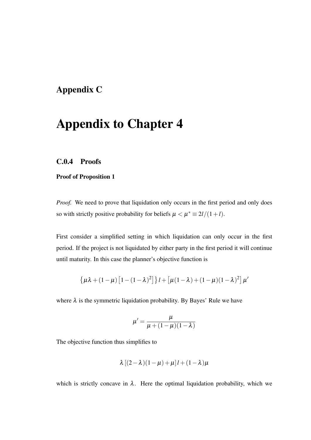## Appendix C

## Appendix to Chapter 4

#### C.0.4 Proofs

#### Proof of Proposition 1

*Proof.* We need to prove that liquidation only occurs in the first period and only does so with strictly positive probability for beliefs  $\mu < \mu^* \equiv 2l/(1+l)$ .

First consider a simplified setting in which liquidation can only occur in the first period. If the project is not liquidated by either party in the first period it will continue until maturity. In this case the planner's objective function is

$$
\left\{\mu\lambda + (1-\mu)\left[1 - (1-\lambda)^2\right]\right\}l + \left[\mu(1-\lambda) + (1-\mu)(1-\lambda)^2\right]\mu'
$$

where  $\lambda$  is the symmetric liquidation probability. By Bayes' Rule we have

$$
\mu' = \frac{\mu}{\mu + (1 - \mu)(1 - \lambda)}
$$

The objective function thus simplifies to

$$
\lambda [(2-\lambda)(1-\mu)+\mu] l + (1-\lambda)\mu
$$

which is strictly concave in  $\lambda$ . Here the optimal liquidation probability, which we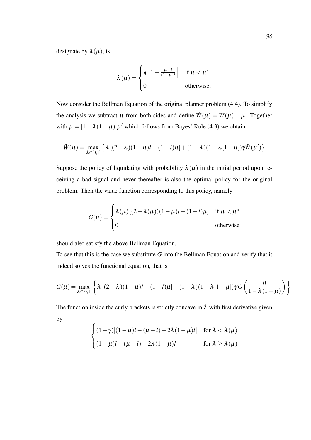designate by  $\lambda(\mu)$ , is

$$
\lambda(\mu) = \begin{cases} \frac{1}{2} \left[ 1 - \frac{\mu - l}{(1 - \mu)l} \right] & \text{if } \mu < \mu^* \\ 0 & \text{otherwise.} \end{cases}
$$

Now consider the Bellman Equation of the original planner problem (4.4). To simplify the analysis we subtract  $\mu$  from both sides and define  $\tilde{W}(\mu) = W(\mu) - \mu$ . Together with  $\mu = [1 - \lambda (1 - \mu)] \mu'$  which follows from Bayes' Rule (4.3) we obtain

$$
\tilde{W}(\mu) = \max_{\lambda \in [0,1]} \left\{ \lambda \left[ (2-\lambda)(1-\mu)l - (1-l)\mu \right] + (1-\lambda)(1-\lambda[1-\mu]) \gamma \tilde{W}(\mu') \right\}
$$

Suppose the policy of liquidating with probability  $\lambda(\mu)$  in the initial period upon receiving a bad signal and never thereafter is also the optimal policy for the original problem. Then the value function corresponding to this policy, namely

$$
G(\mu) = \begin{cases} \lambda(\mu) \left[ (2 - \lambda(\mu))(1 - \mu)l - (1 - l)\mu \right] & \text{if } \mu < \mu^* \\ 0 & \text{otherwise} \end{cases}
$$

should also satisfy the above Bellman Equation.

To see that this is the case we substitute *G* into the Bellman Equation and verify that it indeed solves the functional equation, that is

$$
G(\mu) = \max_{\lambda \in [0,1]} \left\{ \lambda \left[ (2-\lambda)(1-\mu)l - (1-l)\mu \right] + (1-\lambda)(1-\lambda[1-\mu]) \gamma G \left( \frac{\mu}{1-\lambda(1-\mu)} \right) \right\}
$$

The function inside the curly brackets is strictly concave in  $\lambda$  with first derivative given by  $\overline{ }$ 

$$
\begin{cases}\n(1-\gamma)[(1-\mu)l - (\mu - l) - 2\lambda(1-\mu)l] & \text{for } \lambda < \lambda(\mu) \\
(1-\mu)l - (\mu - l) - 2\lambda(1-\mu)l & \text{for } \lambda \ge \lambda(\mu)\n\end{cases}
$$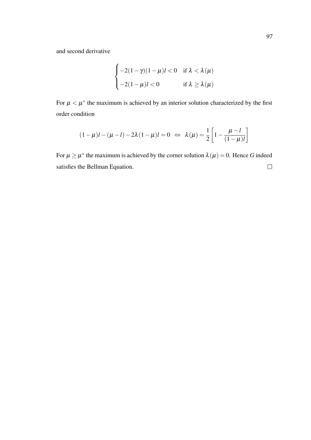and second derivative

$$
\begin{cases}\n-2(1-\gamma)(1-\mu)l < 0 \quad \text{if } \lambda < \lambda(\mu) \\
-2(1-\mu)l < 0 \quad \text{if } \lambda \ge \lambda(\mu)\n\end{cases}
$$

For  $\mu < \mu^*$  the maximum is achieved by an interior solution characterized by the first order condition

$$
(1 - \mu)l - (\mu - l) - 2\lambda(1 - \mu)l = 0 \Leftrightarrow \lambda(\mu) = \frac{1}{2} \left[ 1 - \frac{\mu - l}{(1 - \mu)l} \right]
$$

For  $\mu \geq \mu^*$  the maximum is achieved by the corner solution  $\lambda(\mu) = 0$ . Hence G indeed  $\Box$ satisfies the Bellman Equation.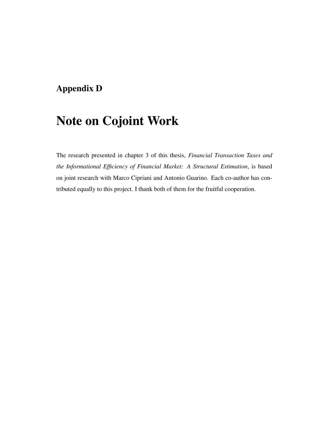## Appendix D

# Note on Cojoint Work

The research presented in chapter 3 of this thesis, *Financial Transaction Taxes and the Informational Efficiency of Financial Market: A Structural Estimation*, is based on joint research with Marco Cipriani and Antonio Guarino. Each co-author has contributed equally to this project. I thank both of them for the fruitful cooperation.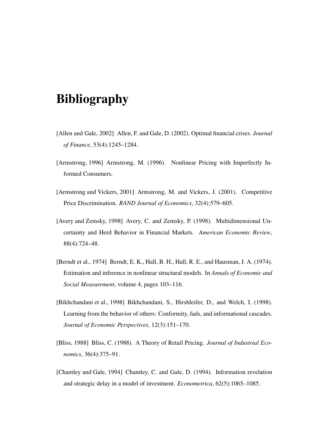## Bibliography

- [Allen and Gale, 2002] Allen, F. and Gale, D. (2002). Optimal financial crises. *Journal of Finance*, 53(4):1245–1284.
- [Armstrong, 1996] Armstrong, M. (1996). Nonlinear Pricing with Imperfectly Informed Consumers.
- [Armstrong and Vickers, 2001] Armstrong, M. and Vickers, J. (2001). Competitive Price Discrimination. *RAND Journal of Economics*, 32(4):579–605.
- [Avery and Zemsky, 1998] Avery, C. and Zemsky, P. (1998). Multidimensional Uncertainty and Herd Behavior in Financial Markets. *American Economic Review*, 88(4):724–48.
- [Berndt et al., 1974] Berndt, E. K., Hall, B. H., Hall, R. E., and Hausman, J. A. (1974). Estimation and inference in nonlinear structural models. In *Annals of Economic and Social Measurement*, volume 4, pages 103–116.
- [Bikhchandani et al., 1998] Bikhchandani, S., Hirshleifer, D., and Welch, I. (1998). Learning from the behavior of others: Conformity, fads, and informational cascades. *Journal of Economic Perspectives*, 12(3):151–170.
- [Bliss, 1988] Bliss, C. (1988). A Theory of Retail Pricing. *Journal of Industrial Economics*, 36(4):375–91.
- [Chamley and Gale, 1994] Chamley, C. and Gale, D. (1994). Information revelation and strategic delay in a model of investment. *Econometrica*, 62(5):1065–1085.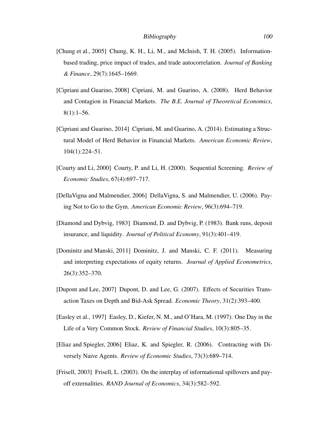- [Chung et al., 2005] Chung, K. H., Li, M., and McInish, T. H. (2005). Informationbased trading, price impact of trades, and trade autocorrelation. *Journal of Banking & Finance*, 29(7):1645–1669.
- [Cipriani and Guarino, 2008] Cipriani, M. and Guarino, A. (2008). Herd Behavior and Contagion in Financial Markets. *The B.E. Journal of Theoretical Economics*, 8(1):1–56.
- [Cipriani and Guarino, 2014] Cipriani, M. and Guarino, A. (2014). Estimating a Structural Model of Herd Behavior in Financial Markets. *American Economic Review*, 104(1):224–51.
- [Courty and Li, 2000] Courty, P. and Li, H. (2000). Sequential Screening. *Review of Economic Studies*, 67(4):697–717.
- [DellaVigna and Malmendier, 2006] DellaVigna, S. and Malmendier, U. (2006). Paying Not to Go to the Gym. *American Economic Review*, 96(3):694–719.
- [Diamond and Dybvig, 1983] Diamond, D. and Dybvig, P. (1983). Bank runs, deposit insurance, and liquidity. *Journal of Political Economy*, 91(3):401–419.
- [Dominitz and Manski, 2011] Dominitz, J. and Manski, C. F. (2011). Measuring and interpreting expectations of equity returns. *Journal of Applied Econometrics*, 26(3):352–370.
- [Dupont and Lee, 2007] Dupont, D. and Lee, G. (2007). Effects of Securities Transaction Taxes on Depth and Bid-Ask Spread. *Economic Theory*, 31(2):393–400.
- [Easley et al., 1997] Easley, D., Kiefer, N. M., and O'Hara, M. (1997). One Day in the Life of a Very Common Stock. *Review of Financial Studies*, 10(3):805–35.
- [Eliaz and Spiegler, 2006] Eliaz, K. and Spiegler, R. (2006). Contracting with Diversely Naive Agents. *Review of Economic Studies*, 73(3):689–714.
- [Frisell, 2003] Frisell, L. (2003). On the interplay of informational spillovers and payoff externalities. *RAND Journal of Economics*, 34(3):582–592.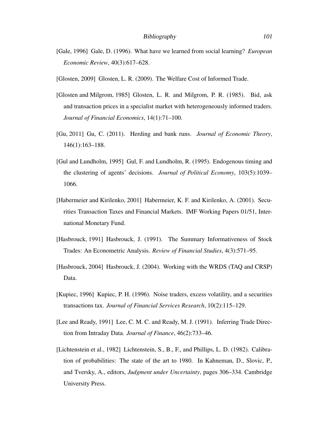- [Gale, 1996] Gale, D. (1996). What have we learned from social learning? *European Economic Review*, 40(3):617–628.
- [Glosten, 2009] Glosten, L. R. (2009). The Welfare Cost of Informed Trade.
- [Glosten and Milgrom, 1985] Glosten, L. R. and Milgrom, P. R. (1985). Bid, ask and transaction prices in a specialist market with heterogeneously informed traders. *Journal of Financial Economics*, 14(1):71–100.
- [Gu, 2011] Gu, C. (2011). Herding and bank runs. *Journal of Economic Theory*, 146(1):163–188.
- [Gul and Lundholm, 1995] Gul, F. and Lundholm, R. (1995). Endogenous timing and the clustering of agents' decisions. *Journal of Political Economy*, 103(5):1039– 1066.
- [Habermeier and Kirilenko, 2001] Habermeier, K. F. and Kirilenko, A. (2001). Securities Transaction Taxes and Financial Markets. IMF Working Papers 01/51, International Monetary Fund.
- [Hasbrouck, 1991] Hasbrouck, J. (1991). The Summary Informativeness of Stock Trades: An Econometric Analysis. *Review of Financial Studies*, 4(3):571–95.
- [Hasbrouck, 2004] Hasbrouck, J. (2004). Working with the WRDS (TAQ and CRSP) Data.
- [Kupiec, 1996] Kupiec, P. H. (1996). Noise traders, excess volatility, and a securities transactions tax. *Journal of Financial Services Research*, 10(2):115–129.
- [Lee and Ready, 1991] Lee, C. M. C. and Ready, M. J. (1991). Inferring Trade Direction from Intraday Data. *Journal of Finance*, 46(2):733–46.
- [Lichtenstein et al., 1982] Lichtenstein, S., B., F., and Phillips, L. D. (1982). Calibration of probabilities: The state of the art to 1980. In Kahneman, D., Slovic, P., and Tversky, A., editors, *Judgment under Uncertainty*, pages 306–334. Cambridge University Press.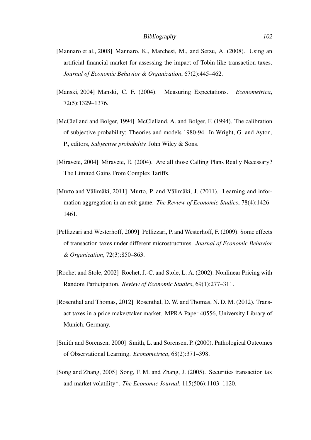- [Mannaro et al., 2008] Mannaro, K., Marchesi, M., and Setzu, A. (2008). Using an artificial financial market for assessing the impact of Tobin-like transaction taxes. *Journal of Economic Behavior & Organization*, 67(2):445–462.
- [Manski, 2004] Manski, C. F. (2004). Measuring Expectations. *Econometrica*, 72(5):1329–1376.
- [McClelland and Bolger, 1994] McClelland, A. and Bolger, F. (1994). The calibration of subjective probability: Theories and models 1980-94. In Wright, G. and Ayton, P., editors, *Subjective probability.* John Wiley & Sons.
- [Miravete, 2004] Miravete, E. (2004). Are all those Calling Plans Really Necessary? The Limited Gains From Complex Tariffs.
- [Murto and Välimäki, 2011] Murto, P. and Välimäki, J. (2011). Learning and information aggregation in an exit game. *The Review of Economic Studies*, 78(4):1426– 1461.
- [Pellizzari and Westerhoff, 2009] Pellizzari, P. and Westerhoff, F. (2009). Some effects of transaction taxes under different microstructures. *Journal of Economic Behavior & Organization*, 72(3):850–863.
- [Rochet and Stole, 2002] Rochet, J.-C. and Stole, L. A. (2002). Nonlinear Pricing with Random Participation. *Review of Economic Studies*, 69(1):277–311.
- [Rosenthal and Thomas, 2012] Rosenthal, D. W. and Thomas, N. D. M. (2012). Transact taxes in a price maker/taker market. MPRA Paper 40556, University Library of Munich, Germany.
- [Smith and Sorensen, 2000] Smith, L. and Sorensen, P. (2000). Pathological Outcomes of Observational Learning. *Econometrica*, 68(2):371–398.
- [Song and Zhang, 2005] Song, F. M. and Zhang, J. (2005). Securities transaction tax and market volatility\*. *The Economic Journal*, 115(506):1103–1120.